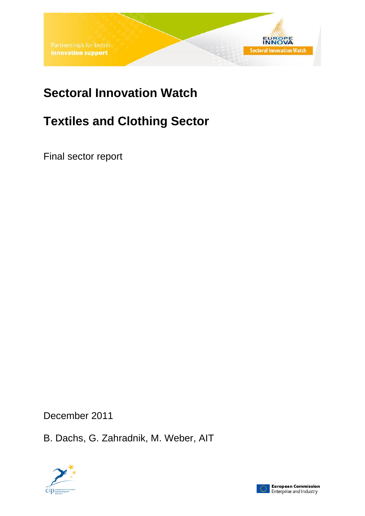# **Sectoral Innovation Watch**

# **Textiles and Clothing Sector**

Final sector report

December 2011

B. Dachs, G. Zahradnik, M. Weber, AIT



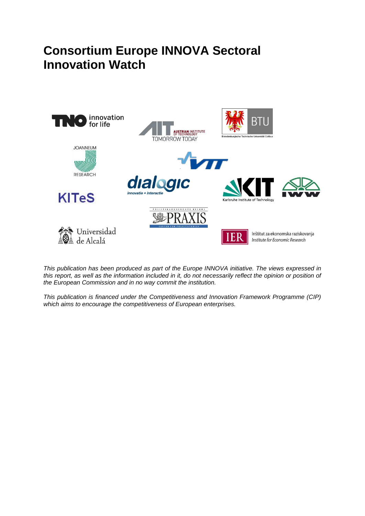# **Consortium Europe INNOVA Sectoral Innovation Watch**



*This publication has been produced as part of the Europe INNOVA initiative. The views expressed in*  this report, as well as the information included in it, do not necessarily reflect the opinion or position of *the European Commission and in no way commit the institution.*

*This publication is financed under the Competitiveness and Innovation Framework Programme (CIP) which aims to encourage the competitiveness of European enterprises.*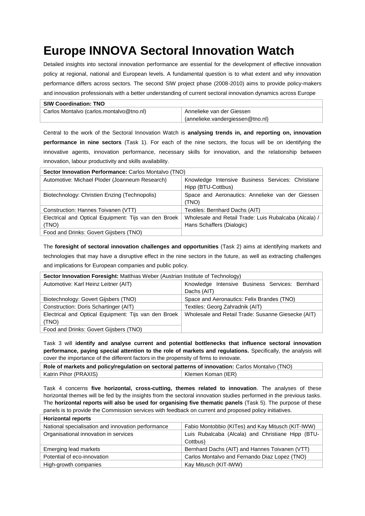# **Europe INNOVA Sectoral Innovation Watch**

Detailed insights into sectoral innovation performance are essential for the development of effective innovation policy at regional, national and European levels. A fundamental question is to what extent and why innovation performance differs across sectors. The second SIW project phase (2008-2010) aims to provide policy-makers and innovation professionals with a better understanding of current sectoral innovation dynamics across Europe

| <b>SIW Coordination: TNO</b>             |                                  |
|------------------------------------------|----------------------------------|
| Carlos Montalvo (carlos.montalvo@tno.nl) | Annelieke van der Giessen        |
|                                          | (annelieke.vandergiessen@tno.nl) |

Central to the work of the Sectoral Innovation Watch is **analysing trends in, and reporting on, innovation performance in nine sectors** (Task 1). For each of the nine sectors, the focus will be on identifying the innovative agents, innovation performance, necessary skills for innovation, and the relationship between innovation, labour productivity and skills availability.

| Sector Innovation Performance: Carlos Montalvo (TNO)          |                                                                                    |  |  |  |  |  |
|---------------------------------------------------------------|------------------------------------------------------------------------------------|--|--|--|--|--|
| Automotive: Michael Ploder (Joanneum Research)                | Knowledge Intensive Business Services: Christiane<br>Hipp (BTU-Cottbus)            |  |  |  |  |  |
| Biotechnology: Christien Enzing (Technopolis)                 | Space and Aeronautics: Annelieke van der Giessen<br>(TNO)                          |  |  |  |  |  |
| Construction: Hannes Toivanen (VTT)                           | Textiles: Bernhard Dachs (AIT)                                                     |  |  |  |  |  |
| Electrical and Optical Equipment: Tijs van den Broek<br>(TNO) | Wholesale and Retail Trade: Luis Rubalcaba (Alcala) /<br>Hans Schaffers (Dialogic) |  |  |  |  |  |
| Food and Drinks: Govert Gijsbers (TNO)                        |                                                                                    |  |  |  |  |  |

The **foresight of sectoral innovation challenges and opportunities** (Task 2) aims at identifying markets and technologies that may have a disruptive effect in the nine sectors in the future, as well as extracting challenges and implications for European companies and public policy.

| Sector Innovation Foresight: Matthias Weber (Austrian Institute of Technology) |                                                    |  |  |  |  |  |  |
|--------------------------------------------------------------------------------|----------------------------------------------------|--|--|--|--|--|--|
| Automotive: Karl Heinz Leitner (AIT)                                           | Knowledge Intensive Business Services: Bernhard    |  |  |  |  |  |  |
|                                                                                | Dachs (AIT)                                        |  |  |  |  |  |  |
| Biotechnology: Govert Gijsbers (TNO)                                           | Space and Aeronautics: Felix Brandes (TNO)         |  |  |  |  |  |  |
| Construction: Doris Schartinger (AIT)                                          | Textiles: Georg Zahradnik (AIT)                    |  |  |  |  |  |  |
| Electrical and Optical Equipment: Tijs van den Broek                           | Wholesale and Retail Trade: Susanne Giesecke (AIT) |  |  |  |  |  |  |
| (TNO)                                                                          |                                                    |  |  |  |  |  |  |
| Food and Drinks: Govert Gijsbers (TNO)                                         |                                                    |  |  |  |  |  |  |

Task 3 will **identify and analyse current and potential bottlenecks that influence sectoral innovation performance, paying special attention to the role of markets and regulations.** Specifically, the analysis will cover the importance of the different factors in the propensity of firms to innovate.

| Role of markets and policy/regulation on sectoral patterns of innovation: Carlos Montalvo (TNO) |                    |  |  |  |
|-------------------------------------------------------------------------------------------------|--------------------|--|--|--|
| Katrin Pihor (PRAXIS)                                                                           | Klemen Koman (IER) |  |  |  |

Task 4 concerns **five horizontal, cross-cutting, themes related to innovation**. The analyses of these horizontal themes will be fed by the insights from the sectoral innovation studies performed in the previous tasks. The **horizontal reports will also be used for organising five thematic panels** (Task 5). The purpose of these panels is to provide the Commission services with feedback on current and proposed policy initiatives.

| <b>Horizontal reports</b>                          |                                                   |
|----------------------------------------------------|---------------------------------------------------|
| National specialisation and innovation performance | Fabio Montobbio (KITes) and Kay Mitusch (KIT-IWW) |
| Organisational innovation in services              | Luis Rubalcaba (Alcala) and Christiane Hipp (BTU- |
|                                                    | Cottbus)                                          |
| Emerging lead markets                              | Bernhard Dachs (AIT) and Hannes Toivanen (VTT)    |
| Potential of eco-innovation                        | Carlos Montalvo and Fernando Diaz Lopez (TNO)     |
| High-growth companies                              | Kay Mitusch (KIT-IWW)                             |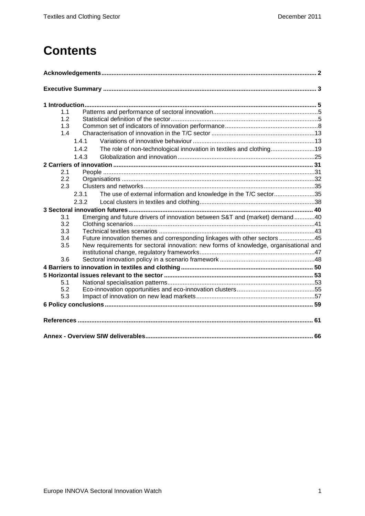# **Contents**

| 1.1 |       |                                                                                      |  |
|-----|-------|--------------------------------------------------------------------------------------|--|
| 1.2 |       |                                                                                      |  |
| 1.3 |       |                                                                                      |  |
| 1.4 |       |                                                                                      |  |
|     | 1.4.1 |                                                                                      |  |
|     | 1.4.2 | The role of non-technological innovation in textiles and clothing19                  |  |
|     | 1.4.3 |                                                                                      |  |
|     |       |                                                                                      |  |
| 2.1 |       |                                                                                      |  |
| 2.2 |       |                                                                                      |  |
| 2.3 |       |                                                                                      |  |
|     | 2.3.1 | The use of external information and knowledge in the T/C sector35                    |  |
|     | 2.3.2 |                                                                                      |  |
|     |       |                                                                                      |  |
| 3.1 |       | Emerging and future drivers of innovation between S&T and (market) demand40          |  |
| 3.2 |       |                                                                                      |  |
| 3.3 |       |                                                                                      |  |
| 3.4 |       | Future innovation themes and corresponding linkages with other sectors 45            |  |
| 3.5 |       | New requirements for sectoral innovation: new forms of knowledge, organisational and |  |
| 3.6 |       |                                                                                      |  |
|     |       |                                                                                      |  |
|     |       |                                                                                      |  |
| 5.1 |       |                                                                                      |  |
| 5.2 |       |                                                                                      |  |
| 5.3 |       |                                                                                      |  |
|     |       |                                                                                      |  |
|     |       |                                                                                      |  |
|     |       |                                                                                      |  |
|     |       |                                                                                      |  |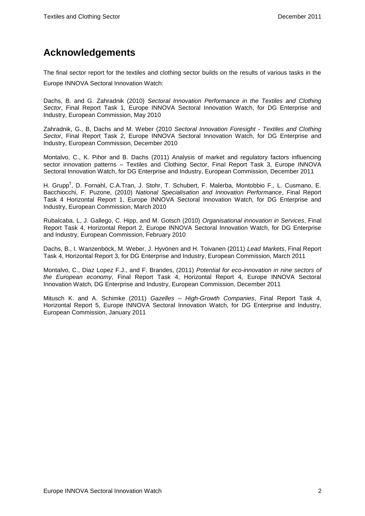## <span id="page-4-0"></span>**Acknowledgements**

The final sector report for the textiles and clothing sector builds on the results of various tasks in the Europe INNOVA Sectoral Innovation Watch:

Dachs, B. and G. Zahradnik (2010) *Sectoral Innovation Performance in the Textiles and Clothing Sector*, Final Report Task 1, Europe INNOVA Sectoral Innovation Watch, for DG Enterprise and Industry, European Commission, May 2010

Zahradnik, G., B, Dachs and M. Weber (2010 *Sectoral Innovation Foresight - Textiles and Clothing Sector*, Final Report Task 2, Europe INNOVA Sectoral Innovation Watch, for DG Enterprise and Industry, European Commission, December 2010

Montalvo, C., K. Pihor and B. Dachs (2011) Analysis of market and regulatory factors influencing sector innovation patterns – Textiles and Clothing Sector, Final Report Task 3, Europe INNOVA Sectoral Innovation Watch, for DG Enterprise and Industry, European Commission, December 2011

H. Grupp<sup>†</sup>, D. Fornahl, C.A.Tran, J. Stohr, T. Schubert, F. Malerba, Montobbio F., L. Cusmano, E. Bacchiocchi, F. Puzone, (2010) *National Specialisation and Innovation Performance*, Final Report Task 4 Horizontal Report 1, Europe INNOVA Sectoral Innovation Watch, for DG Enterprise and Industry, European Commission, March 2010

Rubalcaba, L, J. Gallego, C. Hipp, and M. Gotsch (2010) *Organisational innovation in Services*, Final Report Task 4, Horizontal Report 2, Europe INNOVA Sectoral Innovation Watch, for DG Enterprise and Industry, European Commission, February 2010

Dachs, B., I. Wanzenböck, M. Weber, J. Hyvönen and H. Toivanen (2011) *Lead Markets*, Final Report Task 4, Horizontal Report 3, for DG Enterprise and Industry, European Commission, March 2011

Montalvo, C., Diaz Lopez F.J., and F. Brandes, (2011) *Potential for eco-innovation in nine sectors of the European economy*, Final Report Task 4, Horizontal Report 4, Europe INNOVA Sectoral Innovation Watch, DG Enterprise and Industry, European Commission, December 2011

Mitusch K. and A. Schimke (2011) *Gazelles – High-Growth Companies*, Final Report Task 4, Horizontal Report 5, Europe INNOVA Sectoral Innovation Watch, for DG Enterprise and Industry, European Commission, January 2011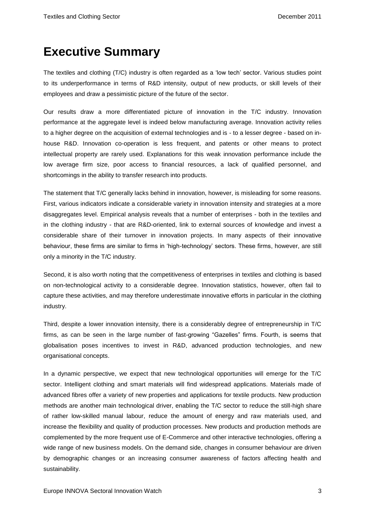# <span id="page-5-0"></span>**Executive Summary**

The textiles and clothing (T/C) industry is often regarded as a 'low tech' sector. Various studies point to its underperformance in terms of R&D intensity, output of new products, or skill levels of their employees and draw a pessimistic picture of the future of the sector.

Our results draw a more differentiated picture of innovation in the T/C industry. Innovation performance at the aggregate level is indeed below manufacturing average. Innovation activity relies to a higher degree on the acquisition of external technologies and is - to a lesser degree - based on inhouse R&D. Innovation co-operation is less frequent, and patents or other means to protect intellectual property are rarely used. Explanations for this weak innovation performance include the low average firm size, poor access to financial resources, a lack of qualified personnel, and shortcomings in the ability to transfer research into products.

The statement that T/C generally lacks behind in innovation, however, is misleading for some reasons. First, various indicators indicate a considerable variety in innovation intensity and strategies at a more disaggregates level. Empirical analysis reveals that a number of enterprises - both in the textiles and in the clothing industry - that are R&D-oriented, link to external sources of knowledge and invest a considerable share of their turnover in innovation projects. In many aspects of their innovative behaviour, these firms are similar to firms in 'high-technology' sectors. These firms, however, are still only a minority in the T/C industry.

Second, it is also worth noting that the competitiveness of enterprises in textiles and clothing is based on non-technological activity to a considerable degree. Innovation statistics, however, often fail to capture these activities, and may therefore underestimate innovative efforts in particular in the clothing industry.

Third, despite a lower innovation intensity, there is a considerably degree of entrepreneurship in T/C firms, as can be seen in the large number of fast-growing "Gazelles" firms. Fourth, is seems that globalisation poses incentives to invest in R&D, advanced production technologies, and new organisational concepts.

In a dynamic perspective, we expect that new technological opportunities will emerge for the T/C sector. Intelligent clothing and smart materials will find widespread applications. Materials made of advanced fibres offer a variety of new properties and applications for textile products. New production methods are another main technological driver, enabling the T/C sector to reduce the still-high share of rather low-skilled manual labour, reduce the amount of energy and raw materials used, and increase the flexibility and quality of production processes. New products and production methods are complemented by the more frequent use of E-Commerce and other interactive technologies, offering a wide range of new business models. On the demand side, changes in consumer behaviour are driven by demographic changes or an increasing consumer awareness of factors affecting health and sustainability.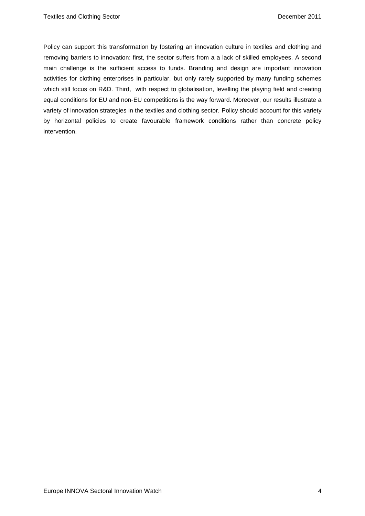Policy can support this transformation by fostering an innovation culture in textiles and clothing and removing barriers to innovation: first, the sector suffers from a a lack of skilled employees. A second main challenge is the sufficient access to funds. Branding and design are important innovation activities for clothing enterprises in particular, but only rarely supported by many funding schemes which still focus on R&D. Third, with respect to globalisation, levelling the playing field and creating equal conditions for EU and non-EU competitions is the way forward. Moreover, our results illustrate a variety of innovation strategies in the textiles and clothing sector. Policy should account for this variety by horizontal policies to create favourable framework conditions rather than concrete policy intervention.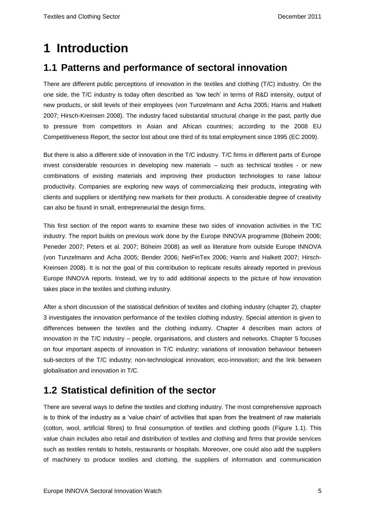# <span id="page-7-0"></span>**1 Introduction**

## <span id="page-7-1"></span>**1.1 Patterns and performance of sectoral innovation**

There are different public perceptions of innovation in the textiles and clothing (T/C) industry. On the one side, the T/C industry is today often described as 'low tech' in terms of R&D intensity, output of new products, or skill levels of their employees (von Tunzelmann and Acha 2005; Harris and Halkett 2007; Hirsch-Kreinsen 2008). The industry faced substantial structural change in the past, partly due to pressure from competitors in Asian and African countries; according to the 2008 EU Competitiveness Report, the sector lost about one third of its total employment since 1995 (EC 2009).

But there is also a different side of innovation in the T/C industry. T/C firms in different parts of Europe invest considerable resources in developing new materials – such as technical textiles - or new combinations of existing materials and improving their production technologies to raise labour productivity. Companies are exploring new ways of commercializing their products, integrating with clients and suppliers or identifying new markets for their products. A considerable degree of creativity can also be found in small, entrepreneurial the design firms.

This first section of the report wants to examine these two sides of innovation activities in the T/C industry. The report builds on previous work done by the Europe INNOVA programme (Böheim 2006; Peneder 2007; Peters et al. 2007; Böheim 2008) as well as literature from outside Europe INNOVA (von Tunzelmann and Acha 2005; Bender 2006; NetFinTex 2006; Harris and Halkett 2007; Hirsch-Kreinsen 2008). It is not the goal of this contribution to replicate results already reported in previous Europe INNOVA reports. Instead, we try to add additional aspects to the picture of how innovation takes place in the textiles and clothing industry.

After a short discussion of the statistical definition of textiles and clothing industry (chapter 2), chapter 3 investigates the innovation performance of the textiles clothing industry. Special attention is given to differences between the textiles and the clothing industry. Chapter 4 describes main actors of innovation in the T/C industry – people, organisations, and clusters and networks. Chapter 5 focuses on four important aspects of innovation in T/C industry; variations of innovation behaviour between sub-sectors of the T/C industry; non-technological innovation; eco-innovation; and the link between globalisation and innovation in T/C.

## <span id="page-7-2"></span>**1.2 Statistical definition of the sector**

There are several ways to define the textiles and clothing industry. The most comprehensive approach is to think of the industry as a 'value chain' of activities that span from the treatment of raw materials (cotton, wool, artificial fibres) to final consumption of textiles and clothing goods [\(Figure 1.](#page-8-0)1). This value chain includes also retail and distribution of textiles and clothing and firms that provide services such as textiles rentals to hotels, restaurants or hospitals. Moreover, one could also add the suppliers of machinery to produce textiles and clothing, the suppliers of information and communication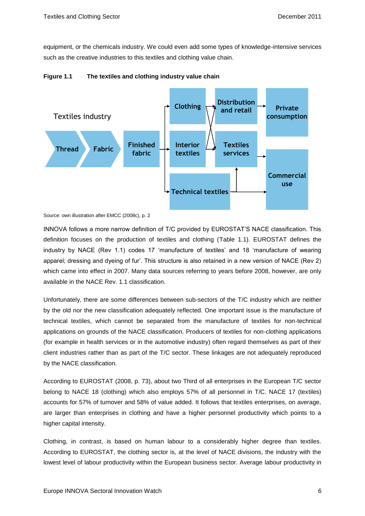equipment, or the chemicals industry. We could even add some types of knowledge-intensive services such as the creative industries to this textiles and clothing value chain.



<span id="page-8-0"></span>

Source: own illustration after EMCC (2008c), p. 2

INNOVA follows a more narrow definition of T/C provided by EUROSTAT'S NACE classification. This definition focuses on the production of textiles and clothing (Table 1.1). EUROSTAT defines the industry by NACE (Rev 1.1) codes 17 'manufacture of textiles' and 18 'manufacture of wearing apparel; dressing and dyeing of fur'. This structure is also retained in a new version of NACE (Rev 2) which came into effect in 2007. Many data sources referring to years before 2008, however, are only available in the NACE Rev. 1.1 classification.

Unfortunately, there are some differences between sub-sectors of the T/C industry which are neither by the old nor the new classification adequately reflected. One important issue is the manufacture of technical textiles, which cannot be separated from the manufacture of textiles for non-technical applications on grounds of the NACE classification. Producers of textiles for non-clothing applications (for example in health services or in the automotive industry) often regard themselves as part of their client industries rather than as part of the T/C sector. These linkages are not adequately reproduced by the NACE classification.

According to EUROSTAT (2008, p. 73), about two Third of all enterprises in the European T/C sector belong to NACE 18 (clothing) which also employs 57% of all personnel in T/C. NACE 17 (textiles) accounts for 57% of turnover and 58% of value added. It follows that textiles enterprises, on average, are larger than enterprises in clothing and have a higher personnel productivity which points to a higher capital intensity.

Clothing, in contrast, is based on human labour to a considerably higher degree than textiles. According to EUROSTAT, the clothing sector is, at the level of NACE divisions, the industry with the lowest level of labour productivity within the European business sector. Average labour productivity in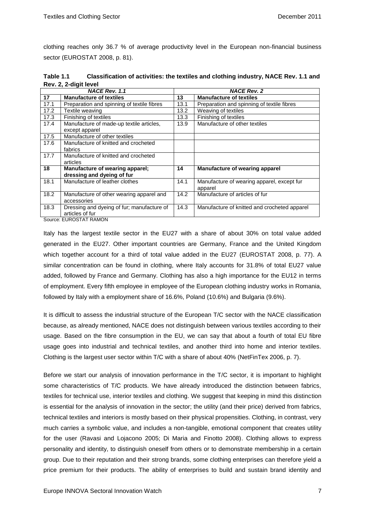clothing reaches only 36.7 % of average productivity level in the European non-financial business sector (EUROSTAT 2008, p. 81).

**Table 1.1 Classification of activities: the textiles and clothing industry, NACE Rev. 1.1 and Rev. 2, 2-digit level**

|      | <b>NACE Rev. 1.1</b>                                                             |      | <b>NACE Rev. 2</b>                           |
|------|----------------------------------------------------------------------------------|------|----------------------------------------------|
| 17   | <b>Manufacture of textiles</b>                                                   | 13   | <b>Manufacture of textiles</b>               |
| 17.1 | Preparation and spinning of textile fibres                                       | 13.1 | Preparation and spinning of textile fibres   |
| 17.2 | Textile weaving                                                                  | 13.2 | Weaving of textiles                          |
| 17.3 | Finishing of textiles                                                            | 13.3 | Finishing of textiles                        |
| 17.4 | Manufacture of made-up textile articles,                                         | 13.9 | Manufacture of other textiles                |
|      | except apparel                                                                   |      |                                              |
| 17.5 | Manufacture of other textiles                                                    |      |                                              |
| 17.6 | Manufacture of knitted and crocheted                                             |      |                                              |
|      | fabrics                                                                          |      |                                              |
| 17.7 | Manufacture of knitted and crocheted                                             |      |                                              |
|      | articles                                                                         |      |                                              |
| 18   | Manufacture of wearing apparel;                                                  | 14   | Manufacture of wearing apparel               |
|      | dressing and dyeing of fur                                                       |      |                                              |
| 18.1 | Manufacture of leather clothes                                                   | 14.1 | Manufacture of wearing apparel, except fur   |
|      |                                                                                  |      | apparel                                      |
| 18.2 | Manufacture of other wearing apparel and                                         | 14.2 | Manufacture of articles of fur               |
|      | accessories                                                                      |      |                                              |
| 18.3 | Dressing and dyeing of fur; manufacture of                                       | 14.3 | Manufacture of knitted and crocheted apparel |
|      | articles of fur                                                                  |      |                                              |
|      | $C_{\text{out}}$ $\sim$ $C_{\text{H}}$ $D_{\text{C}}$ $T$ $T$ $D_{\text{M}}$ $M$ |      |                                              |

Source: EUROSTAT RAMON

Italy has the largest textile sector in the EU27 with a share of about 30% on total value added generated in the EU27. Other important countries are Germany, France and the United Kingdom which together account for a third of total value added in the EU27 (EUROSTAT 2008, p. 77). A similar concentration can be found in clothing, where Italy accounts for 31.8% of total EU27 value added, followed by France and Germany. Clothing has also a high importance for the EU12 in terms of employment. Every fifth employee in employee of the European clothing industry works in Romania, followed by Italy with a employment share of 16.6%, Poland (10.6%) and Bulgaria (9.6%).

It is difficult to assess the industrial structure of the European T/C sector with the NACE classification because, as already mentioned, NACE does not distinguish between various textiles according to their usage. Based on the fibre consumption in the EU, we can say that about a fourth of total EU fibre usage goes into industrial and technical textiles, and another third into home and interior textiles. Clothing is the largest user sector within T/C with a share of about 40% (NetFinTex 2006, p. 7).

Before we start our analysis of innovation performance in the T/C sector, it is important to highlight some characteristics of T/C products. We have already introduced the distinction between fabrics, textiles for technical use, interior textiles and clothing. We suggest that keeping in mind this distinction is essential for the analysis of innovation in the sector; the utility (and their price) derived from fabrics, technical textiles and interiors is mostly based on their physical propensities. Clothing, in contrast, very much carries a symbolic value, and includes a non-tangible, emotional component that creates utility for the user (Ravasi and Lojacono 2005; Di Maria and Finotto 2008). Clothing allows to express personality and identity, to distinguish oneself from others or to demonstrate membership in a certain group. Due to their reputation and their strong brands, some clothing enterprises can therefore yield a price premium for their products. The ability of enterprises to build and sustain brand identity and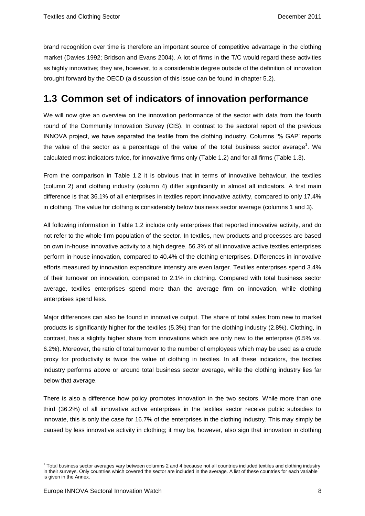brand recognition over time is therefore an important source of competitive advantage in the clothing market (Davies 1992; Bridson and Evans 2004). A lot of firms in the T/C would regard these activities as highly innovative; they are, however, to a considerable degree outside of the definition of innovation brought forward by the OECD (a discussion of this issue can be found in chapter 5.2).

## <span id="page-10-0"></span>**1.3 Common set of indicators of innovation performance**

We will now give an overview on the innovation performance of the sector with data from the fourth round of the Community Innovation Survey (CIS). In contrast to the sectoral report of the previous INNOVA project, we have separated the textile from the clothing industry. Columns '% GAP' reports the value of the sector as a percentage of the value of the total business sector average<sup>1</sup>. We calculated most indicators twice, for innovative firms only [\(Table 1.2\)](#page-11-0) and for all firms [\(Table 1.3\)](#page-12-0).

From the comparison in Table 1.2 it is obvious that in terms of innovative behaviour, the textiles (column 2) and clothing industry (column 4) differ significantly in almost all indicators. A first main difference is that 36.1% of all enterprises in textiles report innovative activity, compared to only 17.4% in clothing. The value for clothing is considerably below business sector average (columns 1 and 3).

All following information in Table 1.2 include only enterprises that reported innovative activity, and do not refer to the whole firm population of the sector. In textiles, new products and processes are based on own in-house innovative activity to a high degree. 56.3% of all innovative active textiles enterprises perform in-house innovation, compared to 40.4% of the clothing enterprises. Differences in innovative efforts measured by innovation expenditure intensity are even larger. Textiles enterprises spend 3.4% of their turnover on innovation, compared to 2.1% in clothing. Compared with total business sector average, textiles enterprises spend more than the average firm on innovation, while clothing enterprises spend less.

Major differences can also be found in innovative output. The share of total sales from new to market products is significantly higher for the textiles (5.3%) than for the clothing industry (2.8%). Clothing, in contrast, has a slightly higher share from innovations which are only new to the enterprise (6.5% vs. 6.2%). Moreover, the ratio of total turnover to the number of employees which may be used as a crude proxy for productivity is twice the value of clothing in textiles. In all these indicators, the textiles industry performs above or around total business sector average, while the clothing industry lies far below that average.

There is also a difference how policy promotes innovation in the two sectors. While more than one third (36.2%) of all innovative active enterprises in the textiles sector receive public subsidies to innovate, this is only the case for 16.7% of the enterprises in the clothing industry. This may simply be caused by less innovative activity in clothing; it may be, however, also sign that innovation in clothing

 $\overline{a}$ 

<sup>&</sup>lt;sup>1</sup> Total business sector averages vary between columns 2 and 4 because not all countries included textiles and clothing industry in their surveys. Only countries which covered the sector are included in the average. A list of these countries for each variable is given in the Annex.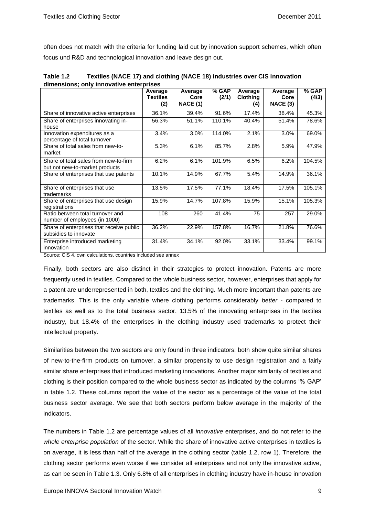often does not match with the criteria for funding laid out by innovation support schemes, which often focus und R&D and technological innovation and leave design out.

|                                                                         | Average<br><b>Textiles</b><br>(2) | Average<br>Core<br><b>NACE (1)</b> | % GAP<br>(2/1) | Average<br><b>Clothing</b><br>(4) | Average<br>Core<br>NACE (3) | % GAP<br>(4/3) |
|-------------------------------------------------------------------------|-----------------------------------|------------------------------------|----------------|-----------------------------------|-----------------------------|----------------|
| Share of innovative active enterprises                                  | 36.1%                             | 39.4%                              | 91.6%          | 17.4%                             | 38.4%                       | 45.3%          |
| Share of enterprises innovating in-<br>house                            | 56.3%                             | 51.1%                              | 110.1%         | 40.4%                             | 51.4%                       | 78.6%          |
| Innovation expenditures as a<br>percentage of total turnover            | 3.4%                              | 3.0%                               | 114.0%         | 2.1%                              | 3.0%                        | 69.0%          |
| Share of total sales from new-to-<br>market                             | 5.3%                              | 6.1%                               | 85.7%          | 2.8%                              | 5.9%                        | 47.9%          |
| Share of total sales from new-to-firm<br>but not new-to-market products | 6.2%                              | 6.1%                               | 101.9%         | 6.5%                              | 6.2%                        | 104.5%         |
| Share of enterprises that use patents                                   | 10.1%                             | 14.9%                              | 67.7%          | 5.4%                              | 14.9%                       | 36.1%          |
| Share of enterprises that use<br>trademarks                             | 13.5%                             | 17.5%                              | 77.1%          | 18.4%                             | 17.5%                       | 105.1%         |
| Share of enterprises that use design<br>registrations                   | 15.9%                             | 14.7%                              | 107.8%         | 15.9%                             | 15.1%                       | 105.3%         |
| Ratio between total turnover and<br>number of employees (in 1000)       | 108                               | 260                                | 41.4%          | 75                                | 257                         | 29.0%          |
| Share of enterprises that receive public<br>subsidies to innovate       | 36.2%                             | 22.9%                              | 157.8%         | 16.7%                             | 21.8%                       | 76.6%          |
| Enterprise introduced marketing<br>innovation                           | 31.4%                             | 34.1%                              | 92.0%          | 33.1%                             | 33.4%                       | 99.1%          |

<span id="page-11-0"></span>

| Table 1.2 | Textiles (NACE 17) and clothing (NACE 18) industries over CIS innovation |
|-----------|--------------------------------------------------------------------------|
|           | dimensions; only innovative enterprises                                  |

Source: CIS 4, own calculations, countries included see annex

Finally, both sectors are also distinct in their strategies to protect innovation. Patents are more frequently used in textiles. Compared to the whole business sector, however, enterprises that apply for a patent are underrepresented in both, textiles and the clothing. Much more important than patents are trademarks. This is the only variable where clothing performs considerably *better* - compared to textiles as well as to the total business sector. 13.5% of the innovating enterprises in the textiles industry, but 18.4% of the enterprises in the clothing industry used trademarks to protect their intellectual property.

Similarities between the two sectors are only found in three indicators: both show quite similar shares of new-to-the-firm products on turnover, a similar propensity to use design registration and a fairly similar share enterprises that introduced marketing innovations. Another major similarity of textiles and clothing is their position compared to the whole business sector as indicated by the columns '% GAP' in table 1.2. These columns report the value of the sector as a percentage of the value of the total business sector average. We see that both sectors perform below average in the majority of the indicators.

The numbers in Table 1.2 are percentage values of all *innovative* enterprises, and do not refer to the *whole enterprise population* of the sector. While the share of innovative active enterprises in textiles is on average, it is less than half of the average in the clothing sector (table 1.2, row 1). Therefore, the clothing sector performs even worse if we consider all enterprises and not only the innovative active, as can be seen in Table 1.3. Only 6.8% of all enterprises in clothing industry have in-house innovation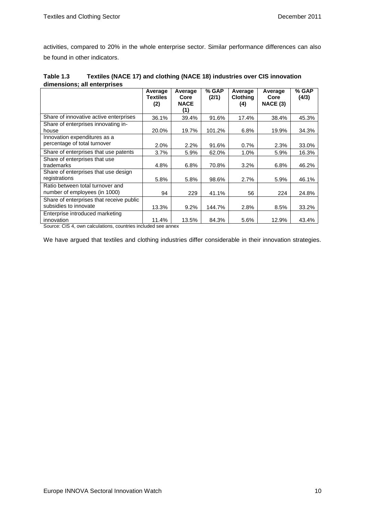activities, compared to 20% in the whole enterprise sector. Similar performance differences can also be found in other indicators.

<span id="page-12-0"></span>

| Table 1.3 | Textiles (NACE 17) and clothing (NACE 18) industries over CIS innovation |  |  |  |
|-----------|--------------------------------------------------------------------------|--|--|--|
|           | dimensions: all enterprises                                              |  |  |  |
|           |                                                                          |  |  |  |

|                                                                   | Average<br><b>Textiles</b><br>(2) | Average<br>Core<br><b>NACE</b><br>(1) | % GAP<br>(2/1) | Average<br><b>Clothing</b><br>(4) | Average<br>Core<br>NACE (3) | % GAP<br>(4/3) |
|-------------------------------------------------------------------|-----------------------------------|---------------------------------------|----------------|-----------------------------------|-----------------------------|----------------|
| Share of innovative active enterprises                            | 36.1%                             | 39.4%                                 | 91.6%          | 17.4%                             | 38.4%                       | 45.3%          |
| Share of enterprises innovating in-<br>house                      | 20.0%                             | 19.7%                                 | 101.2%         | 6.8%                              | 19.9%                       | 34.3%          |
| Innovation expenditures as a<br>percentage of total turnover      | $2.0\%$                           | 2.2%                                  | 91.6%          | 0.7%                              | 2.3%                        | 33.0%          |
| Share of enterprises that use patents                             | $3.7\%$                           | 5.9%                                  | 62.0%          | 1.0%                              | 5.9%                        | 16.3%          |
| Share of enterprises that use<br>trademarks                       | 4.8%                              | 6.8%                                  | 70.8%          | 3.2%                              | 6.8%                        | 46.2%          |
| Share of enterprises that use design<br>registrations             | 5.8%                              | 5.8%                                  | 98.6%          | 2.7%                              | 5.9%                        | 46.1%          |
| Ratio between total turnover and<br>number of employees (in 1000) | 94                                | 229                                   | 41.1%          | 56                                | 224                         | 24.8%          |
| Share of enterprises that receive public<br>subsidies to innovate | 13.3%                             | 9.2%                                  | 144.7%         | 2.8%                              | 8.5%                        | 33.2%          |
| Enterprise introduced marketing<br>innovation                     | 11.4%                             | 13.5%                                 | 84.3%          | 5.6%                              | 12.9%                       | 43.4%          |

Source: CIS 4, own calculations, countries included see annex

We have argued that textiles and clothing industries differ considerable in their innovation strategies.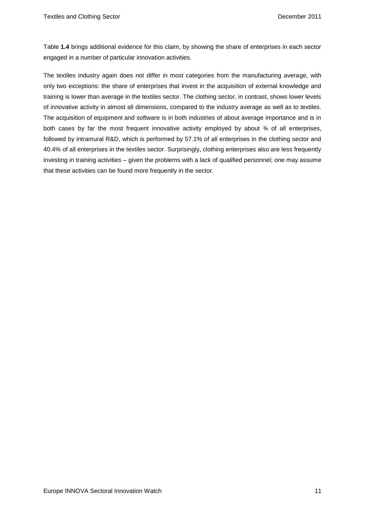Table **1.4** brings additional evidence for this claim, by showing the share of enterprises in each sector engaged in a number of particular innovation activities.

The textiles industry again does not differ in most categories from the manufacturing average, with only two exceptions: the share of enterprises that invest in the acquisition of external knowledge and training is lower than average in the textiles sector. The clothing sector, in contrast, shows lower levels of innovative activity in almost all dimensions, compared to the industry average as well as to textiles. The acquisition of equipment and software is in both industries of about average importance and is in both cases by far the most frequent innovative activity employed by about  $\frac{3}{4}$  of all enterprises, followed by intramural R&D, which is performed by 57.1% of all enterprises in the clothing sector and 40.4% of all enterprises in the textiles sector. Surprisingly, clothing enterprises also are less frequently investing in training activities – given the problems with a lack of qualified personnel; one may assume that these activities can be found more frequently in the sector.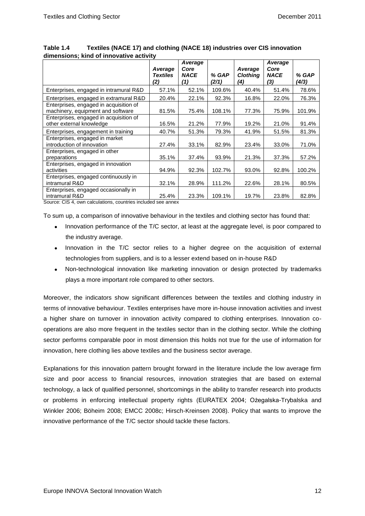|                                                                                                                         | Average<br><b>Textiles</b><br>(2) | Average<br>Core<br><b>NACE</b><br>(1) | % GAP<br>(2/1) | Average<br><b>Clothing</b><br>(4) | Average<br>Core<br><b>NACE</b><br>(3) | % GAP<br>(4/3) |
|-------------------------------------------------------------------------------------------------------------------------|-----------------------------------|---------------------------------------|----------------|-----------------------------------|---------------------------------------|----------------|
| Enterprises, engaged in intramural R&D                                                                                  | 57.1%                             | 52.1%                                 | 109.6%         | 40.4%                             | 51.4%                                 | 78.6%          |
| Enterprises, engaged in extramural R&D                                                                                  | 20.4%                             | 22.1%                                 | 92.3%          | 16.8%                             | 22.0%                                 | 76.3%          |
| Enterprises, engaged in acquisition of<br>machinery, equipment and software                                             | 81.5%                             | 75.4%                                 | 108.1%         | 77.3%                             | 75.9%                                 | 101.9%         |
| Enterprises, engaged in acquisition of<br>other external knowledge                                                      | 16.5%                             | 21.2%                                 | 77.9%          | 19.2%                             | 21.0%                                 | 91.4%          |
| Enterprises, engagement in training                                                                                     | 40.7%                             | 51.3%                                 | 79.3%          | 41.9%                             | 51.5%                                 | 81.3%          |
| Enterprises, engaged in market<br>introduction of innovation                                                            | 27.4%                             | 33.1%                                 | 82.9%          | 23.4%                             | 33.0%                                 | 71.0%          |
| Enterprises, engaged in other<br>preparations                                                                           | 35.1%                             | 37.4%                                 | 93.9%          | 21.3%                             | 37.3%                                 | 57.2%          |
| Enterprises, engaged in innovation<br>activities                                                                        | 94.9%                             | 92.3%                                 | 102.7%         | 93.0%                             | 92.8%                                 | 100.2%         |
| Enterprises, engaged continuously in<br>intramural R&D                                                                  | 32.1%                             | 28.9%                                 | 111.2%         | 22.6%                             | 28.1%                                 | 80.5%          |
| Enterprises, engaged occasionally in<br>intramural R&D<br>Source: CIS 4, own calculations, countries included see annex | 25.4%                             | 23.3%                                 | 109.1%         | 19.7%                             | 23.8%                                 | 82.8%          |

| Table 1.4 | Textiles (NACE 17) and clothing (NACE 18) industries over CIS innovation |
|-----------|--------------------------------------------------------------------------|
|           | dimensions; kind of innovative activity                                  |

To sum up, a comparison of innovative behaviour in the textiles and clothing sector has found that:

- Innovation performance of the T/C sector, at least at the aggregate level, is poor compared to the industry average.
- Innovation in the T/C sector relies to a higher degree on the acquisition of external technologies from suppliers, and is to a lesser extend based on in-house R&D
- Non-technological innovation like marketing innovation or design protected by trademarks plays a more important role compared to other sectors.

Moreover, the indicators show significant differences between the textiles and clothing industry in terms of innovative behaviour. Textiles enterprises have more in-house innovation activities and invest a higher share on turnover in innovation activity compared to clothing enterprises. Innovation cooperations are also more frequent in the textiles sector than in the clothing sector. While the clothing sector performs comparable poor in most dimension this holds not true for the use of information for innovation, here clothing lies above textiles and the business sector average.

Explanations for this innovation pattern brought forward in the literature include the low average firm size and poor access to financial resources, innovation strategies that are based on external technology, a lack of qualified personnel, shortcomings in the ability to transfer research into products or problems in enforcing intellectual property rights (EURATEX 2004; Ożegalska-Trybalska and Winkler 2006; Böheim 2008; EMCC 2008c; Hirsch-Kreinsen 2008). Policy that wants to improve the innovative performance of the T/C sector should tackle these factors.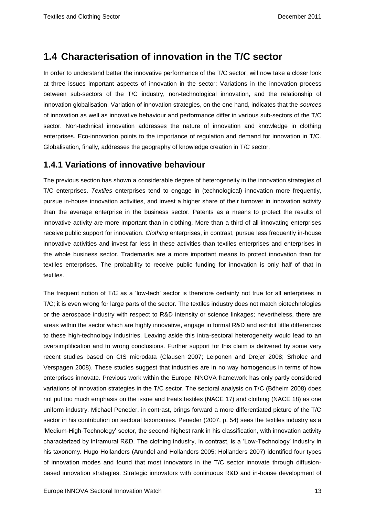## <span id="page-15-0"></span>**1.4 Characterisation of innovation in the T/C sector**

In order to understand better the innovative performance of the T/C sector, will now take a closer look at three issues important aspects of innovation in the sector: Variations in the innovation process between sub-sectors of the T/C industry, non-technological innovation, and the relationship of innovation globalisation. Variation of innovation strategies, on the one hand, indicates that the *sources* of innovation as well as innovative behaviour and performance differ in various sub-sectors of the T/C sector. Non-technical innovation addresses the nature of innovation and knowledge in clothing enterprises. Eco-innovation points to the importance of regulation and demand for innovation in T/C. Globalisation, finally, addresses the geography of knowledge creation in T/C sector.

### <span id="page-15-1"></span>**1.4.1 Variations of innovative behaviour**

The previous section has shown a considerable degree of heterogeneity in the innovation strategies of T/C enterprises. *Textiles* enterprises tend to engage in (technological) innovation more frequently, pursue in-house innovation activities, and invest a higher share of their turnover in innovation activity than the average enterprise in the business sector. Patents as a means to protect the results of innovative activity are more important than in clothing. More than a third of all innovating enterprises receive public support for innovation. *Clothing* enterprises, in contrast, pursue less frequently in-house innovative activities and invest far less in these activities than textiles enterprises and enterprises in the whole business sector. Trademarks are a more important means to protect innovation than for textiles enterprises. The probability to receive public funding for innovation is only half of that in textiles.

The frequent notion of T/C as a 'low-tech' sector is therefore certainly not true for all enterprises in T/C; it is even wrong for large parts of the sector. The textiles industry does not match biotechnologies or the aerospace industry with respect to R&D intensity or science linkages; nevertheless, there are areas within the sector which are highly innovative, engage in formal R&D and exhibit little differences to these high-technology industries. Leaving aside this intra-sectoral heterogeneity would lead to an oversimplification and to wrong conclusions. Further support for this claim is delivered by some very recent studies based on CIS microdata (Clausen 2007; Leiponen and Drejer 2008; Srholec and Verspagen 2008). These studies suggest that industries are in no way homogenous in terms of how enterprises innovate. Previous work within the Europe INNOVA framework has only partly considered variations of innovation strategies in the T/C sector. The sectoral analysis on T/C (Böheim 2008) does not put too much emphasis on the issue and treats textiles (NACE 17) and clothing (NACE 18) as one uniform industry. Michael Peneder, in contrast, brings forward a more differentiated picture of the T/C sector in his contribution on sectoral taxonomies. Peneder (2007, p. 54) sees the textiles industry as a 'Medium-High-Technology' sector, the second-highest rank in his classification, with innovation activity characterized by intramural R&D. The clothing industry, in contrast, is a 'Low-Technology' industry in his taxonomy. Hugo Hollanders (Arundel and Hollanders 2005; Hollanders 2007) identified four types of innovation modes and found that most innovators in the T/C sector innovate through diffusionbased innovation strategies. Strategic innovators with continuous R&D and in-house development of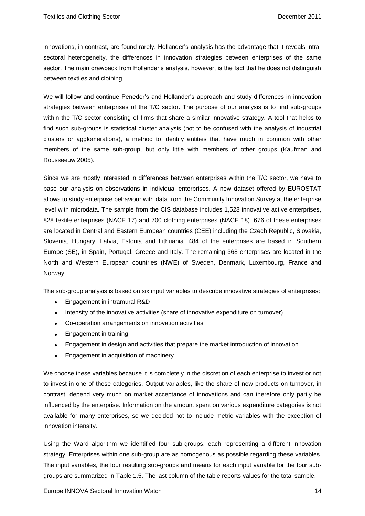innovations, in contrast, are found rarely. Hollander's analysis has the advantage that it reveals intrasectoral heterogeneity, the differences in innovation strategies between enterprises of the same sector. The main drawback from Hollander's analysis, however, is the fact that he does not distinguish between textiles and clothing.

We will follow and continue Peneder's and Hollander's approach and study differences in innovation strategies between enterprises of the T/C sector. The purpose of our analysis is to find sub-groups within the T/C sector consisting of firms that share a similar innovative strategy. A tool that helps to find such sub-groups is statistical cluster analysis (not to be confused with the analysis of industrial clusters or agglomerations), a method to identify entities that have much in common with other members of the same sub-group, but only little with members of other groups (Kaufman and Rousseeuw 2005).

Since we are mostly interested in differences between enterprises within the T/C sector, we have to base our analysis on observations in individual enterprises. A new dataset offered by EUROSTAT allows to study enterprise behaviour with data from the Community Innovation Survey at the enterprise level with microdata. The sample from the CIS database includes 1,528 innovative active enterprises, 828 textile enterprises (NACE 17) and 700 clothing enterprises (NACE 18). 676 of these enterprises are located in Central and Eastern European countries (CEE) including the Czech Republic, Slovakia, Slovenia, Hungary, Latvia, Estonia and Lithuania. 484 of the enterprises are based in Southern Europe (SE), in Spain, Portugal, Greece and Italy. The remaining 368 enterprises are located in the North and Western European countries (NWE) of Sweden, Denmark, Luxembourg, France and Norway.

The sub-group analysis is based on six input variables to describe innovative strategies of enterprises:

- Engagement in intramural R&D
- Intensity of the innovative activities (share of innovative expenditure on turnover)
- Co-operation arrangements on innovation activities
- Engagement in training
- Engagement in design and activities that prepare the market introduction of innovation
- Engagement in acquisition of machinery

We choose these variables because it is completely in the discretion of each enterprise to invest or not to invest in one of these categories. Output variables, like the share of new products on turnover, in contrast, depend very much on market acceptance of innovations and can therefore only partly be influenced by the enterprise. Information on the amount spent on various expenditure categories is not available for many enterprises, so we decided not to include metric variables with the exception of innovation intensity.

Using the Ward algorithm we identified four sub-groups, each representing a different innovation strategy. Enterprises within one sub-group are as homogenous as possible regarding these variables. The input variables, the four resulting sub-groups and means for each input variable for the four subgroups are summarized in Table 1.5. The last column of the table reports values for the total sample.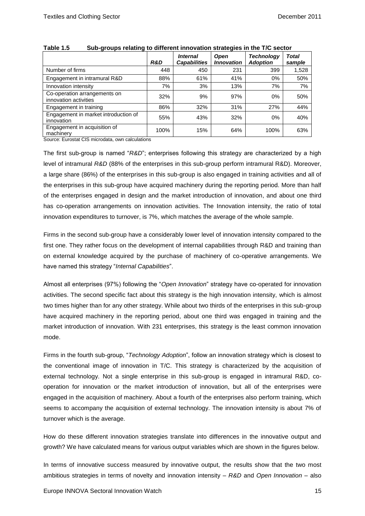|                                                       | R&D  | <b>Internal</b><br><b>Capabilities</b> | <b>Open</b><br><b>Innovation</b> | Technology<br><b>Adoption</b> | Total<br>sample |
|-------------------------------------------------------|------|----------------------------------------|----------------------------------|-------------------------------|-----------------|
| Number of firms                                       | 448  | 450                                    | 231                              | 399                           | 1,528           |
| Engagement in intramural R&D                          | 88%  | 61%                                    | 41%                              | $0\%$                         | 50%             |
| Innovation intensity                                  | 7%   | 3%                                     | 13%                              | 7%                            | 7%              |
| Co-operation arrangements on<br>innovation activities | 32%  | 9%                                     | 97%                              | 0%                            | 50%             |
| Engagement in training                                | 86%  | 32%                                    | 31%                              | 27%                           | 44%             |
| Engagement in market introduction of<br>innovation    | 55%  | 43%                                    | 32%                              | 0%                            | 40%             |
| Engagement in acquisition of<br>machinery             | 100% | 15%                                    | 64%                              | 100%                          | 63%             |

#### **Table 1.5 Sub-groups relating to different innovation strategies in the T/C sector**

Source: Eurostat CIS microdata, own calculations

The first sub-group is named "*R&D*"; enterprises following this strategy are characterized by a high level of intramural *R&D* (88% of the enterprises in this sub-group perform intramural R&D). Moreover, a large share (86%) of the enterprises in this sub-group is also engaged in training activities and all of the enterprises in this sub-group have acquired machinery during the reporting period. More than half of the enterprises engaged in design and the market introduction of innovation, and about one third has co-operation arrangements on innovation activities. The Innovation intensity, the ratio of total innovation expenditures to turnover, is 7%, which matches the average of the whole sample.

Firms in the second sub-group have a considerably lower level of innovation intensity compared to the first one. They rather focus on the development of internal capabilities through R&D and training than on external knowledge acquired by the purchase of machinery of co-operative arrangements. We have named this strategy "*Internal Capabilities*".

Almost all enterprises (97%) following the "*Open Innovation*" strategy have co-operated for innovation activities. The second specific fact about this strategy is the high innovation intensity, which is almost two times higher than for any other strategy. While about two thirds of the enterprises in this sub-group have acquired machinery in the reporting period, about one third was engaged in training and the market introduction of innovation. With 231 enterprises, this strategy is the least common innovation mode.

Firms in the fourth sub-group, "*Technology Adoption*", follow an innovation strategy which is closest to the conventional image of innovation in T/C. This strategy is characterized by the acquisition of external technology. Not a single enterprise in this sub-group is engaged in intramural R&D, cooperation for innovation or the market introduction of innovation, but all of the enterprises were engaged in the acquisition of machinery. About a fourth of the enterprises also perform training, which seems to accompany the acquisition of external technology. The innovation intensity is about 7% of turnover which is the average.

How do these different innovation strategies translate into differences in the innovative output and growth? We have calculated means for various output variables which are shown in the figures below.

In terms of innovative success measured by innovative output, the results show that the two most ambitious strategies in terms of novelty and innovation intensity – *R&D* and *Open Innovation* – also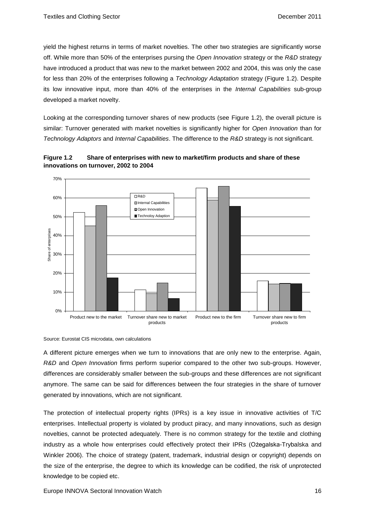yield the highest returns in terms of market novelties. The other two strategies are significantly worse off. While more than 50% of the enterprises pursing the *Open Innovation* strategy or the *R&D* strategy have introduced a product that was new to the market between 2002 and 2004, this was only the case for less than 20% of the enterprises following a *Technology Adaptation* strategy (Figure 1.2). Despite its low innovative input, more than 40% of the enterprises in the *Internal Capabilities* sub-group developed a market novelty.

Looking at the corresponding turnover shares of new products (see [Figure 1.2\)](#page-18-0), the overall picture is similar: Turnover generated with market novelties is significantly higher for *Open Innovation* than for *Technology Adaptors* and *Internal Capabilities*. The difference to the *R&D* strategy is not significant.



<span id="page-18-0"></span>**Figure 1.2 Share of enterprises with new to market/firm products and share of these innovations on turnover, 2002 to 2004**

Source: Eurostat CIS microdata, own calculations

A different picture emerges when we turn to innovations that are only new to the enterprise. Again, *R&D* and *Open Innovation* firms perform superior compared to the other two sub-groups. However, differences are considerably smaller between the sub-groups and these differences are not significant anymore. The same can be said for differences between the four strategies in the share of turnover generated by innovations, which are not significant.

The protection of intellectual property rights (IPRs) is a key issue in innovative activities of T/C enterprises. Intellectual property is violated by product piracy, and many innovations, such as design novelties, cannot be protected adequately. There is no common strategy for the textile and clothing industry as a whole how enterprises could effectively protect their IPRs (Ożegalska-Trybalska and Winkler 2006). The choice of strategy (patent, trademark, industrial design or copyright) depends on the size of the enterprise, the degree to which its knowledge can be codified, the risk of unprotected knowledge to be copied etc.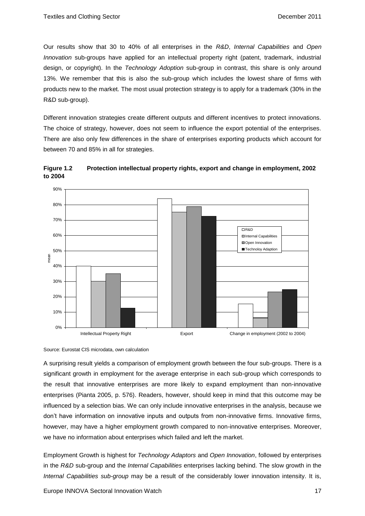Our results show that 30 to 40% of all enterprises in the *R&D*, *Internal Capabilities* and *Open Innovation* sub-groups have applied for an intellectual property right (patent, trademark, industrial design, or copyright). In the *Technology Adoption* sub-group in contrast, this share is only around 13%. We remember that this is also the sub-group which includes the lowest share of firms with products new to the market. The most usual protection strategy is to apply for a trademark (30% in the R&D sub-group).

Different innovation strategies create different outputs and different incentives to protect innovations. The choice of strategy, however, does not seem to influence the export potential of the enterprises. There are also only few differences in the share of enterprises exporting products which account for between 70 and 85% in all for strategies.





Source: Eurostat CIS microdata, own calculation

A surprising result yields a comparison of employment growth between the four sub-groups. There is a significant growth in employment for the average enterprise in each sub-group which corresponds to the result that innovative enterprises are more likely to expand employment than non-innovative enterprises (Pianta 2005, p. 576). Readers, however, should keep in mind that this outcome may be influenced by a selection bias. We can only include innovative enterprises in the analysis, because we don't have information on innovative inputs and outputs from non-innovative firms. Innovative firms, however, may have a higher employment growth compared to non-innovative enterprises. Moreover, we have no information about enterprises which failed and left the market.

Employment Growth is highest for *Technology Adaptors* and *Open Innovation*, followed by enterprises in the *R&D* sub-group and the *Internal Capabilities* enterprises lacking behind. The slow growth in the *Internal Capabilities sub-group* may be a result of the considerably lower innovation intensity. It is,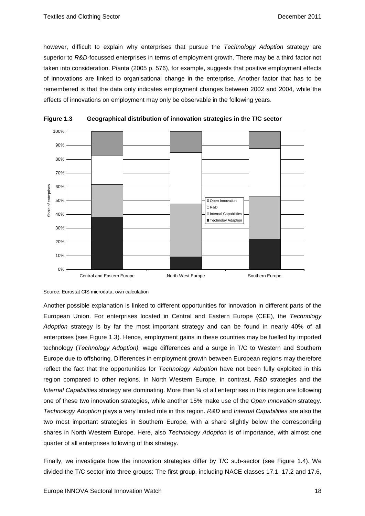however, difficult to explain why enterprises that pursue the *Technology Adoption* strategy are superior to *R&D*-focussed enterprises in terms of employment growth. There may be a third factor not taken into consideration. Pianta (2005 p. 576), for example, suggests that positive employment effects of innovations are linked to organisational change in the enterprise. Another factor that has to be remembered is that the data only indicates employment changes between 2002 and 2004, while the effects of innovations on employment may only be observable in the following years.





Another possible explanation is linked to different opportunities for innovation in different parts of the European Union. For enterprises located in Central and Eastern Europe (CEE), the *Technology Adoption* strategy is by far the most important strategy and can be found in nearly 40% of all enterprises (see Figure 1.3). Hence, employment gains in these countries may be fuelled by imported technology (*Technology Adoption),* wage differences and a surge in T/C to Western and Southern Europe due to offshoring. Differences in employment growth between European regions may therefore reflect the fact that the opportunities for *Technology Adoption* have not been fully exploited in this region compared to other regions. In North Western Europe, in contrast, *R&D* strategies and the *Internal Capabilities* strategy are dominating. More than ¾ of all enterprises in this region are following one of these two innovation strategies, while another 15% make use of the *Open Innovation* strategy. *Technology Adoption* plays a very limited role in this region. *R&D* and *Internal Capabilities* are also the two most important strategies in Southern Europe, with a share slightly below the corresponding shares in North Western Europe. Here, also *Technology Adoption* is of importance, with almost one quarter of all enterprises following of this strategy.

Finally, we investigate how the innovation strategies differ by T/C sub-sector (see Figure 1.4). We divided the T/C sector into three groups: The first group, including NACE classes 17.1, 17.2 and 17.6,

Source: Eurostat CIS microdata, own calculation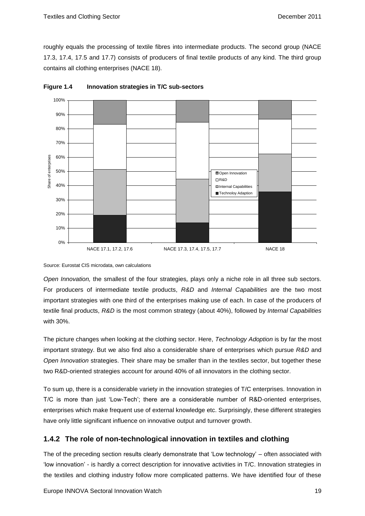roughly equals the processing of textile fibres into intermediate products. The second group (NACE 17.3, 17.4, 17.5 and 17.7) consists of producers of final textile products of any kind. The third group contains all clothing enterprises (NACE 18).





Source: Eurostat CIS microdata, own calculations

*Open Innovation,* the smallest of the four strategies*,* plays only a niche role in all three sub sectors. For producers of intermediate textile products, *R&D* and *Internal Capabilities* are the two most important strategies with one third of the enterprises making use of each. In case of the producers of textile final products, *R&D* is the most common strategy (about 40%), followed by *Internal Capabilities* with 30%.

The picture changes when looking at the clothing sector. Here, *Technology Adoption* is by far the most important strategy. But we also find also a considerable share of enterprises which pursue *R&D* and *Open Innovation* strategies. Their share may be smaller than in the textiles sector, but together these two R&D-oriented strategies account for around 40% of all innovators in the clothing sector.

To sum up, there is a considerable variety in the innovation strategies of T/C enterprises. Innovation in T/C is more than just 'Low-Tech'; there are a considerable number of R&D-oriented enterprises, enterprises which make frequent use of external knowledge etc. Surprisingly, these different strategies have only little significant influence on innovative output and turnover growth.

### <span id="page-21-0"></span>**1.4.2 The role of non-technological innovation in textiles and clothing**

The of the preceding section results clearly demonstrate that 'Low technology' – often associated with 'low innovation' - is hardly a correct description for innovative activities in T/C. Innovation strategies in the textiles and clothing industry follow more complicated patterns. We have identified four of these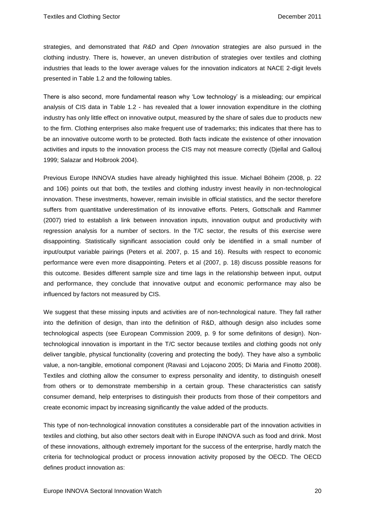strategies, and demonstrated that *R&D* and *Open Innovation* strategies are also pursued in the clothing industry. There is, however, an uneven distribution of strategies over textiles and clothing industries that leads to the lower average values for the innovation indicators at NACE 2-digit levels presented in Table 1.2 and the following tables.

There is also second, more fundamental reason why 'Low technology' is a misleading; our empirical analysis of CIS data in [Table 1.2](#page-11-0) - has revealed that a lower innovation expenditure in the clothing industry has only little effect on innovative output, measured by the share of sales due to products new to the firm. Clothing enterprises also make frequent use of trademarks; this indicates that there has to be an innovative outcome worth to be protected. Both facts indicate the existence of other innovation activities and inputs to the innovation process the CIS may not measure correctly (Djellal and Gallouj 1999; Salazar and Holbrook 2004).

Previous Europe INNOVA studies have already highlighted this issue. Michael Böheim (2008, p. 22 and 106) points out that both, the textiles and clothing industry invest heavily in non-technological innovation. These investments, however, remain invisible in official statistics, and the sector therefore suffers from quantitative underestimation of its innovative efforts. Peters, Gottschalk and Rammer (2007) tried to establish a link between innovation inputs, innovation output and productivity with regression analysis for a number of sectors. In the T/C sector, the results of this exercise were disappointing. Statistically significant association could only be identified in a small number of input/output variable pairings (Peters et al. 2007, p. 15 and 16). Results with respect to economic performance were even more disappointing. Peters et al (2007, p. 18) discuss possible reasons for this outcome. Besides different sample size and time lags in the relationship between input, output and performance, they conclude that innovative output and economic performance may also be influenced by factors not measured by CIS.

We suggest that these missing inputs and activities are of non-technological nature. They fall rather into the definition of design, than into the definition of R&D, although design also includes some technological aspects (see European Commission 2009, p. 9 for some definitons of design). Nontechnological innovation is important in the T/C sector because textiles and clothing goods not only deliver tangible, physical functionality (covering and protecting the body). They have also a symbolic value, a non-tangible, emotional component (Ravasi and Lojacono 2005; Di Maria and Finotto 2008). Textiles and clothing allow the consumer to express personality and identity, to distinguish oneself from others or to demonstrate membership in a certain group. These characteristics can satisfy consumer demand, help enterprises to distinguish their products from those of their competitors and create economic impact by increasing significantly the value added of the products.

This type of non-technological innovation constitutes a considerable part of the innovation activities in textiles and clothing, but also other sectors dealt with in Europe INNOVA such as food and drink. Most of these innovations, although extremely important for the success of the enterprise, hardly match the criteria for technological product or process innovation activity proposed by the OECD. The OECD defines product innovation as: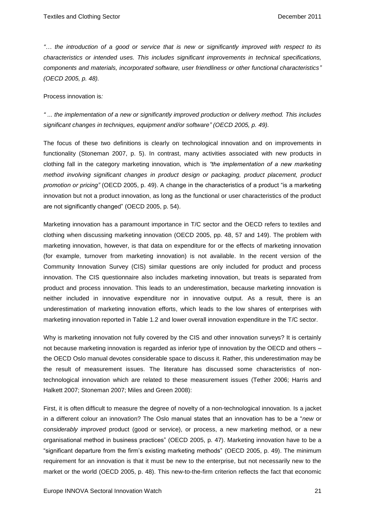*"… the introduction of a good or service that is new or significantly improved with respect to its characteristics or intended uses. This includes significant improvements in technical specifications, components and materials, incorporated software, user friendliness or other functional characteristics" (OECD 2005, p. 48).*

Process innovation is*:*

*" ... the implementation of a new or significantly improved production or delivery method. This includes significant changes in techniques, equipment and/or software" (OECD 2005, p. 49).*

The focus of these two definitions is clearly on technological innovation and on improvements in functionality (Stoneman 2007, p. 5). In contrast, many activities associated with new products in clothing fall in the category marketing innovation, which is *"the implementation of a new marketing method involving significant changes in product design or packaging, product placement, product promotion or pricing"* (OECD 2005, p. 49). A change in the characteristics of a product "is a marketing innovation but not a product innovation, as long as the functional or user characteristics of the product are not significantly changed" (OECD 2005, p. 54).

Marketing innovation has a paramount importance in T/C sector and the OECD refers to textiles and clothing when discussing marketing innovation (OECD 2005, pp. 48, 57 and 149). The problem with marketing innovation, however, is that data on expenditure for or the effects of marketing innovation (for example, turnover from marketing innovation) is not available. In the recent version of the Community Innovation Survey (CIS) similar questions are only included for product and process innovation. The CIS questionnaire also includes marketing innovation, but treats is separated from product and process innovation. This leads to an underestimation, because marketing innovation is neither included in innovative expenditure nor in innovative output. As a result, there is an underestimation of marketing innovation efforts, which leads to the low shares of enterprises with marketing innovation reported in [Table 1.2](#page-11-0) and lower overall innovation expenditure in the T/C sector.

Why is marketing innovation not fully covered by the CIS and other innovation surveys? It is certainly not because marketing innovation is regarded as inferior type of innovation by the OECD and others – the OECD Oslo manual devotes considerable space to discuss it. Rather, this underestimation may be the result of measurement issues. The literature has discussed some characteristics of nontechnological innovation which are related to these measurement issues (Tether 2006; Harris and Halkett 2007; Stoneman 2007; Miles and Green 2008):

First, it is often difficult to measure the degree of novelty of a non-technological innovation. Is a jacket in a different colour an innovation? The Oslo manual states that an innovation has to be a "*new* or *considerably improved* product (good or service), or process, a new marketing method, or a new organisational method in business practices" (OECD 2005, p. 47). Marketing innovation have to be a "significant departure from the firm's existing marketing methods" (OECD 2005, p. 49). The minimum requirement for an innovation is that it must be new to the enterprise, but not necessarily new to the market or the world (OECD 2005, p. 48). This new-to-the-firm criterion reflects the fact that economic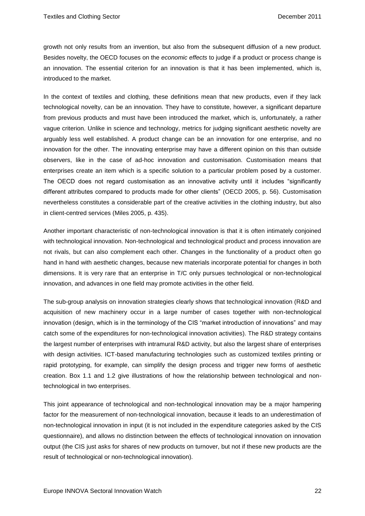growth not only results from an invention, but also from the subsequent diffusion of a new product. Besides novelty, the OECD focuses on the *economic effects* to judge if a product or process change is an innovation. The essential criterion for an innovation is that it has been implemented, which is, introduced to the market.

In the context of textiles and clothing, these definitions mean that new products, even if they lack technological novelty, can be an innovation. They have to constitute, however, a significant departure from previous products and must have been introduced the market, which is, unfortunately, a rather vague criterion. Unlike in science and technology, metrics for judging significant aesthetic novelty are arguably less well established. A product change can be an innovation for one enterprise, and no innovation for the other. The innovating enterprise may have a different opinion on this than outside observers, like in the case of ad-hoc innovation and customisation. Customisation means that enterprises create an item which is a specific solution to a particular problem posed by a customer. The OECD does not regard customisation as an innovative activity until it includes "significantly different attributes compared to products made for other clients" (OECD 2005, p. 56). Customisation nevertheless constitutes a considerable part of the creative activities in the clothing industry, but also in client-centred services (Miles 2005, p. 435).

Another important characteristic of non-technological innovation is that it is often intimately conjoined with technological innovation. Non-technological and technological product and process innovation are not rivals, but can also complement each other. Changes in the functionality of a product often go hand in hand with aesthetic changes, because new materials incorporate potential for changes in both dimensions. It is very rare that an enterprise in T/C only pursues technological or non-technological innovation, and advances in one field may promote activities in the other field.

The sub-group analysis on innovation strategies clearly shows that technological innovation (R&D and acquisition of new machinery occur in a large number of cases together with non-technological innovation (design, which is in the terminology of the CIS "market introduction of innovations" and may catch some of the expenditures for non-technological innovation activities). The R&D strategy contains the largest number of enterprises with intramural R&D activity, but also the largest share of enterprises with design activities. ICT-based manufacturing technologies such as customized textiles printing or rapid prototyping, for example, can simplify the design process and trigger new forms of aesthetic creation. Box 1.1 and 1.2 give illustrations of how the relationship between technological and nontechnological in two enterprises.

This joint appearance of technological and non-technological innovation may be a major hampering factor for the measurement of non-technological innovation, because it leads to an underestimation of non-technological innovation in input (it is not included in the expenditure categories asked by the CIS questionnaire), and allows no distinction between the effects of technological innovation on innovation output (the CIS just asks for shares of new products on turnover, but not if these new products are the result of technological or non-technological innovation).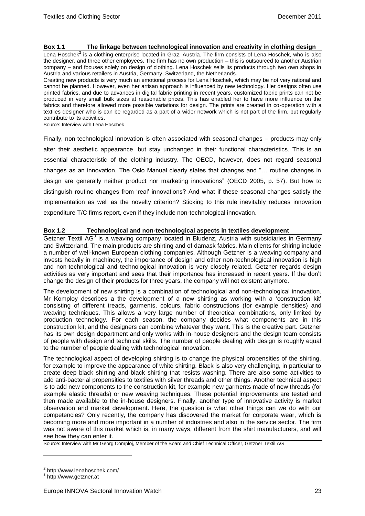#### **Box 1.1 The linkage between technological innovation and creativity in clothing design**

Lena Hoschek<sup>2</sup> is a clothing enterprise located in Graz, Austria. The firm consists of Lena Hoschek, who is also the designer, and three other employees. The firm has no own production – this is outsourced to another Austrian company – and focuses solely on design of clothing. Lena Hoschek sells its products through two own shops in Austria and various retailers in Austria, Germany, Switzerland, the Netherlands.

Creating new products is very much an emotional process for Lena Hoschek, which may be not very rational and cannot be planned. However, even her artisan approach is influenced by new technology. Her designs often use printed fabrics, and due to advances in digital fabric printing in recent years, customized fabric prints can not be produced in very small bulk sizes at reasonable prices. This has enabled her to have more influence on the fabrics and therefore allowed more possible variations for design. The prints are created in co-operation with a textiles designer who is can be regarded as a part of a wider network which is not part of the firm, but regularly contribute to its activities.

Source: Interview with Lena Hoschek

Finally, non-technological innovation is often associated with seasonal changes – products may only alter their aesthetic appearance, but stay unchanged in their functional characteristics. This is an essential characteristic of the clothing industry. The OECD, however, does not regard seasonal changes as an innovation. The Oslo Manual clearly states that changes and "… routine changes in design are generally neither product nor marketing innovations" (OECD 2005, p. 57). But how to distinguish routine changes from 'real' innovations? And what if these seasonal changes satisfy the implementation as well as the novelty criterion? Sticking to this rule inevitably reduces innovation expenditure T/C firms report, even if they include non-technological innovation.

### **Box 1.2 Technological and non-technological aspects in textiles development**

Getzner Textil AG<sup>3</sup> is a weaving company located in Bludenz, Austria with subsidiaries in Germany and Switzerland. The main products are shirting and of damask fabrics. Main clients for shiring include a number of well-known European clothing companies. Although Getzner is a weaving company and invests heavily in machinery, the importance of design and other non-technological innovation is high and non-technological and technological innovation is very closely related. Getzner regards design activities as very important and sees that their importance has increased in recent years. If the don't change the design of their products for three years, the company will not existent anymore.

The development of new shirting is a combination of technological and non-technological innovation. Mr Komploy describes a the development of a new shirting as working with a 'construction kit' consisting of different treads, garments, colours, fabric constructions (for example densities) and weaving techniques. This allows a very large number of theoretical combinations, only limited by production technology. For each season, the company decides what components are in this construction kit, and the designers can combine whatever they want. This is the creative part. Getzner has its own design department and only works with in-house designers and the design team consists of people with design and technical skills. The number of people dealing with design is roughly equal to the number of people dealing with technological innovation.

The technological aspect of developing shirting is to change the physical propensities of the shirting, for example to improve the appearance of white shirting. Black is also very challenging, in particular to create deep black shirting and black shirting that resists washing. There are also some activities to add anti-bacterial propensities to textiles with silver threads and other things. Another technical aspect is to add new components to the construction kit, for example new garments made of new threads (for example elastic threads) or new weaving techniques. These potential improvements are tested and then made available to the in-house designers. Finally, another type of innovative activity is market observation and market development. Here, the question is what other things can we do with our competencies? Only recently, the company has discovered the market for corporate wear, which is becoming more and more important in a number of industries and also in the service sector. The firm was not aware of this market which is, in many ways, different from the shirt manufacturers, and will see how they can enter it.

Source: Interview with Mr Georg Comploj, Member of the Board and Chief Technical Officer, Getzner Textil AG

 $\overline{a}$ 

<sup>&</sup>lt;sup>2</sup> http://www.lenahoschek.com/

<sup>&</sup>lt;sup>3</sup> http://www.getzner.at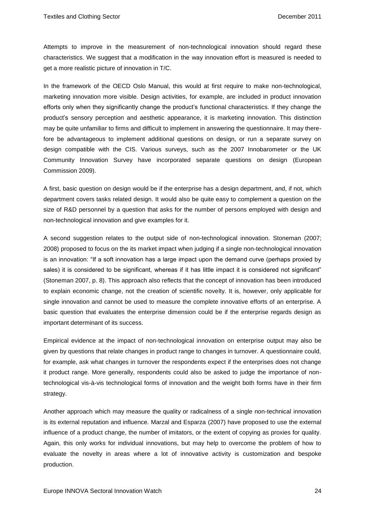Attempts to improve in the measurement of non-technological innovation should regard these characteristics. We suggest that a modification in the way innovation effort is measured is needed to get a more realistic picture of innovation in T/C.

In the framework of the OECD Oslo Manual, this would at first require to make non-technological, marketing innovation more visible. Design activities, for example, are included in product innovation efforts only when they significantly change the product's functional characteristics. If they change the product's sensory perception and aesthetic appearance, it is marketing innovation. This distinction may be quite unfamiliar to firms and difficult to implement in answering the questionnaire. It may therefore be advantageous to implement additional questions on design, or run a separate survey on design compatible with the CIS. Various surveys, such as the 2007 Innobarometer or the UK Community Innovation Survey have incorporated separate questions on design (European Commission 2009).

A first, basic question on design would be if the enterprise has a design department, and, if not, which department covers tasks related design. It would also be quite easy to complement a question on the size of R&D personnel by a question that asks for the number of persons employed with design and non-technological innovation and give examples for it.

A second suggestion relates to the output side of non-technological innovation. Stoneman (2007; 2008) proposed to focus on the its market impact when judging if a single non-technological innovation is an innovation: "If a soft innovation has a large impact upon the demand curve (perhaps proxied by sales) it is considered to be significant, whereas if it has little impact it is considered not significant" (Stoneman 2007, p. 8). This approach also reflects that the concept of innovation has been introduced to explain economic change, not the creation of scientific novelty. It is, however, only applicable for single innovation and cannot be used to measure the complete innovative efforts of an enterprise. A basic question that evaluates the enterprise dimension could be if the enterprise regards design as important determinant of its success.

Empirical evidence at the impact of non-technological innovation on enterprise output may also be given by questions that relate changes in product range to changes in turnover. A questionnaire could, for example, ask what changes in turnover the respondents expect if the enterprises does not change it product range. More generally, respondents could also be asked to judge the importance of nontechnological vis-à-vis technological forms of innovation and the weight both forms have in their firm strategy.

Another approach which may measure the quality or radicalness of a single non-technical innovation is its external reputation and influence. Marzal and Esparza (2007) have proposed to use the external influence of a product change, the number of imitators, or the extent of copying as proxies for quality. Again, this only works for individual innovations, but may help to overcome the problem of how to evaluate the novelty in areas where a lot of innovative activity is customization and bespoke production.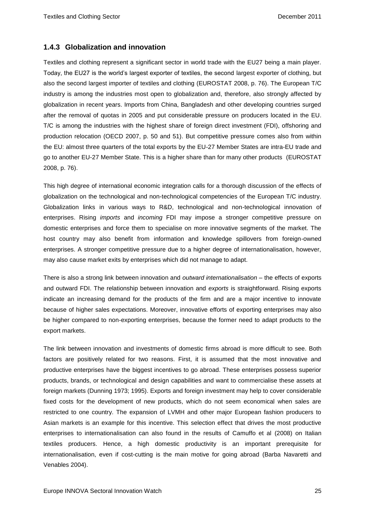### <span id="page-27-0"></span>**1.4.3 Globalization and innovation**

Textiles and clothing represent a significant sector in world trade with the EU27 being a main player. Today, the EU27 is the world's largest exporter of textiles, the second largest exporter of clothing, but also the second largest importer of textiles and clothing (EUROSTAT 2008, p. 76). The European T/C industry is among the industries most open to globalization and, therefore, also strongly affected by globalization in recent years. Imports from China, Bangladesh and other developing countries surged after the removal of quotas in 2005 and put considerable pressure on producers located in the EU. T/C is among the industries with the highest share of foreign direct investment (FDI), offshoring and production relocation (OECD 2007, p. 50 and 51). But competitive pressure comes also from within the EU: almost three quarters of the total exports by the EU-27 Member States are intra-EU trade and go to another EU-27 Member State. This is a higher share than for many other products (EUROSTAT 2008, p. 76).

This high degree of international economic integration calls for a thorough discussion of the effects of globalization on the technological and non-technological competencies of the European T/C industry. Globalization links in various ways to R&D, technological and non-technological innovation of enterprises. Rising *imports* and *incoming* FDI may impose a stronger competitive pressure on domestic enterprises and force them to specialise on more innovative segments of the market. The host country may also benefit from information and knowledge spillovers from foreign-owned enterprises. A stronger competitive pressure due to a higher degree of internationalisation, however, may also cause market exits by enterprises which did not manage to adapt.

There is also a strong link between innovation and *outward internationalisation* – the effects of exports and outward FDI. The relationship between innovation and *exports* is straightforward. Rising exports indicate an increasing demand for the products of the firm and are a major incentive to innovate because of higher sales expectations. Moreover, innovative efforts of exporting enterprises may also be higher compared to non-exporting enterprises, because the former need to adapt products to the export markets.

The link between innovation and investments of domestic firms abroad is more difficult to see. Both factors are positively related for two reasons. First, it is assumed that the most innovative and productive enterprises have the biggest incentives to go abroad. These enterprises possess superior products, brands, or technological and design capabilities and want to commercialise these assets at foreign markets (Dunning 1973; 1995). Exports and foreign investment may help to cover considerable fixed costs for the development of new products, which do not seem economical when sales are restricted to one country. The expansion of LVMH and other major European fashion producers to Asian markets is an example for this incentive. This selection effect that drives the most productive enterprises to internationalisation can also found in the results of Camuffo et al (2008) on Italian textiles producers. Hence, a high domestic productivity is an important prerequisite for internationalisation, even if cost-cutting is the main motive for going abroad (Barba Navaretti and Venables 2004).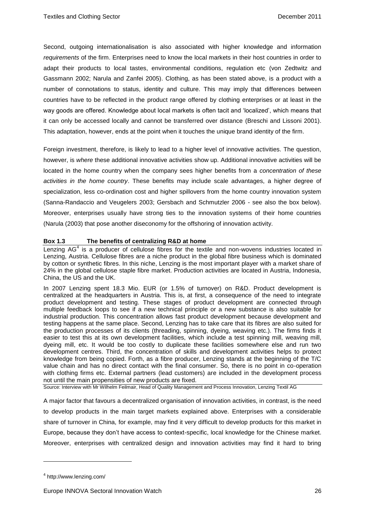Second, outgoing internationalisation is also associated with higher knowledge and information *requirements* of the firm. Enterprises need to know the local markets in their host countries in order to adapt their products to local tastes, environmental conditions, regulation etc (von Zedtwitz and Gassmann 2002; Narula and Zanfei 2005). Clothing, as has been stated above, is a product with a number of connotations to status, identity and culture. This may imply that differences between countries have to be reflected in the product range offered by clothing enterprises or at least in the way goods are offered. Knowledge about local markets is often tacit and 'localized', which means that it can only be accessed locally and cannot be transferred over distance (Breschi and Lissoni 2001). This adaptation, however, ends at the point when it touches the unique brand identity of the firm.

Foreign investment, therefore, is likely to lead to a higher level of innovative activities. The question, however, is *where* these additional innovative activities show up. Additional innovative activities will be located in the home country when the company sees higher benefits from a *concentration of these activities in the home country*. These benefits may include scale advantages, a higher degree of specialization, less co-ordination cost and higher spillovers from the home country innovation system (Sanna-Randaccio and Veugelers 2003; Gersbach and Schmutzler 2006 - see also the box below). Moreover, enterprises usually have strong ties to the innovation systems of their home countries (Narula (2003) that pose another diseconomy for the offshoring of innovation activity.

### **Box 1.3 The benefits of centralizing R&D at home**

Lenzing  $AG<sup>4</sup>$  is a producer of cellulose fibres for the textile and non-wovens industries located in Lenzing, Austria. Cellulose fibres are a niche product in the global fibre business which is dominated by cotton or synthetic fibres. In this niche, Lenzing is the most important player with a market share of 24% in the global cellulose staple fibre market. Production activities are located in Austria, Indonesia, China, the US and the UK.

In 2007 Lenzing spent 18.3 Mio. EUR (or 1.5% of turnover) on R&D. Product development is centralized at the headquarters in Austria. This is, at first, a consequence of the need to integrate product development and testing. These stages of product development are connected through multiple feedback loops to see if a new technical principle or a new substance is also suitable for industrial production. This concentration allows fast product development because development and testing happens at the same place. Second, Lenzing has to take care that its fibres are also suited for the production processes of its clients (threading, spinning, dyeing, weaving etc.). The firms finds it easier to test this at its own development facilities, which include a test spinning mill, weaving mill, dyeing mill, etc. It would be too costly to duplicate these facilities somewhere else and run two development centres. Third, the concentration of skills and development activities helps to protect knowledge from being copied. Forth, as a fibre producer, Lenzing stands at the beginning of the T/C value chain and has no direct contact with the final consumer. So, there is no point in co-operation with clothing firms etc. External partners (lead customers) are included in the development process not until the main propensities of new products are fixed.

Source: Interview with Mr Wilhelm Feilmair, Head of Quality Management and Process Innovation, Lenzing Textil AG

A major factor that favours a decentralized organisation of innovation activities, in contrast, is the need to develop products in the main target markets explained above. Enterprises with a considerable share of turnover in China, for example, may find it very difficult to develop products for this market in Europe, because they don't have access to context-specific, local knowledge for the Chinese market. Moreover, enterprises with centralized design and innovation activities may find it hard to bring

 $\overline{a}$ 

<sup>&</sup>lt;sup>4</sup> http://www.lenzing.com/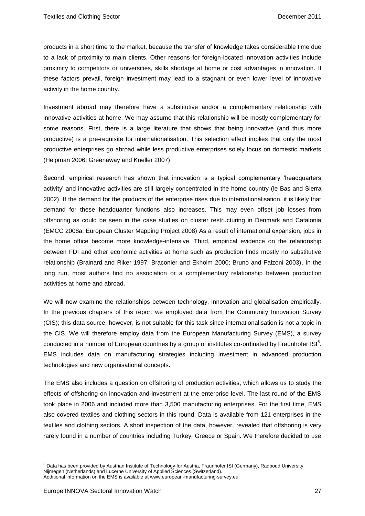products in a short time to the market, because the transfer of knowledge takes considerable time due to a lack of proximity to main clients. Other reasons for foreign-located innovation activities include proximity to competitors or universities, skills shortage at home or cost advantages in innovation. If these factors prevail, foreign investment may lead to a stagnant or even lower level of innovative activity in the home country.

Investment abroad may therefore have a substitutive and/or a complementary relationship with innovative activities at home. We may assume that this relationship will be mostly complementary for some reasons. First, there is a large literature that shows that being innovative (and thus more productive) is a pre-requisite for internationalisation. This selection effect implies that only the most productive enterprises go abroad while less productive enterprises solely focus on domestic markets (Helpman 2006; Greenaway and Kneller 2007).

Second, empirical research has shown that innovation is a typical complementary 'headquarters activity' and innovative activities are still largely concentrated in the home country (le Bas and Sierra 2002). If the demand for the products of the enterprise rises due to internationalisation, it is likely that demand for these headquarter functions also increases. This may even offset job losses from offshoring as could be seen in the case studies on cluster restructuring in Denmark and Catalonia (EMCC 2008a; European Cluster Mapping Project 2008) As a result of international expansion, jobs in the home office become more knowledge-intensive. Third, empirical evidence on the relationship between FDI and other economic activities at home such as production finds mostly no substitutive relationship (Brainard and Riker 1997; Braconier and Ekholm 2000; Bruno and Falzoni 2003). In the long run, most authors find no association or a complementary relationship between production activities at home and abroad.

We will now examine the relationships between technology, innovation and globalisation empirically. In the previous chapters of this report we employed data from the Community Innovation Survey (CIS); this data source, however, is not suitable for this task since internationalisation is not a topic in the CIS. We will therefore employ data from the European Manufacturing Survey (EMS), a survey conducted in a number of European countries by a group of institutes co-ordinated by Fraunhofer ISI<sup>5</sup>. EMS includes data on manufacturing strategies including investment in advanced production technologies and new organisational concepts.

The EMS also includes a question on offshoring of production activities, which allows us to study the effects of offshoring on innovation and investment at the enterprise level. The last round of the EMS took place in 2006 and included more than 3,500 manufacturing enterprises. For the first time, EMS also covered textiles and clothing sectors in this round. Data is available from 121 enterprises in the textiles and clothing sectors. A short inspection of the data, however, revealed that offshoring is very rarely found in a number of countries including Turkey, Greece or Spain. We therefore decided to use

 $\overline{a}$ 

<sup>5</sup> Data has been provided by Austrian Institute of Technology for Austria, Fraunhofer ISI (Germany), Radboud University Nijmegen (Netherlands) and Lucerne University of Applied Sciences (Switzerland).

Additional information on the EMS is available at www.european-manufacturing-survey.eu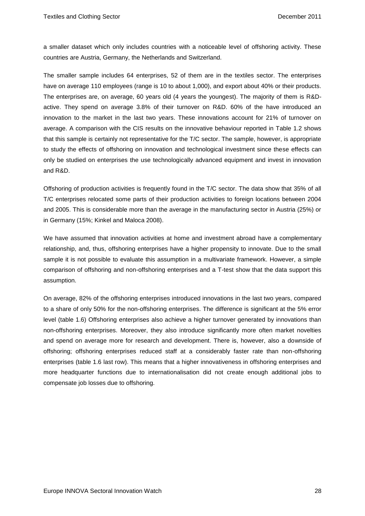a smaller dataset which only includes countries with a noticeable level of offshoring activity. These countries are Austria, Germany, the Netherlands and Switzerland.

The smaller sample includes 64 enterprises, 52 of them are in the textiles sector. The enterprises have on average 110 employees (range is 10 to about 1,000), and export about 40% or their products. The enterprises are, on average, 60 years old (4 years the youngest). The majority of them is R&Dactive. They spend on average 3.8% of their turnover on R&D. 60% of the have introduced an innovation to the market in the last two years. These innovations account for 21% of turnover on average. A comparison with the CIS results on the innovative behaviour reported in Table 1.2 shows that this sample is certainly not representative for the T/C sector. The sample, however, is appropriate to study the effects of offshoring on innovation and technological investment since these effects can only be studied on enterprises the use technologically advanced equipment and invest in innovation and R&D.

Offshoring of production activities is frequently found in the T/C sector. The data show that 35% of all T/C enterprises relocated some parts of their production activities to foreign locations between 2004 and 2005. This is considerable more than the average in the manufacturing sector in Austria (25%) or in Germany (15%; Kinkel and Maloca 2008).

We have assumed that innovation activities at home and investment abroad have a complementary relationship, and, thus, offshoring enterprises have a higher propensity to innovate. Due to the small sample it is not possible to evaluate this assumption in a multivariate framework. However, a simple comparison of offshoring and non-offshoring enterprises and a T-test show that the data support this assumption.

On average, 82% of the offshoring enterprises introduced innovations in the last two years, compared to a share of only 50% for the non-offshoring enterprises. The difference is significant at the 5% error level (table 1.6) Offshoring enterprises also achieve a higher turnover generated by innovations than non-offshoring enterprises. Moreover, they also introduce significantly more often market novelties and spend on average more for research and development. There is, however, also a downside of offshoring; offshoring enterprises reduced staff at a considerably faster rate than non-offshoring enterprises (table 1.6 last row). This means that a higher innovativeness in offshoring enterprises and more headquarter functions due to internationalisation did not create enough additional jobs to compensate job losses due to offshoring.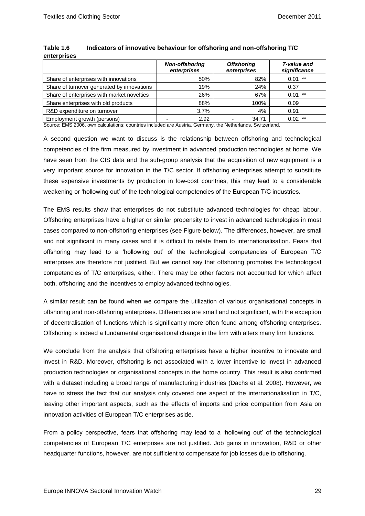|                                            | <b>Non-offshoring</b><br>enterprises | <b>Offshoring</b><br>enterprises | T-value and<br>significance |
|--------------------------------------------|--------------------------------------|----------------------------------|-----------------------------|
| Share of enterprises with innovations      | 50%                                  | 82%                              | $0.01$ **                   |
| Share of turnover generated by innovations | 19%                                  | 24%                              | 0.37                        |
| Share of enterprises with market novelties | 26%                                  | 67%                              | $0.01$ **                   |
| Share enterprises with old products        | 88%                                  | 100%                             | 0.09                        |
| R&D expenditure on turnover                | 3.7%                                 | 4%                               | 0.91                        |
| Employment growth (persons)                | 2.92                                 | 34.71                            | **<br>0.02                  |

### **Table 1.6 Indicators of innovative behaviour for offshoring and non-offshoring T/C enterprises**

Source: EMS 2006, own calculations; countries included are Austria, Germany, the Netherlands, Switzerland.

A second question we want to discuss is the relationship between offshoring and technological competencies of the firm measured by investment in advanced production technologies at home. We have seen from the CIS data and the sub-group analysis that the acquisition of new equipment is a very important source for innovation in the T/C sector. If offshoring enterprises attempt to substitute these expensive investments by production in low-cost countries, this may lead to a considerable weakening or 'hollowing out' of the technological competencies of the European T/C industries.

The EMS results show that enterprises do not substitute advanced technologies for cheap labour. Offshoring enterprises have a higher or similar propensity to invest in advanced technologies in most cases compared to non-offshoring enterprises (see Figure below). The differences, however, are small and not significant in many cases and it is difficult to relate them to internationalisation. Fears that offshoring may lead to a 'hollowing out' of the technological competencies of European T/C enterprises are therefore not justified. But we cannot say that offshoring promotes the technological competencies of T/C enterprises, either. There may be other factors not accounted for which affect both, offshoring and the incentives to employ advanced technologies.

A similar result can be found when we compare the utilization of various organisational concepts in offshoring and non-offshoring enterprises. Differences are small and not significant, with the exception of decentralisation of functions which is significantly more often found among offshoring enterprises. Offshoring is indeed a fundamental organisational change in the firm with alters many firm functions.

We conclude from the analysis that offshoring enterprises have a higher incentive to innovate and invest in R&D. Moreover, offshoring is not associated with a lower incentive to invest in advanced production technologies or organisational concepts in the home country. This result is also confirmed with a dataset including a broad range of manufacturing industries (Dachs et al. 2008). However, we have to stress the fact that our analysis only covered one aspect of the internationalisation in T/C, leaving other important aspects, such as the effects of imports and price competition from Asia on innovation activities of European T/C enterprises aside.

From a policy perspective, fears that offshoring may lead to a 'hollowing out' of the technological competencies of European T/C enterprises are not justified. Job gains in innovation, R&D or other headquarter functions, however, are not sufficient to compensate for job losses due to offshoring.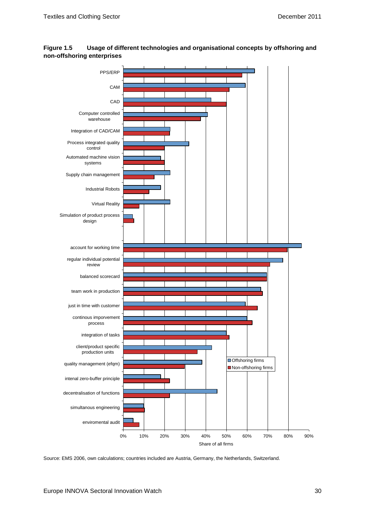

**Figure 1.5 Usage of different technologies and organisational concepts by offshoring and non-offshoring enterprises**

Source: EMS 2006, own calculations; countries included are Austria, Germany, the Netherlands, Switzerland.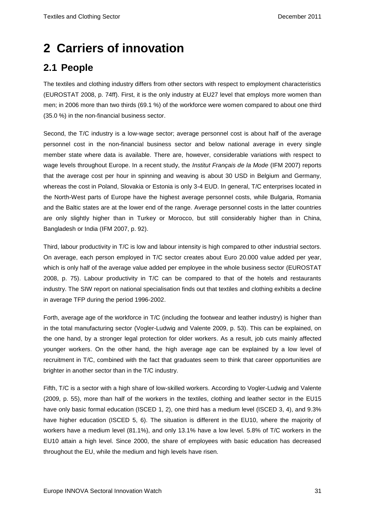# <span id="page-33-0"></span>**2 Carriers of innovation**

## <span id="page-33-1"></span>**2.1 People**

The textiles and clothing industry differs from other sectors with respect to employment characteristics (EUROSTAT 2008, p. 74ff). First, it is the only industry at EU27 level that employs more women than men; in 2006 more than two thirds (69.1 %) of the workforce were women compared to about one third (35.0 %) in the non-financial business sector.

Second, the T/C industry is a low-wage sector; average personnel cost is about half of the average personnel cost in the non-financial business sector and below national average in every single member state where data is available. There are, however, considerable variations with respect to wage levels throughout Europe. In a recent study, the *Institut Français de la Mode* (IFM 2007) reports that the average cost per hour in spinning and weaving is about 30 USD in Belgium and Germany, whereas the cost in Poland, Slovakia or Estonia is only 3-4 EUD. In general, T/C enterprises located in the North-West parts of Europe have the highest average personnel costs, while Bulgaria, Romania and the Baltic states are at the lower end of the range. Average personnel costs in the latter countries are only slightly higher than in Turkey or Morocco, but still considerably higher than in China, Bangladesh or India (IFM 2007, p. 92).

Third, labour productivity in T/C is low and labour intensity is high compared to other industrial sectors. On average, each person employed in T/C sector creates about Euro 20.000 value added per year, which is only half of the average value added per employee in the whole business sector (EUROSTAT 2008, p. 75). Labour productivity in T/C can be compared to that of the hotels and restaurants industry. The SIW report on national specialisation finds out that textiles and clothing exhibits a decline in average TFP during the period 1996-2002.

Forth, average age of the workforce in T/C (including the footwear and leather industry) is higher than in the total manufacturing sector (Vogler-Ludwig and Valente 2009, p. 53). This can be explained, on the one hand, by a stronger legal protection for older workers. As a result, job cuts mainly affected younger workers. On the other hand, the high average age can be explained by a low level of recruitment in T/C, combined with the fact that graduates seem to think that career opportunities are brighter in another sector than in the T/C industry.

Fifth, T/C is a sector with a high share of low-skilled workers. According to Vogler-Ludwig and Valente (2009, p. 55), more than half of the workers in the textiles, clothing and leather sector in the EU15 have only basic formal education (ISCED 1, 2), one third has a medium level (ISCED 3, 4), and 9.3% have higher education (ISCED 5, 6). The situation is different in the EU10, where the majority of workers have a medium level (81.1%), and only 13.1% have a low level. 5.8% of T/C workers in the EU10 attain a high level. Since 2000, the share of employees with basic education has decreased throughout the EU, while the medium and high levels have risen.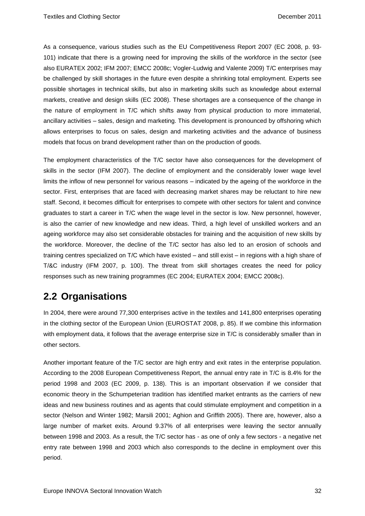As a consequence, various studies such as the EU Competitiveness Report 2007 (EC 2008, p. 93- 101) indicate that there is a growing need for improving the skills of the workforce in the sector (see also EURATEX 2002; IFM 2007; EMCC 2008c; Vogler-Ludwig and Valente 2009) T/C enterprises may be challenged by skill shortages in the future even despite a shrinking total employment. Experts see possible shortages in technical skills, but also in marketing skills such as knowledge about external markets, creative and design skills (EC 2008). These shortages are a consequence of the change in the nature of employment in T/C which shifts away from physical production to more immaterial, ancillary activities – sales, design and marketing. This development is pronounced by offshoring which allows enterprises to focus on sales, design and marketing activities and the advance of business models that focus on brand development rather than on the production of goods.

The employment characteristics of the T/C sector have also consequences for the development of skills in the sector (IFM 2007). The decline of employment and the considerably lower wage level limits the inflow of new personnel for various reasons – indicated by the ageing of the workforce in the sector. First, enterprises that are faced with decreasing market shares may be reluctant to hire new staff. Second, it becomes difficult for enterprises to compete with other sectors for talent and convince graduates to start a career in T/C when the wage level in the sector is low. New personnel, however, is also the carrier of new knowledge and new ideas. Third, a high level of unskilled workers and an ageing workforce may also set considerable obstacles for training and the acquisition of new skills by the workforce. Moreover, the decline of the T/C sector has also led to an erosion of schools and training centres specialized on T/C which have existed – and still exist – in regions with a high share of T/&C industry (IFM 2007, p. 100). The threat from skill shortages creates the need for policy responses such as new training programmes (EC 2004; EURATEX 2004; EMCC 2008c).

### <span id="page-34-0"></span>**2.2 Organisations**

In 2004, there were around 77,300 enterprises active in the textiles and 141,800 enterprises operating in the clothing sector of the European Union (EUROSTAT 2008, p. 85). If we combine this information with employment data, it follows that the average enterprise size in T/C is considerably smaller than in other sectors.

Another important feature of the T/C sector are high entry and exit rates in the enterprise population. According to the 2008 European Competitiveness Report, the annual entry rate in T/C is 8.4% for the period 1998 and 2003 (EC 2009, p. 138). This is an important observation if we consider that economic theory in the Schumpeterian tradition has identified market entrants as the carriers of new ideas and new business routines and as agents that could stimulate employment and competition in a sector (Nelson and Winter 1982; Marsili 2001; Aghion and Griffith 2005). There are, however, also a large number of market exits. Around 9.37% of all enterprises were leaving the sector annually between 1998 and 2003. As a result, the T/C sector has - as one of only a few sectors - a negative net entry rate between 1998 and 2003 which also corresponds to the decline in employment over this period.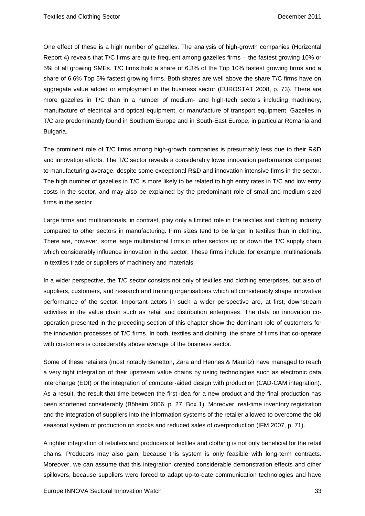One effect of these is a high number of gazelles. The analysis of high-growth companies (Horizontal Report 4) reveals that T/C firms are quite frequent among gazelles firms – the fastest growing 10% or 5% of all growing SMEs. T/C firms hold a share of 6.3% of the Top 10% fastest growing firms and a share of 6.6% Top 5% fastest growing firms. Both shares are well above the share T/C firms have on aggregate value added or employment in the business sector (EUROSTAT 2008, p. 73). There are more gazelles in T/C than in a number of medium- and high-tech sectors including machinery, manufacture of electrical and optical equipment, or manufacture of transport equipment. Gazelles in T/C are predominantly found in Southern Europe and in South-East Europe, in particular Romania and Bulgaria.

The prominent role of T/C firms among high-growth companies is presumably less due to their R&D and innovation efforts. The T/C sector reveals a considerably lower innovation performance compared to manufacturing average, despite some exceptional R&D and innovation intensive firms in the sector. The high number of gazelles in T/C is more likely to be related to high entry rates in T/C and low entry costs in the sector, and may also be explained by the predominant role of small and medium-sized firms in the sector.

Large firms and multinationals, in contrast, play only a limited role in the textiles and clothing industry compared to other sectors in manufacturing. Firm sizes tend to be larger in textiles than in clothing. There are, however, some large multinational firms in other sectors up or down the T/C supply chain which considerably influence innovation in the sector. These firms include, for example, multinationals in textiles trade or suppliers of machinery and materials.

In a wider perspective, the T/C sector consists not only of textiles and clothing enterprises, but also of suppliers, customers, and research and training organisations which all considerably shape innovative performance of the sector. Important actors in such a wider perspective are, at first, downstream activities in the value chain such as retail and distribution enterprises. The data on innovation cooperation presented in the preceding section of this chapter show the dominant role of customers for the innovation processes of T/C firms. In both, textiles and clothing, the share of firms that co-operate with customers is considerably above average of the business sector.

Some of these retailers (most notably Benetton, Zara and Hennes & Mauritz) have managed to reach a very tight integration of their upstream value chains by using technologies such as electronic data interchange (EDI) or the integration of computer-aided design with production (CAD-CAM integration). As a result, the result that time between the first idea for a new product and the final production has been shortened considerably (Böheim 2006, p. 27, Box 1). Moreover, real-time inventory registration and the integration of suppliers into the information systems of the retailer allowed to overcome the old seasonal system of production on stocks and reduced sales of overproduction (IFM 2007, p. 71).

A tighter integration of retailers and producers of textiles and clothing is not only beneficial for the retail chains. Producers may also gain, because this system is only feasible with long-term contracts. Moreover, we can assume that this integration created considerable demonstration effects and other spillovers, because suppliers were forced to adapt up-to-date communication technologies and have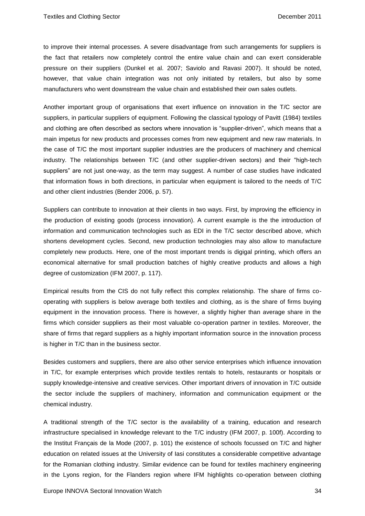to improve their internal processes. A severe disadvantage from such arrangements for suppliers is the fact that retailers now completely control the entire value chain and can exert considerable pressure on their suppliers (Dunkel et al. 2007; Saviolo and Ravasi 2007). It should be noted, however, that value chain integration was not only initiated by retailers, but also by some manufacturers who went downstream the value chain and established their own sales outlets.

Another important group of organisations that exert influence on innovation in the T/C sector are suppliers, in particular suppliers of equipment. Following the classical typology of Pavitt (1984) textiles and clothing are often described as sectors where innovation is "supplier-driven", which means that a main impetus for new products and processes comes from new equipment and new raw materials. In the case of T/C the most important supplier industries are the producers of machinery and chemical industry. The relationships between T/C (and other supplier-driven sectors) and their "high-tech suppliers" are not just one-way, as the term may suggest. A number of case studies have indicated that information flows in both directions, in particular when equipment is tailored to the needs of T/C and other client industries (Bender 2006, p. 57).

Suppliers can contribute to innovation at their clients in two ways. First, by improving the efficiency in the production of existing goods (process innovation). A current example is the the introduction of information and communication technologies such as EDI in the T/C sector described above, which shortens development cycles. Second, new production technologies may also allow to manufacture completely new products. Here, one of the most important trends is digigal printing, which offers an economical alternative for small production batches of highly creative products and allows a high degree of customization (IFM 2007, p. 117).

Empirical results from the CIS do not fully reflect this complex relationship. The share of firms cooperating with suppliers is below average both textiles and clothing, as is the share of firms buying equipment in the innovation process. There is however, a slightly higher than average share in the firms which consider suppliers as their most valuable co-operation partner in textiles. Moreover, the share of firms that regard suppliers as a highly important information source in the innovation process is higher in T/C than in the business sector.

Besides customers and suppliers, there are also other service enterprises which influence innovation in T/C, for example enterprises which provide textiles rentals to hotels, restaurants or hospitals or supply knowledge-intensive and creative services. Other important drivers of innovation in T/C outside the sector include the suppliers of machinery, information and communication equipment or the chemical industry.

A traditional strength of the T/C sector is the availability of a training, education and research infrastructure specialised in knowledge relevant to the T/C industry (IFM 2007, p. 100f). According to the Institut Français de la Mode (2007, p. 101) the existence of schools focussed on T/C and higher education on related issues at the University of Iasi constitutes a considerable competitive advantage for the Romanian clothing industry. Similar evidence can be found for textiles machinery engineering in the Lyons region, for the Flanders region where IFM highlights co-operation between clothing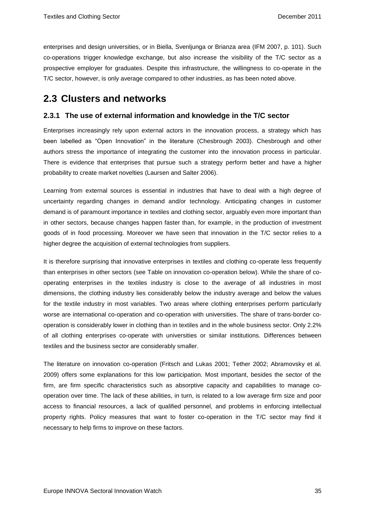enterprises and design universities, or in Biella, Svenljunga or Brianza area (IFM 2007, p. 101). Such co-operations trigger knowledge exchange, but also increase the visibility of the T/C sector as a prospective employer for graduates. Despite this infrastructure, the willingness to co-operate in the T/C sector, however, is only average compared to other industries, as has been noted above.

### **2.3 Clusters and networks**

### **2.3.1 The use of external information and knowledge in the T/C sector**

Enterprises increasingly rely upon external actors in the innovation process, a strategy which has been labelled as "Open Innovation" in the literature (Chesbrough 2003). Chesbrough and other authors stress the importance of integrating the customer into the innovation process in particular. There is evidence that enterprises that pursue such a strategy perform better and have a higher probability to create market novelties (Laursen and Salter 2006).

Learning from external sources is essential in industries that have to deal with a high degree of uncertainty regarding changes in demand and/or technology. Anticipating changes in customer demand is of paramount importance in textiles and clothing sector, arguably even more important than in other sectors, because changes happen faster than, for example, in the production of investment goods of in food processing. Moreover we have seen that innovation in the T/C sector relies to a higher degree the acquisition of external technologies from suppliers.

It is therefore surprising that innovative enterprises in textiles and clothing co-operate less frequently than enterprises in other sectors (see Table on innovation co-operation below). While the share of cooperating enterprises in the textiles industry is close to the average of all industries in most dimensions, the clothing industry lies considerably below the industry average and below the values for the textile industry in most variables. Two areas where clothing enterprises perform particularly worse are international co-operation and co-operation with universities. The share of trans-border cooperation is considerably lower in clothing than in textiles and in the whole business sector. Only 2.2% of all clothing enterprises co-operate with universities or similar institutions. Differences between textiles and the business sector are considerably smaller.

The literature on innovation co-operation (Fritsch and Lukas 2001; Tether 2002; Abramovsky et al. 2009) offers some explanations for this low participation. Most important, besides the sector of the firm, are firm specific characteristics such as absorptive capacity and capabilities to manage cooperation over time. The lack of these abilities, in turn, is related to a low average firm size and poor access to financial resources, a lack of qualified personnel, and problems in enforcing intellectual property rights. Policy measures that want to foster co-operation in the T/C sector may find it necessary to help firms to improve on these factors.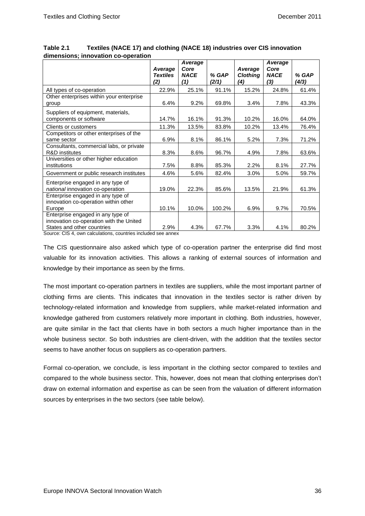|                                                                                          | Average<br><b>Textiles</b><br>(2) | Average<br>Core<br><b>NACE</b><br>(1) | % GAP<br>(2/1) | Average<br><b>Clothing</b><br>(4) | Average<br>Core<br><b>NACE</b><br>(3) | % GAP<br>(4/3) |
|------------------------------------------------------------------------------------------|-----------------------------------|---------------------------------------|----------------|-----------------------------------|---------------------------------------|----------------|
|                                                                                          | 22.9%                             | 25.1%                                 | 91.1%          | 15.2%                             | 24.8%                                 | 61.4%          |
| All types of co-operation<br>Other enterprises within your enterprise                    |                                   |                                       |                |                                   |                                       |                |
|                                                                                          | 6.4%                              | 9.2%                                  | 69.8%          | 3.4%                              | 7.8%                                  | 43.3%          |
| group                                                                                    |                                   |                                       |                |                                   |                                       |                |
| Suppliers of equipment, materials,                                                       |                                   |                                       |                |                                   |                                       |                |
| components or software                                                                   | 14.7%                             | 16.1%                                 | 91.3%          | 10.2%                             | 16.0%                                 | 64.0%          |
| Clients or customers                                                                     | 11.3%                             | 13.5%                                 | 83.8%          | 10.2%                             | 13.4%                                 | 76.4%          |
| Competitors or other enterprises of the                                                  |                                   |                                       |                |                                   |                                       |                |
| same sector                                                                              | 6.9%                              | 8.1%                                  | 86.1%          | 5.2%                              | 7.3%                                  | 71.2%          |
| Consultants, commercial labs, or private                                                 |                                   |                                       |                |                                   |                                       |                |
| <b>R&amp;D</b> institutes                                                                | 8.3%                              | 8.6%                                  | 96.7%          | 4.9%                              | 7.8%                                  | 63.6%          |
| Universities or other higher education                                                   |                                   |                                       |                |                                   |                                       |                |
| institutions                                                                             | 7.5%                              | 8.8%                                  | 85.3%          | 2.2%                              | 8.1%                                  | 27.7%          |
| Government or public research institutes                                                 | 4.6%                              | 5.6%                                  | 82.4%          | 3.0%                              | 5.0%                                  | 59.7%          |
| Enterprise engaged in any type of                                                        |                                   |                                       |                |                                   |                                       |                |
| national innovation co-operation                                                         | 19.0%                             | 22.3%                                 | 85.6%          | 13.5%                             | 21.9%                                 | 61.3%          |
| Enterprise engaged in any type of                                                        |                                   |                                       |                |                                   |                                       |                |
| innovation co-operation within other                                                     |                                   |                                       |                |                                   |                                       |                |
| Europe                                                                                   | 10.1%                             | 10.0%                                 | 100.2%         | 6.9%                              | 9.7%                                  | 70.5%          |
| Enterprise engaged in any type of                                                        |                                   |                                       |                |                                   |                                       |                |
| innovation co-operation with the United                                                  |                                   |                                       |                |                                   |                                       |                |
| States and other countries<br>Course: CIC 4, sum soloulations, sountries included ass or | 2.9%                              | 4.3%                                  | 67.7%          | 3.3%                              | 4.1%                                  | 80.2%          |

**Table 2.1 Textiles (NACE 17) and clothing (NACE 18) industries over CIS innovation dimensions; innovation co-operation**

Source: CIS 4, own calculations, countries included see annex

The CIS questionnaire also asked which type of co-operation partner the enterprise did find most valuable for its innovation activities. This allows a ranking of external sources of information and knowledge by their importance as seen by the firms.

The most important co-operation partners in textiles are suppliers, while the most important partner of clothing firms are clients. This indicates that innovation in the textiles sector is rather driven by technology-related information and knowledge from suppliers, while market-related information and knowledge gathered from customers relatively more important in clothing. Both industries, however, are quite similar in the fact that clients have in both sectors a much higher importance than in the whole business sector. So both industries are client-driven, with the addition that the textiles sector seems to have another focus on suppliers as co-operation partners.

Formal co-operation, we conclude, is less important in the clothing sector compared to textiles and compared to the whole business sector. This, however, does not mean that clothing enterprises don't draw on external information and expertise as can be seen from the valuation of different information sources by enterprises in the two sectors (see table below).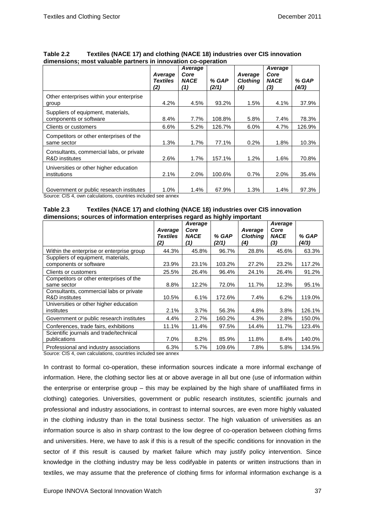|                                                                       | Average<br><b>Textiles</b><br>(2) | Average<br>Core<br><b>NACE</b><br>(1) | % GAP<br>(2/1) | Average<br><b>Clothing</b><br>(4) | Average<br>Core<br><b>NACE</b><br>(3) | % GAP<br>(4/3) |
|-----------------------------------------------------------------------|-----------------------------------|---------------------------------------|----------------|-----------------------------------|---------------------------------------|----------------|
| Other enterprises within your enterprise<br>group                     | 4.2%                              | 4.5%                                  | 93.2%          | 1.5%                              | 4.1%                                  | 37.9%          |
| Suppliers of equipment, materials,<br>components or software          | 8.4%                              | 7.7%                                  | 108.8%         | 5.8%                              | 7.4%                                  | 78.3%          |
| Clients or customers                                                  | 6.6%                              | 5.2%                                  | 126.7%         | 6.0%                              | 4.7%                                  | 126.9%         |
| Competitors or other enterprises of the<br>same sector                | 1.3%                              | 1.7%                                  | 77.1%          | 0.2%                              | 1.8%                                  | 10.3%          |
| Consultants, commercial labs, or private<br><b>R&amp;D</b> institutes | 2.6%                              | 1.7%                                  | 157.1%         | $1.2\%$                           | 1.6%                                  | 70.8%          |
| Universities or other higher education<br>institutions                | 2.1%                              | 2.0%                                  | 100.6%         | 0.7%                              | 2.0%                                  | 35.4%          |
| Government or public research institutes                              | 1.0%                              | 1.4%                                  | 67.9%          | 1.3%                              | 1.4%                                  | 97.3%          |

**Table 2.2 Textiles (NACE 17) and clothing (NACE 18) industries over CIS innovation dimensions; most valuable partners in innovation co-operation**

Source: CIS 4, own calculations, countries included see annex

| Table 2.3 | Textiles (NACE 17) and clothing (NACE 18) industries over CIS innovation  |
|-----------|---------------------------------------------------------------------------|
|           | dimensions; sources of information enterprises regard as highly important |

|                                                                      | Average<br><b>Textiles</b><br>(2) | Average<br>Core<br><b>NACE</b><br>(1) | % GAP<br>(2/1) | Average<br><b>Clothing</b><br>(4) | Average<br>Core<br><b>NACE</b><br>(3) | % GAP<br>(4/3) |
|----------------------------------------------------------------------|-----------------------------------|---------------------------------------|----------------|-----------------------------------|---------------------------------------|----------------|
| Within the enterprise or enterprise group                            | 44.3%                             | 45.8%                                 | 96.7%          | 28.8%                             | 45.6%                                 | 63.3%          |
| Suppliers of equipment, materials,<br>components or software         | 23.9%                             | 23.1%                                 | 103.2%         | 27.2%                             | 23.2%                                 | 117.2%         |
| Clients or customers                                                 | 25.5%                             | 26.4%                                 | 96.4%          | 24.1%                             | 26.4%                                 | 91.2%          |
| Competitors or other enterprises of the<br>same sector               | 8.8%                              | 12.2%                                 | 72.0%          | 11.7%                             | 12.3%                                 | 95.1%          |
| Consultants, commercial labs or private<br><b>R&amp;D</b> institutes | 10.5%                             | 6.1%                                  | 172.6%         | 7.4%                              | 6.2%                                  | 119.0%         |
| Universities or other higher education<br>institutes                 | 2.1%                              | 3.7%                                  | 56.3%          | 4.8%                              | $3.8\%$                               | 126.1%         |
| Government or public research institutes                             | 4.4%                              | 2.7%                                  | 160.2%         | 4.3%                              | 2.8%                                  | 150.0%         |
| Conferences, trade fairs, exhibitions                                | 11.1%                             | 11.4%                                 | 97.5%          | 14.4%                             | 11.7%                                 | 123.4%         |
| Scientific journals and trade/technical<br>publications              | 7.0%                              | 8.2%                                  | 85.9%          | 11.8%                             | 8.4%                                  | 140.0%         |
| Professional and industry associations                               | 6.3%                              | 5.7%                                  | 109.6%         | 7.8%                              | 5.8%                                  | 134.5%         |

Source: CIS 4, own calculations, countries included see annex

In contrast to formal co-operation, these information sources indicate a more informal exchange of information. Here, the clothing sector lies at or above average in all but one (use of information within the enterprise or enterprise group – this may be explained by the high share of unaffiliated firms in clothing) categories. Universities, government or public research institutes, scientific journals and professional and industry associations, in contrast to internal sources, are even more highly valuated in the clothing industry than in the total business sector. The high valuation of universities as an information source is also in sharp contrast to the low degree of co-operation between clothing firms and universities. Here, we have to ask if this is a result of the specific conditions for innovation in the sector of if this result is caused by market failure which may justify policy intervention. Since knowledge in the clothing industry may be less codifyable in patents or written instructions than in textiles, we may assume that the preference of clothing firms for informal information exchange is a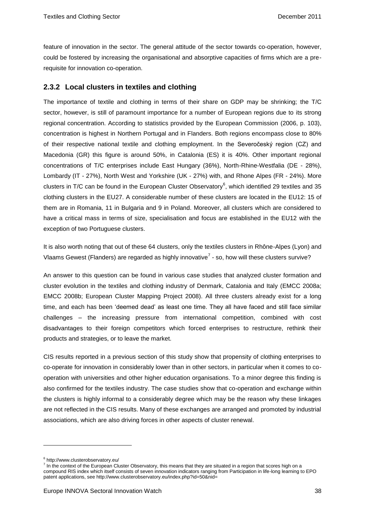feature of innovation in the sector. The general attitude of the sector towards co-operation, however, could be fostered by increasing the organisational and absorptive capacities of firms which are a prerequisite for innovation co-operation.

### **2.3.2 Local clusters in textiles and clothing**

The importance of textile and clothing in terms of their share on GDP may be shrinking; the T/C sector, however, is still of paramount importance for a number of European regions due to its strong regional concentration. According to statistics provided by the European Commission (2006, p. 103), concentration is highest in Northern Portugal and in Flanders. Both regions encompass close to 80% of their respective national textile and clothing employment. In the Severočeský region (CZ) and Macedonia (GR) this figure is around 50%, in Catalonia (ES) it is 40%. Other important regional concentrations of T/C enterprises include East Hungary (36%), North-Rhine-Westfalia (DE - 28%), Lombardy (IT - 27%), North West and Yorkshire (UK - 27%) with, and Rhone Alpes (FR - 24%). More clusters in T/C can be found in the European Cluster Observatory<sup>6</sup>, which identified 29 textiles and 35 clothing clusters in the EU27. A considerable number of these clusters are located in the EU12: 15 of them are in Romania, 11 in Bulgaria and 9 in Poland. Moreover, all clusters which are considered to have a critical mass in terms of size, specialisation and focus are established in the EU12 with the exception of two Portuguese clusters.

It is also worth noting that out of these 64 clusters, only the textiles clusters in Rhône-Alpes (Lyon) and Vlaams Gewest (Flanders) are regarded as highly innovative<sup>7</sup> - so, how will these clusters survive?

An answer to this question can be found in various case studies that analyzed cluster formation and cluster evolution in the textiles and clothing industry of Denmark, Catalonia and Italy (EMCC 2008a; EMCC 2008b; European Cluster Mapping Project 2008). All three clusters already exist for a long time, and each has been 'deemed dead' as least one time. They all have faced and still face similar challenges – the increasing pressure from international competition, combined with cost disadvantages to their foreign competitors which forced enterprises to restructure, rethink their products and strategies, or to leave the market.

CIS results reported in a previous section of this study show that propensity of clothing enterprises to co-operate for innovation in considerably lower than in other sectors, in particular when it comes to cooperation with universities and other higher education organisations. To a minor degree this finding is also confirmed for the textiles industry. The case studies show that co-operation and exchange within the clusters is highly informal to a considerably degree which may be the reason why these linkages are not reflected in the CIS results. Many of these exchanges are arranged and promoted by industrial associations, which are also driving forces in other aspects of cluster renewal.

 $\overline{a}$ 

<sup>&</sup>lt;sup>6</sup> http://www.clusterobservatory.eu/

<sup>&</sup>lt;sup>7</sup> In the context of the European Cluster Observatory, this means that they are situated in a region that scores high on a compound RIS index which itself consists of seven innovation indicators ranging from Participation in life-long learning to EPO patent applications, see http://www.clusterobservatory.eu/index.php?id=50&nid=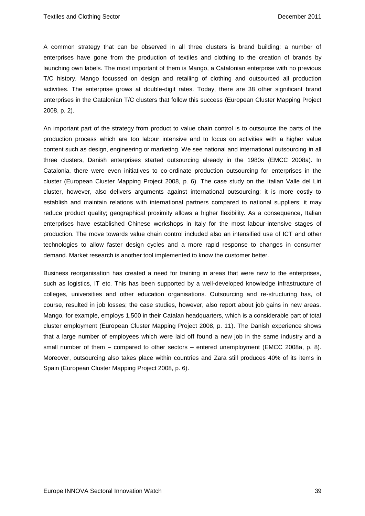A common strategy that can be observed in all three clusters is brand building: a number of enterprises have gone from the production of textiles and clothing to the creation of brands by launching own labels. The most important of them is Mango, a Catalonian enterprise with no previous T/C history. Mango focussed on design and retailing of clothing and outsourced all production activities. The enterprise grows at double-digit rates. Today, there are 38 other significant brand enterprises in the Catalonian T/C clusters that follow this success (European Cluster Mapping Project 2008, p. 2).

An important part of the strategy from product to value chain control is to outsource the parts of the production process which are too labour intensive and to focus on activities with a higher value content such as design, engineering or marketing. We see national and international outsourcing in all three clusters, Danish enterprises started outsourcing already in the 1980s (EMCC 2008a). In Catalonia, there were even initiatives to co-ordinate production outsourcing for enterprises in the cluster (European Cluster Mapping Project 2008, p. 6). The case study on the Italian Valle del Liri cluster, however, also delivers arguments against international outsourcing: it is more costly to establish and maintain relations with international partners compared to national suppliers; it may reduce product quality; geographical proximity allows a higher flexibility. As a consequence, Italian enterprises have established Chinese workshops in Italy for the most labour-intensive stages of production. The move towards value chain control included also an intensified use of ICT and other technologies to allow faster design cycles and a more rapid response to changes in consumer demand. Market research is another tool implemented to know the customer better.

Business reorganisation has created a need for training in areas that were new to the enterprises, such as logistics, IT etc. This has been supported by a well-developed knowledge infrastructure of colleges, universities and other education organisations. Outsourcing and re-structuring has, of course, resulted in job losses; the case studies, however, also report about job gains in new areas. Mango, for example, employs 1,500 in their Catalan headquarters, which is a considerable part of total cluster employment (European Cluster Mapping Project 2008, p. 11). The Danish experience shows that a large number of employees which were laid off found a new job in the same industry and a small number of them – compared to other sectors – entered unemployment (EMCC 2008a, p. 8). Moreover, outsourcing also takes place within countries and Zara still produces 40% of its items in Spain (European Cluster Mapping Project 2008, p. 6).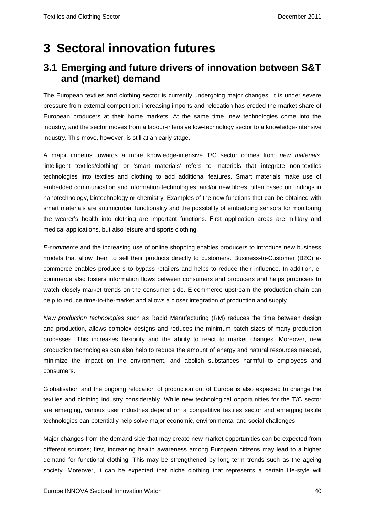# **3 Sectoral innovation futures**

## **3.1 Emerging and future drivers of innovation between S&T and (market) demand**

The European textiles and clothing sector is currently undergoing major changes. It is under severe pressure from external competition; increasing imports and relocation has eroded the market share of European producers at their home markets. At the same time, new technologies come into the industry, and the sector moves from a labour-intensive low-technology sector to a knowledge-intensive industry. This move, however, is still at an early stage.

A major impetus towards a more knowledge-intensive T/C sector comes from *new materials*. 'intelligent textiles/clothing' or 'smart materials' refers to materials that integrate non-textiles technologies into textiles and clothing to add additional features. Smart materials make use of embedded communication and information technologies, and/or new fibres, often based on findings in nanotechnology, biotechnology or chemistry. Examples of the new functions that can be obtained with smart materials are antimicrobial functionality and the possibility of embedding sensors for monitoring the wearer's health into clothing are important functions. First application areas are military and medical applications, but also leisure and sports clothing.

*E-commerce* and the increasing use of online shopping enables producers to introduce new business models that allow them to sell their products directly to customers. Business-to-Customer (B2C) ecommerce enables producers to bypass retailers and helps to reduce their influence. In addition, ecommerce also fosters information flows between consumers and producers and helps producers to watch closely market trends on the consumer side. E-commerce upstream the production chain can help to reduce time-to-the-market and allows a closer integration of production and supply.

*New production technologies* such as Rapid Manufacturing (RM) reduces the time between design and production, allows complex designs and reduces the minimum batch sizes of many production processes. This increases flexibility and the ability to react to market changes. Moreover, new production technologies can also help to reduce the amount of energy and natural resources needed, minimize the impact on the environment, and abolish substances harmful to employees and consumers.

Globalisation and the ongoing relocation of production out of Europe is also expected to change the textiles and clothing industry considerably. While new technological opportunities for the T/C sector are emerging, various user industries depend on a competitive textiles sector and emerging textile technologies can potentially help solve major economic, environmental and social challenges.

Major changes from the demand side that may create new market opportunities can be expected from different sources; first, increasing health awareness among European citizens may lead to a higher demand for functional clothing. This may be strengthened by long-term trends such as the ageing society. Moreover, it can be expected that niche clothing that represents a certain life-style will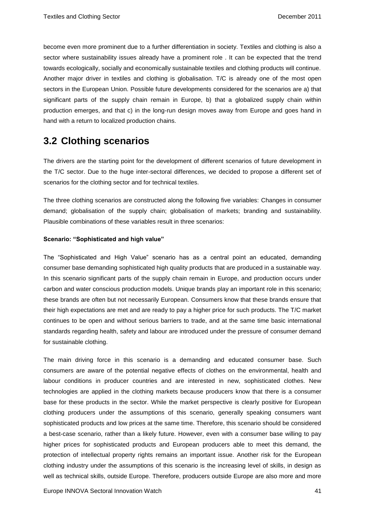become even more prominent due to a further differentiation in society. Textiles and clothing is also a sector where sustainability issues already have a prominent role . It can be expected that the trend towards ecologically, socially and economically sustainable textiles and clothing products will continue. Another major driver in textiles and clothing is globalisation. T/C is already one of the most open sectors in the European Union. Possible future developments considered for the scenarios are a) that significant parts of the supply chain remain in Europe, b) that a globalized supply chain within production emerges, and that c) in the long-run design moves away from Europe and goes hand in hand with a return to localized production chains.

## **3.2 Clothing scenarios**

The drivers are the starting point for the development of different scenarios of future development in the T/C sector. Due to the huge inter-sectoral differences, we decided to propose a different set of scenarios for the clothing sector and for technical textiles.

The three clothing scenarios are constructed along the following five variables: Changes in consumer demand; globalisation of the supply chain; globalisation of markets; branding and sustainability. Plausible combinations of these variables result in three scenarios:

### **Scenario: "Sophisticated and high value"**

The "Sophisticated and High Value" scenario has as a central point an educated, demanding consumer base demanding sophisticated high quality products that are produced in a sustainable way. In this scenario significant parts of the supply chain remain in Europe, and production occurs under carbon and water conscious production models. Unique brands play an important role in this scenario; these brands are often but not necessarily European. Consumers know that these brands ensure that their high expectations are met and are ready to pay a higher price for such products. The T/C market continues to be open and without serious barriers to trade, and at the same time basic international standards regarding health, safety and labour are introduced under the pressure of consumer demand for sustainable clothing.

The main driving force in this scenario is a demanding and educated consumer base. Such consumers are aware of the potential negative effects of clothes on the environmental, health and labour conditions in producer countries and are interested in new, sophisticated clothes. New technologies are applied in the clothing markets because producers know that there is a consumer base for these products in the sector. While the market perspective is clearly positive for European clothing producers under the assumptions of this scenario, generally speaking consumers want sophisticated products and low prices at the same time. Therefore, this scenario should be considered a best-case scenario, rather than a likely future. However, even with a consumer base willing to pay higher prices for sophisticated products and European producers able to meet this demand, the protection of intellectual property rights remains an important issue. Another risk for the European clothing industry under the assumptions of this scenario is the increasing level of skills, in design as well as technical skills, outside Europe. Therefore, producers outside Europe are also more and more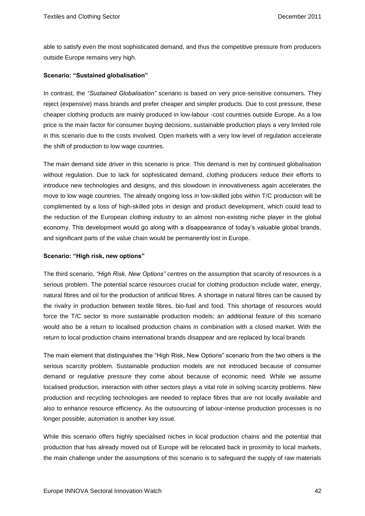able to satisfy even the most sophisticated demand, and thus the competitive pressure from producers outside Europe remains very high.

### **Scenario: "Sustained globalisation"**

In contrast, the *"Sustained Globalisation"* scenario is based on very price-sensitive consumers. They reject (expensive) mass brands and prefer cheaper and simpler products. Due to cost pressure, these cheaper clothing products are mainly produced in low-labour -cost countries outside Europe. As a low price is the main factor for consumer buying decisions, sustainable production plays a very limited role in this scenario due to the costs involved. Open markets with a very low level of regulation accelerate the shift of production to low wage countries.

The main demand side driver in this scenario is price. This demand is met by continued globalisation without regulation. Due to lack for sophisticated demand, clothing producers reduce their efforts to introduce new technologies and designs, and this slowdown in innovativeness again accelerates the move to low wage countries. The already ongoing loss in low-skilled jobs within T/C production will be complimented by a loss of high-skilled jobs in design and product development, which could lead to the reduction of the European clothing industry to an almost non-existing niche player in the global economy. This development would go along with a disappearance of today's valuable global brands, and significant parts of the value chain would be permanently lost in Europe.

### **Scenario: "High risk, new options"**

The third scenario, *"High Risk, New Options"* centres on the assumption that scarcity of resources is a serious problem. The potential scarce resources crucial for clothing production include water, energy, natural fibres and oil for the production of artificial fibres. A shortage in natural fibres can be caused by the rivalry in production between textile fibres, bio-fuel and food. This shortage of resources would force the T/C sector to more sustainable production models; an additional feature of this scenario would also be a return to localised production chains in combination with a closed market. With the return to local production chains international brands disappear and are replaced by local brands

The main element that distinguishes the "High Risk, New Options" scenario from the two others is the serious scarcity problem. Sustainable production models are not introduced because of consumer demand or regulative pressure they come about because of economic need. While we assume localised production, interaction with other sectors plays a vital role in solving scarcity problems. New production and recycling technologies are needed to replace fibres that are not locally available and also to enhance resource efficiency. As the outsourcing of labour-intense production processes is no longer possible, automation is another key issue.

While this scenario offers highly specialised niches in local production chains and the potential that production that has already moved out of Europe will be relocated back in proximity to local markets, the main challenge under the assumptions of this scenario is to safeguard the supply of raw materials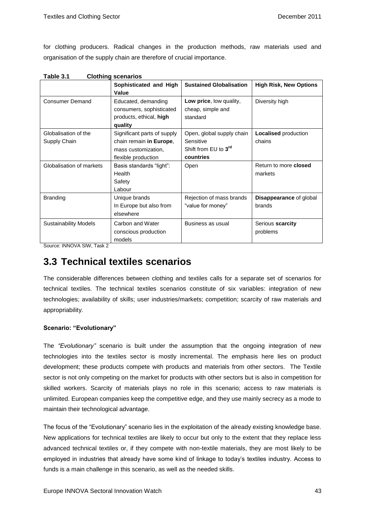for clothing producers. Radical changes in the production methods, raw materials used and organisation of the supply chain are therefore of crucial importance.

| Table 3.1 | <b>Clothing scenarios</b> |
|-----------|---------------------------|
|-----------|---------------------------|

|                                      | Sophisticated and High<br>Value                                                                      | <b>Sustained Globalisation</b>                                                          | <b>High Risk, New Options</b>            |
|--------------------------------------|------------------------------------------------------------------------------------------------------|-----------------------------------------------------------------------------------------|------------------------------------------|
| <b>Consumer Demand</b>               | Educated, demanding<br>consumers, sophisticated<br>products, ethical, high<br>quality                | Low price, low quality,<br>cheap, simple and<br>standard                                | Diversity high                           |
| Globalisation of the<br>Supply Chain | Significant parts of supply<br>chain remain in Europe,<br>mass customization,<br>flexible production | Open, global supply chain<br>Sensitive<br>Shift from EU to 3 <sup>rd</sup><br>countries | <b>Localised</b> production<br>chains    |
| Globalisation of markets             | Basis standards "light":<br>Health<br>Safety<br>Labour                                               | Open                                                                                    | Return to more <b>closed</b><br>markets  |
| <b>Branding</b>                      | Unique brands<br>In Europe but also from<br>elsewhere                                                | Rejection of mass brands<br>"value for money"                                           | <b>Disappearance of global</b><br>brands |
| <b>Sustainability Models</b>         | Carbon and Water<br>conscious production<br>models                                                   | Business as usual                                                                       | Serious scarcity<br>problems             |

Source: INNOVA SIW, Task 2

### **3.3 Technical textiles scenarios**

The considerable differences between clothing and textiles calls for a separate set of scenarios for technical textiles. The technical textiles scenarios constitute of six variables: integration of new technologies; availability of skills; user industries/markets; competition; scarcity of raw materials and appropriability.

### **Scenario: "Evolutionary"**

The *"Evolutionary"* scenario is built under the assumption that the ongoing integration of new technologies into the textiles sector is mostly incremental. The emphasis here lies on product development; these products compete with products and materials from other sectors. The Textile sector is not only competing on the market for products with other sectors but is also in competition for skilled workers. Scarcity of materials plays no role in this scenario; access to raw materials is unlimited. European companies keep the competitive edge, and they use mainly secrecy as a mode to maintain their technological advantage.

The focus of the "Evolutionary" scenario lies in the exploitation of the already existing knowledge base. New applications for technical textiles are likely to occur but only to the extent that they replace less advanced technical textiles or, if they compete with non-textile materials, they are most likely to be employed in industries that already have some kind of linkage to today's textiles industry. Access to funds is a main challenge in this scenario, as well as the needed skills.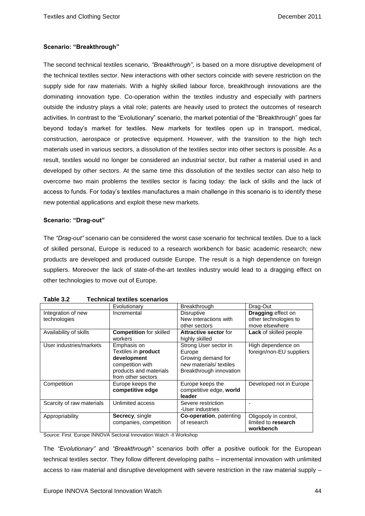### **Scenario: "Breakthrough"**

The second technical textiles scenario, *"Breakthrough"*, is based on a more disruptive development of the technical textiles sector. New interactions with other sectors coincide with severe restriction on the supply side for raw materials. With a highly skilled labour force, breakthrough innovations are the dominating innovation type. Co-operation within the textiles industry and especially with partners outside the industry plays a vital role; patents are heavily used to protect the outcomes of research activities. In contrast to the "Evolutionary" scenario, the market potential of the "Breakthrough" goes far beyond today's market for textiles. New markets for textiles open up in transport, medical, construction, aerospace or protective equipment. However, with the transition to the high tech materials used in various sectors, a dissolution of the textiles sector into other sectors is possible. As a result, textiles would no longer be considered an industrial sector, but rather a material used in and developed by other sectors. At the same time this dissolution of the textiles sector can also help to overcome two main problems the textiles sector is facing today: the lack of skills and the lack of access to funds. For today's textiles manufactures a main challenge in this scenario is to identify these new potential applications and exploit these new markets.

#### **Scenario: "Drag-out"**

The *"Drag-out"* scenario can be considered the worst case scenario for technical textiles. Due to a lack of skilled personal, Europe is reduced to a research workbench for basic academic research; new products are developed and produced outside Europe. The result is a high dependence on foreign suppliers. Moreover the lack of state-of-the-art textiles industry would lead to a dragging effect on other technologies to move out of Europe.

|                           | Evolutionary                                                                                                          | Breakthrough                                                                                                | Drag-Out                                                  |
|---------------------------|-----------------------------------------------------------------------------------------------------------------------|-------------------------------------------------------------------------------------------------------------|-----------------------------------------------------------|
| Integration of new        | Incremental                                                                                                           | <b>Disruptive</b>                                                                                           | <b>Dragging effect on</b>                                 |
| technologies              |                                                                                                                       | New interactions with                                                                                       | other technologies to                                     |
|                           |                                                                                                                       | other sectors                                                                                               | move elsewhere                                            |
| Availability of skills    | <b>Competition for skilled</b>                                                                                        | <b>Attractive sector for</b>                                                                                | <b>Lack of skilled people</b>                             |
|                           | workers                                                                                                               | highly skilled                                                                                              |                                                           |
| User industries/markets   | Emphasis on<br>Textiles in product<br>development<br>competition with<br>products and materials<br>from other sectors | Strong User sector in<br>Europe<br>Growing demand for<br>new materials/ textiles<br>Breakthrough innovation | High dependence on<br>foreign/non-EU suppliers            |
| Competition               | Europe keeps the<br>competitive edge                                                                                  | Europe keeps the<br>competitive edge, world<br>leader                                                       | Developed not in Europe                                   |
| Scarcity of raw materials | Unlimited access                                                                                                      | Severe restriction<br>-User industries                                                                      |                                                           |
| Appropriability           | Secrecy, single<br>companies, competition                                                                             | <b>Co-operation</b> , patenting<br>of research                                                              | Oligopoly in control,<br>limited to research<br>workbench |

| <b>Technical textiles scenarios</b><br>Table 3.2 |
|--------------------------------------------------|
|--------------------------------------------------|

Source: First Europe INNOVA Sectoral Innovation Watch -II Workshop

The *"Evolutionary"* and *"Breakthrough"* scenarios both offer a positive outlook for the European technical textiles sector. They follow different developing paths – incremental innovation with unlimited access to raw material and disruptive development with severe restriction in the raw material supply –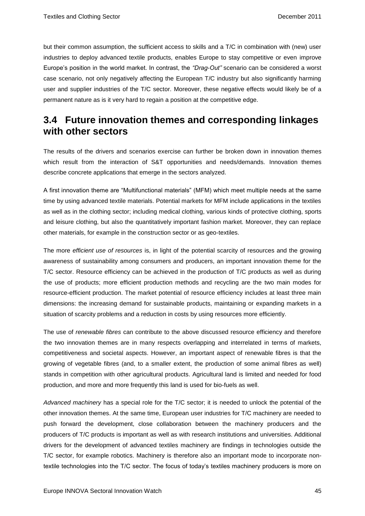but their common assumption, the sufficient access to skills and a T/C in combination with (new) user industries to deploy advanced textile products, enables Europe to stay competitive or even improve Europe's position in the world market. In contrast, the *"Drag-Out"* scenario can be considered a worst case scenario, not only negatively affecting the European T/C industry but also significantly harming user and supplier industries of the T/C sector. Moreover, these negative effects would likely be of a permanent nature as is it very hard to regain a position at the competitive edge.

## **3.4 Future innovation themes and corresponding linkages with other sectors**

The results of the drivers and scenarios exercise can further be broken down in innovation themes which result from the interaction of S&T opportunities and needs/demands. Innovation themes describe concrete applications that emerge in the sectors analyzed.

A first innovation theme are "Multifunctional materials" (MFM) which meet multiple needs at the same time by using advanced textile materials. Potential markets for MFM include applications in the textiles as well as in the clothing sector; including medical clothing, various kinds of protective clothing, sports and leisure clothing, but also the quantitatively important fashion market. Moreover, they can replace other materials, for example in the construction sector or as geo-textiles.

The more *efficient use of resources* is, in light of the potential scarcity of resources and the growing awareness of sustainability among consumers and producers, an important innovation theme for the T/C sector. Resource efficiency can be achieved in the production of T/C products as well as during the use of products; more efficient production methods and recycling are the two main modes for resource-efficient production. The market potential of resource efficiency includes at least three main dimensions: the increasing demand for sustainable products, maintaining or expanding markets in a situation of scarcity problems and a reduction in costs by using resources more efficiently.

The use of *renewable fibres* can contribute to the above discussed resource efficiency and therefore the two innovation themes are in many respects overlapping and interrelated in terms of markets, competitiveness and societal aspects. However, an important aspect of renewable fibres is that the growing of vegetable fibres (and, to a smaller extent, the production of some animal fibres as well) stands in competition with other agricultural products. Agricultural land is limited and needed for food production, and more and more frequently this land is used for bio-fuels as well.

*Advanced machinery* has a special role for the T/C sector; it is needed to unlock the potential of the other innovation themes. At the same time, European user industries for T/C machinery are needed to push forward the development, close collaboration between the machinery producers and the producers of T/C products is important as well as with research institutions and universities. Additional drivers for the development of advanced textiles machinery are findings in technologies outside the T/C sector, for example robotics. Machinery is therefore also an important mode to incorporate nontextile technologies into the T/C sector. The focus of today's textiles machinery producers is more on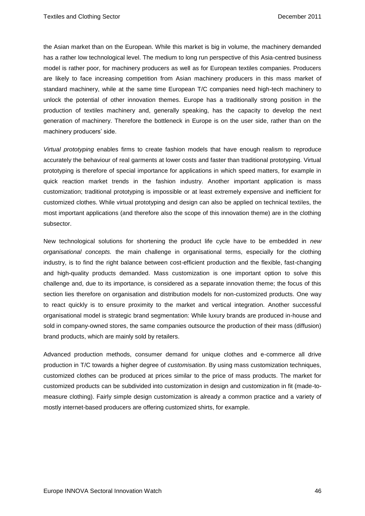the Asian market than on the European. While this market is big in volume, the machinery demanded has a rather low technological level. The medium to long run perspective of this Asia-centred business model is rather poor, for machinery producers as well as for European textiles companies. Producers are likely to face increasing competition from Asian machinery producers in this mass market of standard machinery, while at the same time European T/C companies need high-tech machinery to unlock the potential of other innovation themes. Europe has a traditionally strong position in the production of textiles machinery and, generally speaking, has the capacity to develop the next generation of machinery. Therefore the bottleneck in Europe is on the user side, rather than on the machinery producers' side.

*Virtual prototyping* enables firms to create fashion models that have enough realism to reproduce accurately the behaviour of real garments at lower costs and faster than traditional prototyping. Virtual prototyping is therefore of special importance for applications in which speed matters, for example in quick reaction market trends in the fashion industry. Another important application is mass customization; traditional prototyping is impossible or at least extremely expensive and inefficient for customized clothes. While virtual prototyping and design can also be applied on technical textiles, the most important applications (and therefore also the scope of this innovation theme) are in the clothing subsector.

New technological solutions for shortening the product life cycle have to be embedded in *new organisational concepts.* the main challenge in organisational terms, especially for the clothing industry, is to find the right balance between cost-efficient production and the flexible, fast-changing and high-quality products demanded. Mass customization is one important option to solve this challenge and, due to its importance, is considered as a separate innovation theme; the focus of this section lies therefore on organisation and distribution models for non-customized products. One way to react quickly is to ensure proximity to the market and vertical integration. Another successful organisational model is strategic brand segmentation: While luxury brands are produced in-house and sold in company-owned stores, the same companies outsource the production of their mass (diffusion) brand products, which are mainly sold by retailers.

Advanced production methods, consumer demand for unique clothes and e-commerce all drive production in T/C towards a higher degree of *customisation*. By using mass customization techniques, customized clothes can be produced at prices similar to the price of mass products. The market for customized products can be subdivided into customization in design and customization in fit (made-tomeasure clothing). Fairly simple design customization is already a common practice and a variety of mostly internet-based producers are offering customized shirts, for example.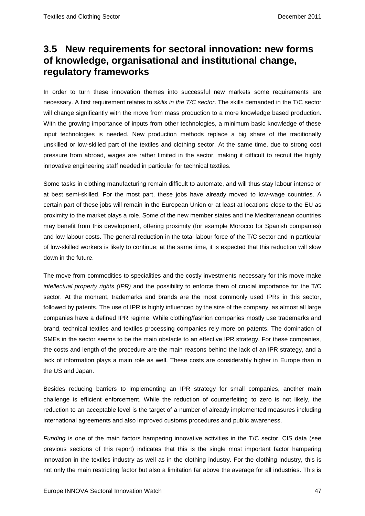## **3.5 New requirements for sectoral innovation: new forms of knowledge, organisational and institutional change, regulatory frameworks**

In order to turn these innovation themes into successful new markets some requirements are necessary. A first requirement relates to *skills in the T/C sector*. The skills demanded in the T/C sector will change significantly with the move from mass production to a more knowledge based production. With the growing importance of inputs from other technologies, a minimum basic knowledge of these input technologies is needed. New production methods replace a big share of the traditionally unskilled or low-skilled part of the textiles and clothing sector. At the same time, due to strong cost pressure from abroad, wages are rather limited in the sector, making it difficult to recruit the highly innovative engineering staff needed in particular for technical textiles.

Some tasks in clothing manufacturing remain difficult to automate, and will thus stay labour intense or at best semi-skilled. For the most part, these jobs have already moved to low-wage countries. A certain part of these jobs will remain in the European Union or at least at locations close to the EU as proximity to the market plays a role. Some of the new member states and the Mediterranean countries may benefit from this development, offering proximity (for example Morocco for Spanish companies) and low labour costs. The general reduction in the total labour force of the T/C sector and in particular of low-skilled workers is likely to continue; at the same time, it is expected that this reduction will slow down in the future.

The move from commodities to specialities and the costly investments necessary for this move make *intellectual property rights (IPR)* and the possibility to enforce them of crucial importance for the T/C sector. At the moment, trademarks and brands are the most commonly used IPRs in this sector, followed by patents. The use of IPR is highly influenced by the size of the company, as almost all large companies have a defined IPR regime. While clothing/fashion companies mostly use trademarks and brand, technical textiles and textiles processing companies rely more on patents. The domination of SMEs in the sector seems to be the main obstacle to an effective IPR strategy. For these companies, the costs and length of the procedure are the main reasons behind the lack of an IPR strategy, and a lack of information plays a main role as well. These costs are considerably higher in Europe than in the US and Japan.

Besides reducing barriers to implementing an IPR strategy for small companies, another main challenge is efficient enforcement. While the reduction of counterfeiting to zero is not likely, the reduction to an acceptable level is the target of a number of already implemented measures including international agreements and also improved customs procedures and public awareness.

*Funding* is one of the main factors hampering innovative activities in the T/C sector. CIS data (see previous sections of this report) indicates that this is the single most important factor hampering innovation in the textiles industry as well as in the clothing industry. For the clothing industry, this is not only the main restricting factor but also a limitation far above the average for all industries. This is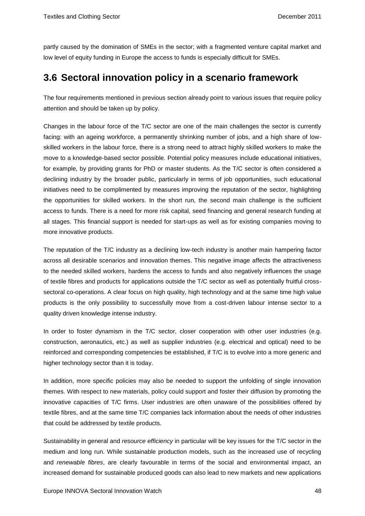partly caused by the domination of SMEs in the sector; with a fragmented venture capital market and low level of equity funding in Europe the access to funds is especially difficult for SMEs.

## **3.6 Sectoral innovation policy in a scenario framework**

The four requirements mentioned in previous section already point to various issues that require policy attention and should be taken up by policy.

Changes in the labour force of the T/C sector are one of the main challenges the sector is currently facing: with an ageing workforce, a permanently shrinking number of jobs, and a high share of lowskilled workers in the labour force, there is a strong need to attract highly skilled workers to make the move to a knowledge-based sector possible. Potential policy measures include educational initiatives, for example, by providing grants for PhD or master students. As the T/C sector is often considered a declining industry by the broader public, particularly in terms of job opportunities, such educational initiatives need to be complimented by measures improving the reputation of the sector, highlighting the opportunities for skilled workers. In the short run, the second main challenge is the sufficient access to funds. There is a need for more risk capital, seed financing and general research funding at all stages. This financial support is needed for start-ups as well as for existing companies moving to more innovative products.

The reputation of the T/C industry as a declining low-tech industry is another main hampering factor across all desirable scenarios and innovation themes. This negative image affects the attractiveness to the needed skilled workers, hardens the access to funds and also negatively influences the usage of textile fibres and products for applications outside the T/C sector as well as potentially fruitful crosssectoral co-operations. A clear focus on high quality, high technology and at the same time high value products is the only possibility to successfully move from a cost-driven labour intense sector to a quality driven knowledge intense industry.

In order to foster dynamism in the T/C sector, closer cooperation with other user industries (e.g. construction, aeronautics, etc.) as well as supplier industries (e.g. electrical and optical) need to be reinforced and corresponding competencies be established, if T/C is to evolve into a more generic and higher technology sector than it is today.

In addition, more specific policies may also be needed to support the unfolding of single innovation themes. With respect to new materials, policy could support and foster their diffusion by promoting the innovative capacities of T/C firms. User industries are often unaware of the possibilities offered by textile fibres, and at the same time T/C companies lack information about the needs of other industries that could be addressed by textile products.

Sustainability in general and *resource efficiency* in particular will be key issues for the T/C sector in the medium and long run. While sustainable production models, such as the increased use of recycling and *renewable fibres*, are clearly favourable in terms of the social and environmental impact, an increased demand for sustainable produced goods can also lead to new markets and new applications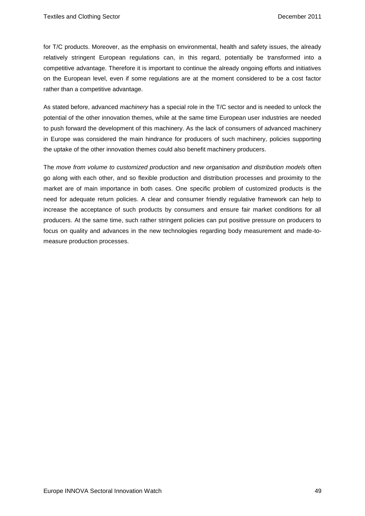for T/C products. Moreover, as the emphasis on environmental, health and safety issues, the already relatively stringent European regulations can, in this regard, potentially be transformed into a competitive advantage. Therefore it is important to continue the already ongoing efforts and initiatives on the European level, even if some regulations are at the moment considered to be a cost factor rather than a competitive advantage.

As stated before, advanced *machinery* has a special role in the T/C sector and is needed to unlock the potential of the other innovation themes, while at the same time European user industries are needed to push forward the development of this machinery. As the lack of consumers of advanced machinery in Europe was considered the main hindrance for producers of such machinery, policies supporting the uptake of the other innovation themes could also benefit machinery producers.

The *move from volume to customized production* and *new organisation and distribution models* often go along with each other, and so flexible production and distribution processes and proximity to the market are of main importance in both cases. One specific problem of customized products is the need for adequate return policies. A clear and consumer friendly regulative framework can help to increase the acceptance of such products by consumers and ensure fair market conditions for all producers. At the same time, such rather stringent policies can put positive pressure on producers to focus on quality and advances in the new technologies regarding body measurement and made-tomeasure production processes.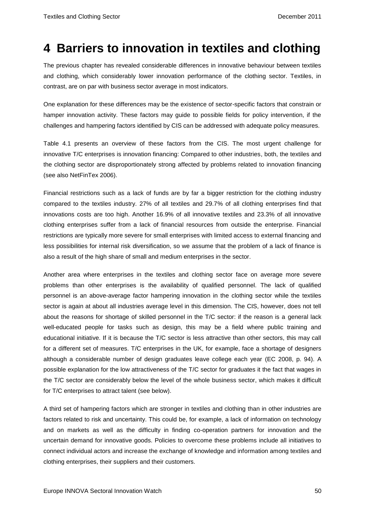## **4 Barriers to innovation in textiles and clothing**

The previous chapter has revealed considerable differences in innovative behaviour between textiles and clothing, which considerably lower innovation performance of the clothing sector. Textiles, in contrast, are on par with business sector average in most indicators.

One explanation for these differences may be the existence of sector-specific factors that constrain or hamper innovation activity. These factors may guide to possible fields for policy intervention, if the challenges and hampering factors identified by CIS can be addressed with adequate policy measures.

Table 4.1 presents an overview of these factors from the CIS. The most urgent challenge for innovative T/C enterprises is innovation financing: Compared to other industries, both, the textiles and the clothing sector are disproportionately strong affected by problems related to innovation financing (see also NetFinTex 2006).

Financial restrictions such as a lack of funds are by far a bigger restriction for the clothing industry compared to the textiles industry. 27% of all textiles and 29.7% of all clothing enterprises find that innovations costs are too high. Another 16.9% of all innovative textiles and 23.3% of all innovative clothing enterprises suffer from a lack of financial resources from outside the enterprise. Financial restrictions are typically more severe for small enterprises with limited access to external financing and less possibilities for internal risk diversification, so we assume that the problem of a lack of finance is also a result of the high share of small and medium enterprises in the sector.

Another area where enterprises in the textiles and clothing sector face on average more severe problems than other enterprises is the availability of qualified personnel. The lack of qualified personnel is an above-average factor hampering innovation in the clothing sector while the textiles sector is again at about all industries average level in this dimension. The CIS, however, does not tell about the reasons for shortage of skilled personnel in the T/C sector: if the reason is a general lack well-educated people for tasks such as design, this may be a field where public training and educational initiative. If it is because the T/C sector is less attractive than other sectors, this may call for a different set of measures. T/C enterprises in the UK, for example, face a shortage of designers although a considerable number of design graduates leave college each year (EC 2008, p. 94). A possible explanation for the low attractiveness of the T/C sector for graduates it the fact that wages in the T/C sector are considerably below the level of the whole business sector, which makes it difficult for T/C enterprises to attract talent (see below).

A third set of hampering factors which are stronger in textiles and clothing than in other industries are factors related to risk and uncertainty. This could be, for example, a lack of information on technology and on markets as well as the difficulty in finding co-operation partners for innovation and the uncertain demand for innovative goods. Policies to overcome these problems include all initiatives to connect individual actors and increase the exchange of knowledge and information among textiles and clothing enterprises, their suppliers and their customers.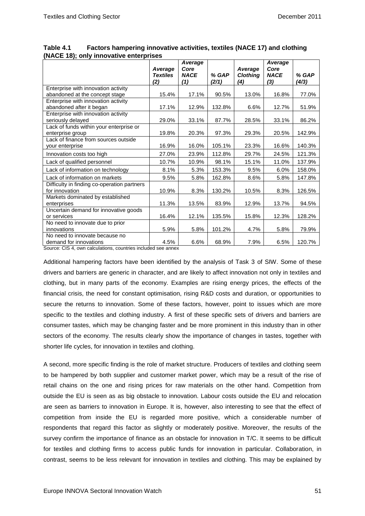|                                             | Average<br><b>Textiles</b> | Average<br>Core<br><b>NACE</b> | % GAP  | Average<br><b>Clothing</b> | Average<br>Core<br><b>NACE</b> | % GAP  |
|---------------------------------------------|----------------------------|--------------------------------|--------|----------------------------|--------------------------------|--------|
|                                             | (2)                        | (1)                            | (2/1)  | (4)                        | (3)                            | (4/3)  |
| Enterprise with innovation activity         |                            |                                |        |                            |                                |        |
| abandoned at the concept stage              | 15.4%                      | 17.1%                          | 90.5%  | 13.0%                      | 16.8%                          | 77.0%  |
| Enterprise with innovation activity         |                            |                                |        |                            |                                |        |
| abandoned after it began                    | 17.1%                      | 12.9%                          | 132.8% | 6.6%                       | 12.7%                          | 51.9%  |
| Enterprise with innovation activity         |                            |                                |        |                            |                                |        |
| seriously delayed                           | 29.0%                      | 33.1%                          | 87.7%  | 28.5%                      | 33.1%                          | 86.2%  |
| Lack of funds within your enterprise or     |                            |                                |        |                            |                                |        |
| enterprise group                            | 19.8%                      | 20.3%                          | 97.3%  | 29.3%                      | 20.5%                          | 142.9% |
| Lack of finance from sources outside        |                            |                                |        |                            |                                |        |
| your enterprise                             | 16.9%                      | 16.0%                          | 105.1% | 23.3%                      | 16.6%                          | 140.3% |
| Innovation costs too high                   | 27.0%                      | 23.9%                          | 112.8% | 29.7%                      | 24.5%                          | 121.3% |
| Lack of qualified personnel                 | 10.7%                      | 10.9%                          | 98.1%  | 15.1%                      | 11.0%                          | 137.9% |
| Lack of information on technology           | 8.1%                       | 5.3%                           | 153.3% | 9.5%                       | 6.0%                           | 158.0% |
| Lack of information on markets              | 9.5%                       | 5.8%                           | 162.8% | 8.6%                       | 5.8%                           | 147.8% |
| Difficulty in finding co-operation partners |                            |                                |        |                            |                                |        |
| for innovation                              | 10.9%                      | 8.3%                           | 130.2% | 10.5%                      | 8.3%                           | 126.5% |
| Markets dominated by established            |                            |                                |        |                            |                                |        |
| enterprises                                 | 11.3%                      | 13.5%                          | 83.9%  | 12.9%                      | 13.7%                          | 94.5%  |
| Uncertain demand for innovative goods       |                            |                                |        |                            |                                |        |
| or services                                 | 16.4%                      | 12.1%                          | 135.5% | 15.8%                      | 12.3%                          | 128.2% |
| No need to innovate due to prior            |                            |                                |        |                            |                                |        |
| innovations                                 | 5.9%                       | 5.8%                           | 101.2% | 4.7%                       | 5.8%                           | 79.9%  |
| No need to innovate because no              |                            |                                |        |                            |                                |        |
| demand for innovations                      | 4.5%                       | 6.6%                           | 68.9%  | 7.9%                       | 6.5%                           | 120.7% |

**Table 4.1 Factors hampering innovative activities, textiles (NACE 17) and clothing (NACE 18); only innovative enterprises** 

Source: CIS 4, own calculations, countries included see annex

Additional hampering factors have been identified by the analysis of Task 3 of SIW. Some of these drivers and barriers are generic in character, and are likely to affect innovation not only in textiles and clothing, but in many parts of the economy. Examples are rising energy prices, the effects of the financial crisis, the need for constant optimisation, rising R&D costs and duration, or opportunities to secure the returns to innovation. Some of these factors, however, point to issues which are more specific to the textiles and clothing industry. A first of these specific sets of drivers and barriers are consumer tastes, which may be changing faster and be more prominent in this industry than in other sectors of the economy. The results clearly show the importance of changes in tastes, together with shorter life cycles, for innovation in textiles and clothing.

A second, more specific finding is the role of market structure. Producers of textiles and clothing seem to be hampered by both supplier and customer market power, which may be a result of the rise of retail chains on the one and rising prices for raw materials on the other hand. Competition from outside the EU is seen as as big obstacle to innovation. Labour costs outside the EU and relocation are seen as barriers to innovation in Europe. It is, however, also interesting to see that the effect of competition from inside the EU is regarded more positive, which a considerable number of respondents that regard this factor as slightly or moderately positive. Moreover, the results of the survey confirm the importance of finance as an obstacle for innovation in T/C. It seems to be difficult for textiles and clothing firms to access public funds for innovation in particular. Collaboration, in contrast, seems to be less relevant for innovation in textiles and clothing. This may be explained by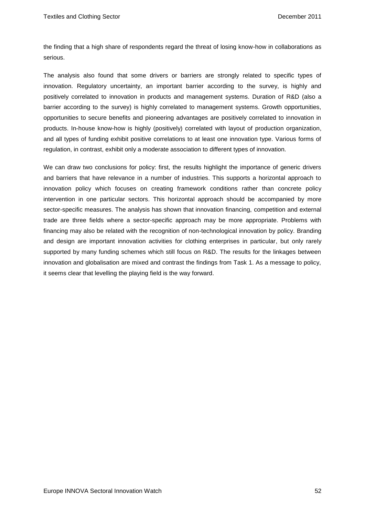the finding that a high share of respondents regard the threat of losing know-how in collaborations as serious.

The analysis also found that some drivers or barriers are strongly related to specific types of innovation. Regulatory uncertainty, an important barrier according to the survey, is highly and positively correlated to innovation in products and management systems. Duration of R&D (also a barrier according to the survey) is highly correlated to management systems. Growth opportunities, opportunities to secure benefits and pioneering advantages are positively correlated to innovation in products. In-house know-how is highly (positively) correlated with layout of production organization, and all types of funding exhibit positive correlations to at least one innovation type. Various forms of regulation, in contrast, exhibit only a moderate association to different types of innovation.

We can draw two conclusions for policy: first, the results highlight the importance of generic drivers and barriers that have relevance in a number of industries. This supports a horizontal approach to innovation policy which focuses on creating framework conditions rather than concrete policy intervention in one particular sectors. This horizontal approach should be accompanied by more sector-specific measures. The analysis has shown that innovation financing, competition and external trade are three fields where a sector-specific approach may be more appropriate. Problems with financing may also be related with the recognition of non-technological innovation by policy. Branding and design are important innovation activities for clothing enterprises in particular, but only rarely supported by many funding schemes which still focus on R&D. The results for the linkages between innovation and globalisation are mixed and contrast the findings from Task 1. As a message to policy, it seems clear that levelling the playing field is the way forward.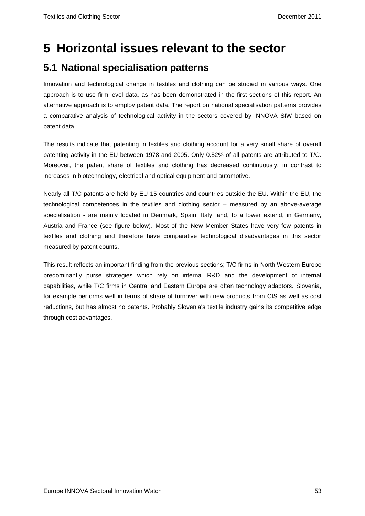## **5 Horizontal issues relevant to the sector**

## **5.1 National specialisation patterns**

Innovation and technological change in textiles and clothing can be studied in various ways. One approach is to use firm-level data, as has been demonstrated in the first sections of this report. An alternative approach is to employ patent data. The report on national specialisation patterns provides a comparative analysis of technological activity in the sectors covered by INNOVA SIW based on patent data.

The results indicate that patenting in textiles and clothing account for a very small share of overall patenting activity in the EU between 1978 and 2005. Only 0.52% of all patents are attributed to T/C. Moreover, the patent share of textiles and clothing has decreased continuously, in contrast to increases in biotechnology, electrical and optical equipment and automotive.

Nearly all T/C patents are held by EU 15 countries and countries outside the EU. Within the EU, the technological competences in the textiles and clothing sector – measured by an above-average specialisation - are mainly located in Denmark, Spain, Italy, and, to a lower extend, in Germany, Austria and France (see figure below). Most of the New Member States have very few patents in textiles and clothing and therefore have comparative technological disadvantages in this sector measured by patent counts.

This result reflects an important finding from the previous sections; T/C firms in North Western Europe predominantly purse strategies which rely on internal R&D and the development of internal capabilities, while T/C firms in Central and Eastern Europe are often technology adaptors. Slovenia, for example performs well in terms of share of turnover with new products from CIS as well as cost reductions, but has almost no patents. Probably Slovenia's textile industry gains its competitive edge through cost advantages.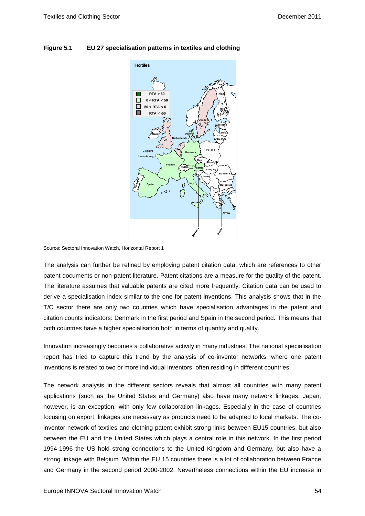

### **Figure 5.1 EU 27 specialisation patterns in textiles and clothing**

Source: Sectoral Innovation Watch, Horizontal Report 1

The analysis can further be refined by employing patent citation data, which are references to other patent documents or non-patent literature. Patent citations are a measure for the quality of the patent. The literature assumes that valuable patents are cited more frequently. Citation data can be used to derive a specialisation index similar to the one for patent inventions. This analysis shows that in the T/C sector there are only two countries which have specialisation advantages in the patent and citation counts indicators: Denmark in the first period and Spain in the second period. This means that both countries have a higher specialisation both in terms of quantity and quality.

Innovation increasingly becomes a collaborative activity in many industries. The national specialisation report has tried to capture this trend by the analysis of co-inventor networks, where one patent inventions is related to two or more individual inventors, often residing in different countries.

The network analysis in the different sectors reveals that almost all countries with many patent applications (such as the United States and Germany) also have many network linkages. Japan, however, is an exception, with only few collaboration linkages. Especially in the case of countries focusing on export, linkages are necessary as products need to be adapted to local markets. The coinventor network of textiles and clothing patent exhibit strong links between EU15 countries, but also between the EU and the United States which plays a central role in this network. In the first period 1994-1996 the US hold strong connections to the United Kingdom and Germany, but also have a strong linkage with Belgium. Within the EU 15 countries there is a lot of collaboration between France and Germany in the second period 2000-2002. Nevertheless connections within the EU increase in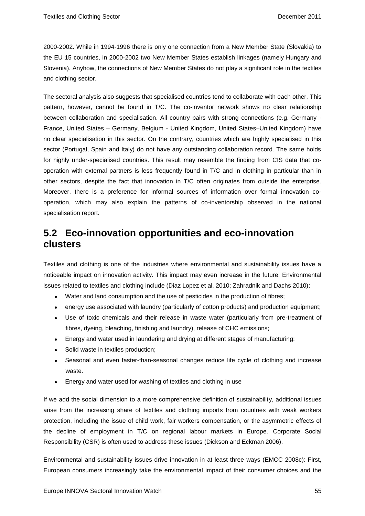2000-2002. While in 1994-1996 there is only one connection from a New Member State (Slovakia) to the EU 15 countries, in 2000-2002 two New Member States establish linkages (namely Hungary and Slovenia). Anyhow, the connections of New Member States do not play a significant role in the textiles and clothing sector.

The sectoral analysis also suggests that specialised countries tend to collaborate with each other. This pattern, however, cannot be found in T/C. The co-inventor network shows no clear relationship between collaboration and specialisation. All country pairs with strong connections (e.g. Germany - France, United States – Germany, Belgium - United Kingdom, United States–United Kingdom) have no clear specialisation in this sector. On the contrary, countries which are highly specialised in this sector (Portugal, Spain and Italy) do not have any outstanding collaboration record. The same holds for highly under-specialised countries. This result may resemble the finding from CIS data that cooperation with external partners is less frequently found in T/C and in clothing in particular than in other sectors, despite the fact that innovation in T/C often originates from outside the enterprise. Moreover, there is a preference for informal sources of information over formal innovation cooperation, which may also explain the patterns of co-inventorship observed in the national specialisation report.

### **5.2 Eco-innovation opportunities and eco-innovation clusters**

Textiles and clothing is one of the industries where environmental and sustainability issues have a noticeable impact on innovation activity. This impact may even increase in the future. Environmental issues related to textiles and clothing include (Diaz Lopez et al. 2010; Zahradnik and Dachs 2010):

- Water and land consumption and the use of pesticides in the production of fibres;
- energy use associated with laundry (particularly of cotton products) and production equipment;
- Use of toxic chemicals and their release in waste water (particularly from pre-treatment of fibres, dyeing, bleaching, finishing and laundry), release of CHC emissions;
- Energy and water used in laundering and drying at different stages of manufacturing;
- Solid waste in textiles production;
- Seasonal and even faster-than-seasonal changes reduce life cycle of clothing and increase waste.
- Energy and water used for washing of textiles and clothing in use

If we add the social dimension to a more comprehensive definition of sustainability, additional issues arise from the increasing share of textiles and clothing imports from countries with weak workers protection, including the issue of child work, fair workers compensation, or the asymmetric effects of the decline of employment in T/C on regional labour markets in Europe. Corporate Social Responsibility (CSR) is often used to address these issues (Dickson and Eckman 2006).

Environmental and sustainability issues drive innovation in at least three ways (EMCC 2008c): First, European consumers increasingly take the environmental impact of their consumer choices and the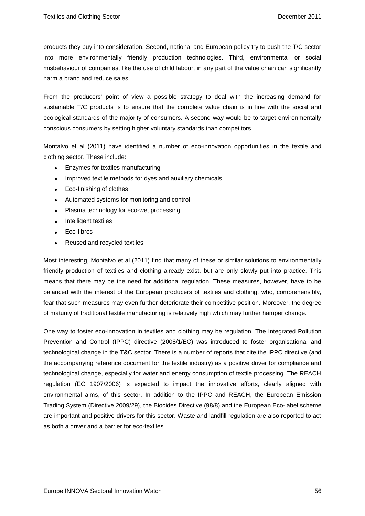products they buy into consideration. Second, national and European policy try to push the T/C sector into more environmentally friendly production technologies. Third, environmental or social misbehaviour of companies, like the use of child labour, in any part of the value chain can significantly harm a brand and reduce sales.

From the producers' point of view a possible strategy to deal with the increasing demand for sustainable T/C products is to ensure that the complete value chain is in line with the social and ecological standards of the majority of consumers. A second way would be to target environmentally conscious consumers by setting higher voluntary standards than competitors

Montalvo et al (2011) have identified a number of eco-innovation opportunities in the textile and clothing sector. These include:

- Enzymes for textiles manufacturing
- Improved textile methods for dyes and auxiliary chemicals
- Eco-finishing of clothes
- Automated systems for monitoring and control
- Plasma technology for eco-wet processing
- Intelligent textiles
- Eco-fibres
- Reused and recycled textiles

Most interesting, Montalvo et al (2011) find that many of these or similar solutions to environmentally friendly production of textiles and clothing already exist, but are only slowly put into practice. This means that there may be the need for additional regulation. These measures, however, have to be balanced with the interest of the European producers of textiles and clothing, who, comprehensibly, fear that such measures may even further deteriorate their competitive position. Moreover, the degree of maturity of traditional textile manufacturing is relatively high which may further hamper change.

One way to foster eco-innovation in textiles and clothing may be regulation. The Integrated Pollution Prevention and Control (IPPC) directive (2008/1/EC) was introduced to foster organisational and technological change in the T&C sector. There is a number of reports that cite the IPPC directive (and the accompanying reference document for the textile industry) as a positive driver for compliance and technological change, especially for water and energy consumption of textile processing. The REACH regulation (EC 1907/2006) is expected to impact the innovative efforts, clearly aligned with environmental aims, of this sector. In addition to the IPPC and REACH, the European Emission Trading System (Directive 2009/29), the Biocides Directive (98/8) and the European Eco-label scheme are important and positive drivers for this sector. Waste and landfill regulation are also reported to act as both a driver and a barrier for eco-textiles.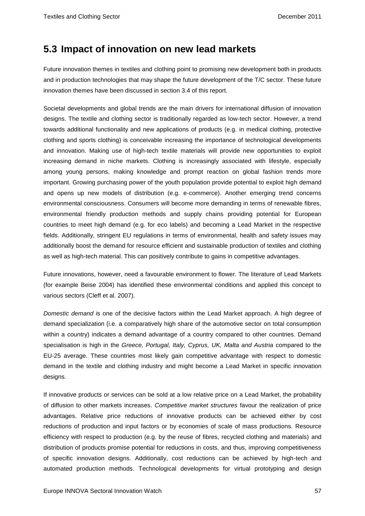### **5.3 Impact of innovation on new lead markets**

Future innovation themes in textiles and clothing point to promising new development both in products and in production technologies that may shape the future development of the T/C sector. These future innovation themes have been discussed in section 3.4 of this report.

Societal developments and global trends are the main drivers for international diffusion of innovation designs. The textile and clothing sector is traditionally regarded as low-tech sector. However, a trend towards additional functionality and new applications of products (e.g. in medical clothing, protective clothing and sports clothing) is conceivable increasing the importance of technological developments and innovation. Making use of high-tech textile materials will provide new opportunities to exploit increasing demand in niche markets. Clothing is increasingly associated with lifestyle, especially among young persons, making knowledge and prompt reaction on global fashion trends more important. Growing purchasing power of the youth population provide potential to exploit high demand and opens up new models of distribution (e.g. e-commerce). Another emerging trend concerns environmental consciousness. Consumers will become more demanding in terms of renewable fibres, environmental friendly production methods and supply chains providing potential for European countries to meet high demand (e.g. for eco labels) and becoming a Lead Market in the respective fields. Additionally, stringent EU regulations in terms of environmental, health and safety issues may additionally boost the demand for resource efficient and sustainable production of textiles and clothing as well as high-tech material. This can positively contribute to gains in competitive advantages.

Future innovations, however, need a favourable environment to flower. The literature of Lead Markets (for example Beise 2004) has identified these environmental conditions and applied this concept to various sectors (Cleff et al. 2007).

*Domestic demand i*s one of the decisive factors within the Lead Market approach. A high degree of demand specialization (i.e. a comparatively high share of the automotive sector on total consumption within a country) indicates a demand advantage of a country compared to other countries. Demand specialisation is high in the *Greece, Portugal, Italy, Cyprus, UK, Malta and Austria* compared to the EU-25 average. These countries most likely gain competitive advantage with respect to domestic demand in the textile and clothing industry and might become a Lead Market in specific innovation designs.

If innovative products or services can be sold at a low relative price on a Lead Market, the probability of diffusion to other markets increases. *Competitive market structures* favour the realization of price advantages. Relative price reductions of innovative products can be achieved either by cost reductions of production and input factors or by economies of scale of mass productions. Resource efficiency with respect to production (e.g. by the reuse of fibres, recycled clothing and materials) and distribution of products promise potential for reductions in costs, and thus, improving competitiveness of specific innovation designs. Additionally, cost reductions can be achieved by high-tech and automated production methods. Technological developments for virtual prototyping and design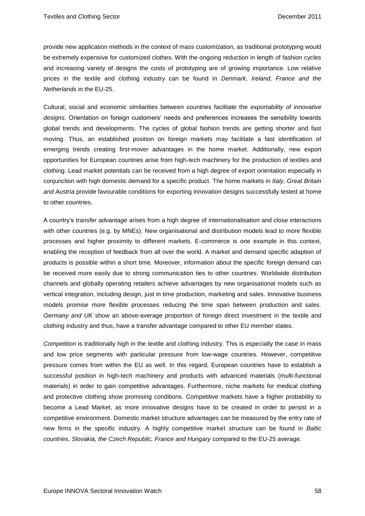provide new application methods in the context of mass customization, as traditional prototyping would be extremely expensive for customized clothes. With the ongoing reduction in length of fashion cycles and increasing variety of designs the costs of prototyping are of growing importance. Low relative prices in the textile and clothing industry can be found in *Denmark, Ireland, France and the Netherlands* in the EU-25.

Cultural, social and economic similarities between countries facilitate the *exportability of innovative designs*. Orientation on foreign customers' needs and preferences increases the sensibility towards global trends and developments. The cycles of global fashion trends are getting shorter and fast moving. Thus, an established position on foreign markets may facilitate a fast identification of emerging trends creating first-mover advantages in the home market. Additionally, new export opportunities for European countries arise from high-tech machinery for the production of textiles and clothing. Lead market potentials can be received from a high degree of export orientation especially in conjunction with high domestic demand for a specific product. The home markets in *Italy, Great Britain and Austria* provide favourable conditions for exporting innovation designs successfully tested at home to other countries.

A country's *transfer advantage* arises from a high degree of internationalisation and close interactions with other countries (e.g. by MNEs). New organisational and distribution models lead to more flexible processes and higher proximity to different markets. E-commerce is one example in this context, enabling the reception of feedback from all over the world. A market and demand specific adaption of products is possible within a short time. Moreover, information about the specific foreign demand can be received more easily due to strong communication ties to other countries. Worldwide distribution channels and globally operating retailers achieve advantages by new organisational models such as vertical integration, including design, just in time production, marketing and sales. Innovative business models promise more flexible processes reducing the time span between production and sales. *Germany and UK* show an above-average proportion of foreign direct investment in the textile and clothing industry and thus, have a transfer advantage compared to other EU member states.

*Competition* is traditionally high in the textile and clothing industry. This is especially the case in mass and low price segments with particular pressure from low-wage countries. However, competitive pressure comes from within the EU as well. In this regard, European countries have to establish a successful position in high-tech machinery and products with advanced materials (multi-functional materials) in order to gain competitive advantages. Furthermore, niche markets for medical clothing and protective clothing show promising conditions. Competitive markets have a higher probability to become a Lead Market, as more innovative designs have to be created in order to persist in a competitive environment. Domestic market structure advantages can be measured by the entry rate of new firms in the specific industry. A highly competitive market structure can be found in *Baltic countries, Slovakia, the Czech Republic, France and Hungary* compared to the EU-25 average.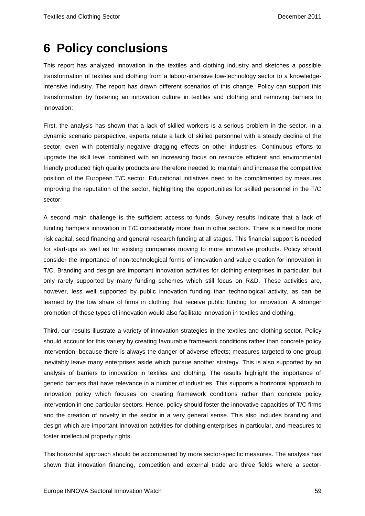## **6 Policy conclusions**

This report has analyzed innovation in the textiles and clothing industry and sketches a possible transformation of textiles and clothing from a labour-intensive low-technology sector to a knowledgeintensive industry. The report has drawn different scenarios of this change. Policy can support this transformation by fostering an innovation culture in textiles and clothing and removing barriers to innovation:

First, the analysis has shown that a lack of skilled workers is a serious problem in the sector. In a dynamic scenario perspective, experts relate a lack of skilled personnel with a steady decline of the sector, even with potentially negative dragging effects on other industries. Continuous efforts to upgrade the skill level combined with an increasing focus on resource efficient and environmental friendly produced high quality products are therefore needed to maintain and increase the competitive position of the European T/C sector. Educational initiatives need to be complimented by measures improving the reputation of the sector, highlighting the opportunities for skilled personnel in the T/C sector.

A second main challenge is the sufficient access to funds. Survey results indicate that a lack of funding hampers innovation in T/C considerably more than in other sectors. There is a need for more risk capital, seed financing and general research funding at all stages. This financial support is needed for start-ups as well as for existing companies moving to more innovative products. Policy should consider the importance of non-technological forms of innovation and value creation for innovation in T/C. Branding and design are important innovation activities for clothing enterprises in particular, but only rarely supported by many funding schemes which still focus on R&D. These activities are, however, less well supported by public innovation funding than technological activity, as can be learned by the low share of firms in clothing that receive public funding for innovation. A stronger promotion of these types of innovation would also facilitate innovation in textiles and clothing.

Third, our results illustrate a variety of innovation strategies in the textiles and clothing sector. Policy should account for this variety by creating favourable framework conditions rather than concrete policy intervention, because there is always the danger of adverse effects; measures targeted to one group inevitably leave many enterprises aside which pursue another strategy. This is also supported by an analysis of barriers to innovation in textiles and clothing. The results highlight the importance of generic barriers that have relevance in a number of industries. This supports a horizontal approach to innovation policy which focuses on creating framework conditions rather than concrete policy intervention in one particular sectors. Hence, policy should foster the innovative capacities of T/C firms and the creation of novelty in the sector in a very general sense. This also includes branding and design which are important innovation activities for clothing enterprises in particular, and measures to foster intellectual property rights.

This horizontal approach should be accompanied by more sector-specific measures. The analysis has shown that innovation financing, competition and external trade are three fields where a sector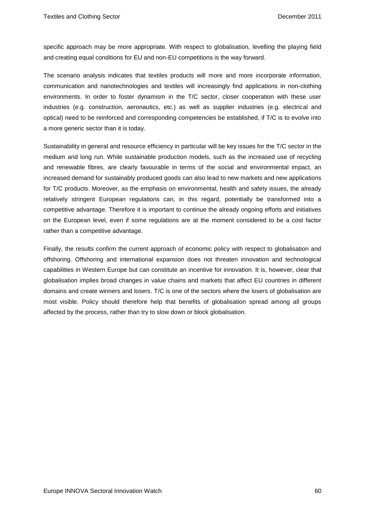specific approach may be more appropriate. With respect to globalisation, levelling the playing field and creating equal conditions for EU and non-EU competitions is the way forward.

The scenario analysis indicates that textiles products will more and more incorporate information, communication and nanotechnologies and textiles will increasingly find applications in non-clothing environments. In order to foster dynamism in the T/C sector, closer cooperation with these user industries (e.g. construction, aeronautics, etc.) as well as supplier industries (e.g. electrical and optical) need to be reinforced and corresponding competencies be established, if T/C is to evolve into a more generic sector than it is today.

Sustainability in general and resource efficiency in particular will be key issues for the T/C sector in the medium and long run. While sustainable production models, such as the increased use of recycling and renewable fibres, are clearly favourable in terms of the social and environmental impact, an increased demand for sustainably produced goods can also lead to new markets and new applications for T/C products. Moreover, as the emphasis on environmental, health and safety issues, the already relatively stringent European regulations can, in this regard, potentially be transformed into a competitive advantage. Therefore it is important to continue the already ongoing efforts and initiatives on the European level, even if some regulations are at the moment considered to be a cost factor rather than a competitive advantage.

Finally, the results confirm the current approach of economic policy with respect to globalisation and offshoring. Offshoring and international expansion does not threaten innovation and technological capabilities in Western Europe but can constitute an incentive for innovation. It is, however, clear that globalisation implies broad changes in value chains and markets that affect EU countries in different domains and create winners and losers. T/C is one of the sectors where the losers of globalisation are most visible. Policy should therefore help that benefits of globalisation spread among all groups affected by the process, rather than try to slow down or block globalisation.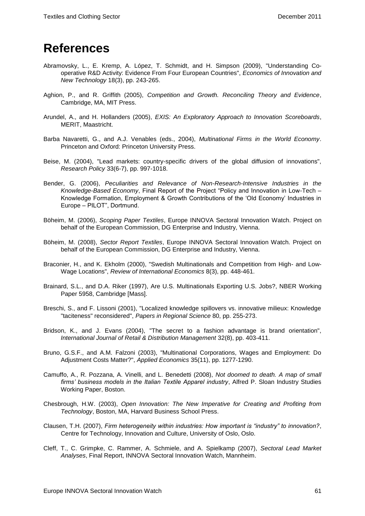## **References**

- Abramovsky, L., E. Kremp, A. López, T. Schmidt, and H. Simpson (2009), "Understanding Cooperative R&D Activity: Evidence From Four European Countries", *Economics of Innovation and New Technology* 18(3), pp. 243-265.
- Aghion, P., and R. Griffith (2005), *Competition and Growth. Reconciling Theory and Evidence*, Cambridge, MA, MIT Press.
- Arundel, A., and H. Hollanders (2005), *EXIS: An Exploratory Approach to Innovation Scoreboards*, MERIT, Maastricht.
- Barba Navaretti, G., and A.J. Venables (eds., 2004), *Multinational Firms in the World Economy*. Princeton and Oxford: Princeton University Press.
- Beise, M. (2004), "Lead markets: country-specific drivers of the global diffusion of innovations", *Research Policy* 33(6-7), pp. 997-1018.
- Bender, G. (2006), *Peculiarities and Relevance of Non-Research-Intensive Industries in the Knowledge-Based Economy*, Final Report of the Project "Policy and Innovation in Low-Tech – Knowledge Formation, Employment & Growth Contributions of the 'Old Economy' Industries in Europe – PILOT", Dortmund.
- Böheim, M. (2006), *Scoping Paper Textiles*, Europe INNOVA Sectoral Innovation Watch. Project on behalf of the European Commission, DG Enterprise and Industry, Vienna.
- Böheim, M. (2008), *Sector Report Textiles*, Europe INNOVA Sectoral Innovation Watch. Project on behalf of the European Commission, DG Enterprise and Industry, Vienna.
- Braconier, H., and K. Ekholm (2000), "Swedish Multinationals and Competition from High- and Low-Wage Locations", *Review of International Economics* 8(3), pp. 448-461.
- Brainard, S.L., and D.A. Riker (1997), Are U.S. Multinationals Exporting U.S. Jobs?, NBER Working Paper 5958, Cambridge [Mass].
- Breschi, S., and F. Lissoni (2001), "Localized knowledge spillovers vs. innovative milieux: Knowledge "taciteness" reconsidered", *Papers in Regional Science* 80, pp. 255-273.
- Bridson, K., and J. Evans (2004), "The secret to a fashion advantage is brand orientation", *International Journal of Retail & Distribution Management* 32(8), pp. 403-411.
- Bruno, G.S.F., and A.M. Falzoni (2003), "Multinational Corporations, Wages and Employment: Do Adjustment Costs Matter?", *Applied Economics* 35(11), pp. 1277-1290.
- Camuffo, A., R. Pozzana, A. Vinelli, and L. Benedetti (2008), *Not doomed to death. A map of small firms' business models in the Italian Textile Apparel industry*, Alfred P. Sloan Industry Studies Working Paper, Boston.
- Chesbrough, H.W. (2003), *Open Innovation: The New Imperative for Creating and Profiting from Technology*, Boston, MA, Harvard Business School Press.
- Clausen, T.H. (2007), *Firm heterogeneity within industries: How important is "industry" to innovation?*, Centre for Technology, Innovation and Culture, University of Oslo, Oslo.
- Cleff, T., C. Grimpke, C. Rammer, A. Schmiele, and A. Spielkamp (2007), *Sectoral Lead Market Analyses*, Final Report, INNOVA Sectoral Innovation Watch, Mannheim.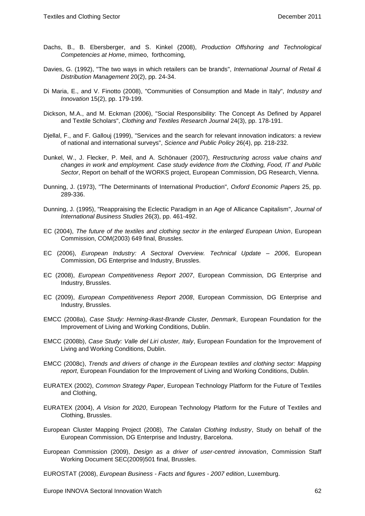- Dachs, B., B. Ebersberger, and S. Kinkel (2008), *Production Offshoring and Technological Competencies at Home*, mimeo, forthcoming,
- Davies, G. (1992), "The two ways in which retailers can be brands", *International Journal of Retail & Distribution Management* 20(2), pp. 24-34.
- Di Maria, E., and V. Finotto (2008), "Communities of Consumption and Made in Italy", *Industry and Innovation* 15(2), pp. 179-199.
- Dickson, M.A., and M. Eckman (2006), "Social Responsibility: The Concept As Defined by Apparel and Textile Scholars", *Clothing and Textiles Research Journal* 24(3), pp. 178-191.
- Djellal, F., and F. Gallouj (1999), "Services and the search for relevant innovation indicators: a review of national and international surveys", *Science and Public Policy* 26(4), pp. 218-232.
- Dunkel, W., J. Flecker, P. Meil, and A. Schönauer (2007), *Restructuring across value chains and changes in work and employment. Case study evidence from the Clothing, Food, IT and Public Sector*, Report on behalf of the WORKS project, European Commission, DG Research, Vienna.
- Dunning, J. (1973), "The Determinants of International Production", *Oxford Economic Papers* 25, pp. 289-336.
- Dunning, J. (1995), "Reappraising the Eclectic Paradigm in an Age of Allicance Capitalism", *Journal of International Business Studies* 26(3), pp. 461-492.
- EC (2004), *The future of the textiles and clothing sector in the enlarged European Union*, European Commission, COM(2003) 649 final, Brussles.
- EC (2006), *European Industry: A Sectoral Overview. Technical Update – 2006*, European Commission, DG Enterprise and Industry, Brussles.
- EC (2008), *European Competitiveness Report 2007*, European Commission, DG Enterprise and Industry, Brussles.
- EC (2009), *European Competitiveness Report 2008*, European Commission, DG Enterprise and Industry, Brussles.
- EMCC (2008a), *Case Study: Herning-Ikast-Brande Cluster, Denmark*, European Foundation for the Improvement of Living and Working Conditions, Dublin.
- EMCC (2008b), *Case Study: Valle del Liri cluster, Italy*, European Foundation for the Improvement of Living and Working Conditions, Dublin.
- EMCC (2008c), *Trends and drivers of change in the European textiles and clothing sector: Mapping report*, European Foundation for the Improvement of Living and Working Conditions, Dublin.
- EURATEX (2002), *Common Strategy Paper*, European Technology Platform for the Future of Textiles and Clothing,
- EURATEX (2004), *A Vision for 2020*, European Technology Platform for the Future of Textiles and Clothing, Brussles.
- European Cluster Mapping Project (2008), *The Catalan Clothing Industry*, Study on behalf of the European Commission, DG Enterprise and Industry, Barcelona.
- European Commission (2009), *Design as a driver of user-centred innovation*, Commission Staff Working Document SEC(2009)501 final, Brussles.
- EUROSTAT (2008), *European Business - Facts and figures - 2007 edition*, Luxemburg.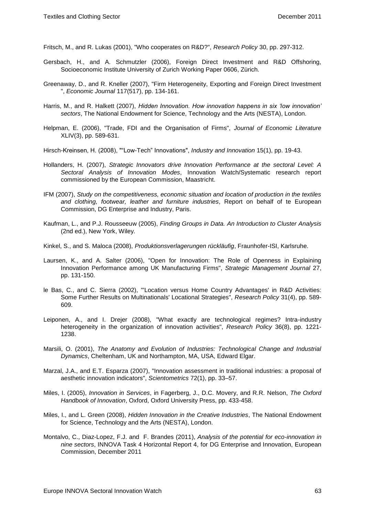Fritsch, M., and R. Lukas (2001), "Who cooperates on R&D?", *Research Policy* 30, pp. 297-312.

- Gersbach, H., and A. Schmutzler (2006), Foreign Direct Investment and R&D Offshoring, Socioeconomic Institute University of Zurich Working Paper 0606, Zürich.
- Greenaway, D., and R. Kneller (2007), "Firm Heterogeneity, Exporting and Foreign Direct Investment ", *Economic Journal* 117(517), pp. 134-161.
- Harris, M., and R. Halkett (2007), *Hidden Innovation. How innovation happens in six 'low innovation' sectors*, The National Endowment for Science, Technology and the Arts (NESTA), London.
- Helpman, E. (2006), "Trade, FDI and the Organisation of Firms", *Journal of Economic Literature* XLIV(3), pp. 589-631.
- Hirsch-Kreinsen, H. (2008), ""Low-Tech" Innovations", *Industry and Innovation* 15(1), pp. 19-43.
- Hollanders, H. (2007), *Strategic Innovators drive Innovation Performance at the sectoral Level: A Sectoral Analysis of Innovation Modes*, Innovation Watch/Systematic research report commissioned by the European Commission, Maastricht.
- IFM (2007), *Study on the competitiveness, economic situation and location of production in the textiles and clothing, footwear, leather and furniture industries*, Report on behalf of te European Commission, DG Enterprise and Industry, Paris.
- Kaufman, L., and P.J. Rousseeuw (2005), *Finding Groups in Data. An Introduction to Cluster Analysis* (2nd ed.), New York, Wiley.
- Kinkel, S., and S. Maloca (2008), *Produktionsverlagerungen rückläufig*, Fraunhofer-ISI, Karlsruhe.
- Laursen, K., and A. Salter (2006), "Open for Innovation: The Role of Openness in Explaining Innovation Performance among UK Manufacturing Firms", *Strategic Management Journal* 27, pp. 131-150.
- le Bas, C., and C. Sierra (2002), "'Location versus Home Country Advantages' in R&D Activities: Some Further Results on Multinationals' Locational Strategies", *Research Policy* 31(4), pp. 589- 609.
- Leiponen, A., and I. Drejer (2008), "What exactly are technological regimes? Intra-industry heterogeneity in the organization of innovation activities", *Research Policy* 36(8), pp. 1221- 1238.
- Marsili, O. (2001), *The Anatomy and Evolution of Industries: Technological Change and Industrial Dynamics*, Cheltenham, UK and Northampton, MA, USA, Edward Elgar.
- Marzal, J.A., and E.T. Esparza (2007), "Innovation assessment in traditional industries: a proposal of aesthetic innovation indicators", *Scientometrics* 72(1), pp. 33–57.
- Miles, I. (2005), *Innovation in Services*, in Fagerberg, J., D.C. Movery, and R.R. Nelson, *The Oxford Handbook of Innovation*, Oxford, Oxford University Press, pp. 433-458.
- Miles, I., and L. Green (2008), *Hidden Innovation in the Creative Industries*, The National Endowment for Science, Technology and the Arts (NESTA), London.
- Montalvo, C., Diaz-Lopez, F.J. and F. Brandes (2011), *Analysis of the potential for eco-innovation in nine sectors*, INNOVA Task 4 Horizontal Report 4, for DG Enterprise and Innovation, European Commission, December 2011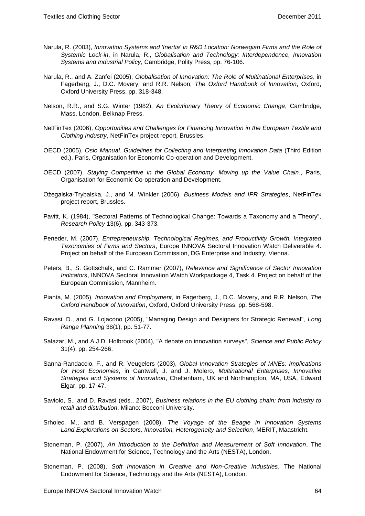- Narula, R. (2003), *Innovation Systems and 'Inertia' in R&D Location: Norwegian Firms and the Role of Systemic Lock-in*, in Narula, R., *Globalisation and Technology: Interdependence, Innovation Systems and Industrial Policy*, Cambridge, Polity Press, pp. 76-106.
- Narula, R., and A. Zanfei (2005), *Globalisation of Innovation: The Role of Multinational Enterprises*, in Fagerberg, J., D.C. Movery, and R.R. Nelson, *The Oxford Handbook of Innovation*, Oxford, Oxford University Press, pp. 318-348.
- Nelson, R.R., and S.G. Winter (1982), *An Evolutionary Theory of Economic Change*, Cambridge, Mass, London, Belknap Press.
- NetFinTex (2006), *Opportunities and Challenges for Financing Innovation in the European Textile and Clothing Industry*, NetFinTex project report, Brussles.
- OECD (2005), *Oslo Manual. Guidelines for Collecting and Interpreting Innovation Data* (Third Edition ed.), Paris, Organisation for Economic Co-operation and Development.
- OECD (2007), *Staying Competitive in the Global Economy. Moving up the Value Chain.*, Paris, Organisation for Economic Co-operation and Development.
- Ożegalska-Trybalska, J., and M. Winkler (2006), *Business Models and IPR Strategies*, NetFinTex project report, Brussles.
- Pavitt, K. (1984), "Sectoral Patterns of Technological Change: Towards a Taxonomy and a Theory", *Research Policy* 13(6), pp. 343-373.
- Peneder, M. (2007), *Entrepreneurship, Technological Regimes, and Productivity Growth. Integrated Taxonomies of Firms and Sectors*, Europe INNOVA Sectoral Innovation Watch Deliverable 4. Project on behalf of the European Commission, DG Enterprise and Industry, Vienna.
- Peters, B., S. Gottschalk, and C. Rammer (2007), *Relevance and Significance of Sector Innovation Indicators*, INNOVA Sectoral Innovation Watch Workpackage 4, Task 4. Project on behalf of the European Commission, Mannheim.
- Pianta, M. (2005), *Innovation and Employment*, in Fagerberg, J., D.C. Movery, and R.R. Nelson, *The Oxford Handbook of Innovation*, Oxford, Oxford University Press, pp. 568-598.
- Ravasi, D., and G. Lojacono (2005), "Managing Design and Designers for Strategic Renewal", *Long Range Planning* 38(1), pp. 51-77.
- Salazar, M., and A.J.D. Holbrook (2004), "A debate on innovation surveys", *Science and Public Policy* 31(4), pp. 254-266.
- Sanna-Randaccio, F., and R. Veugelers (2003), *Global Innovation Strategies of MNEs: Implications for Host Economies*, in Cantwell, J. and J. Molero, *Multinational Enterprises, Innovative Strategies and Systems of Innovation*, Cheltenham, UK and Northampton, MA, USA, Edward Elgar, pp. 17-47.
- Saviolo, S., and D. Ravasi (eds., 2007), *Business relations in the EU clothing chain: from industry to retail and distribution*. Milano: Bocconi University.
- Srholec, M., and B. Verspagen (2008), *The Voyage of the Beagle in Innovation Systems Land.Explorations on Sectors, Innovation, Heterogeneity and Selection*, MERIT, Maastricht.
- Stoneman, P. (2007), *An Introduction to the Definition and Measurement of Soft Innovation*, The National Endowment for Science, Technology and the Arts (NESTA), London.
- Stoneman, P. (2008), *Soft Innovation in Creative and Non-Creative Industries*, The National Endowment for Science, Technology and the Arts (NESTA), London.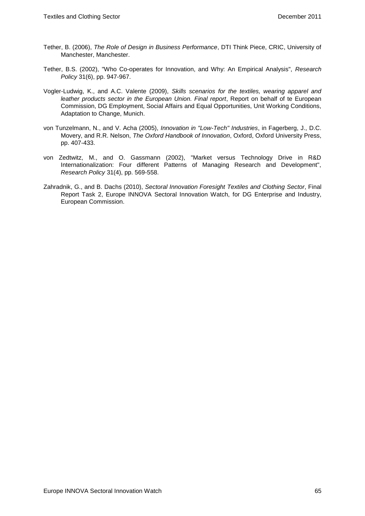- Tether, B. (2006), *The Role of Design in Business Performance*, DTI Think Piece, CRIC, University of Manchester, Manchester.
- Tether, B.S. (2002), "Who Co-operates for Innovation, and Why: An Empirical Analysis", *Research Policy* 31(6), pp. 947-967.
- Vogler-Ludwig, K., and A.C. Valente (2009), *Skills scenarios for the textiles, wearing apparel and leather products sector in the European Union. Final report*, Report on behalf of te European Commission, DG Employment, Social Affairs and Equal Opportunities, Unit Working Conditions, Adaptation to Change, Munich.
- von Tunzelmann, N., and V. Acha (2005), *Innovation in "Low-Tech" Industries*, in Fagerberg, J., D.C. Movery, and R.R. Nelson, *The Oxford Handbook of Innovation*, Oxford, Oxford University Press, pp. 407-433.
- von Zedtwitz, M., and O. Gassmann (2002), "Market versus Technology Drive in R&D Internationalization: Four different Patterns of Managing Research and Development", *Research Policy* 31(4), pp. 569-558.
- Zahradnik, G., and B. Dachs (2010), *Sectoral Innovation Foresight Textiles and Clothing Sector*, Final Report Task 2, Europe INNOVA Sectoral Innovation Watch, for DG Enterprise and Industry, European Commission.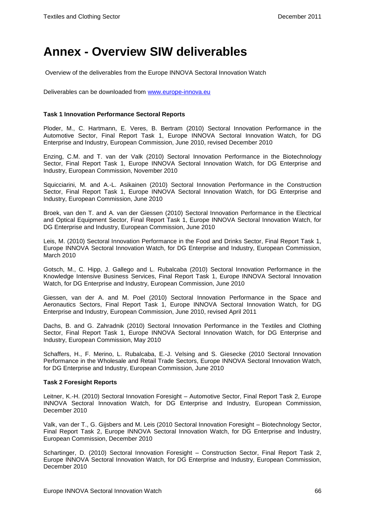## **Annex - Overview SIW deliverables**

Overview of the deliverables from the Europe INNOVA Sectoral Innovation Watch

Deliverables can be downloaded from [www.europe-innova.eu](http://www.europe-innova.eu/)

#### **Task 1 Innovation Performance Sectoral Reports**

Ploder, M., C. Hartmann, E. Veres, B. Bertram (2010) Sectoral Innovation Performance in the Automotive Sector, Final Report Task 1, Europe INNOVA Sectoral Innovation Watch, for DG Enterprise and Industry, European Commission, June 2010, revised December 2010

Enzing, C.M. and T. van der Valk (2010) Sectoral Innovation Performance in the Biotechnology Sector, Final Report Task 1, Europe INNOVA Sectoral Innovation Watch, for DG Enterprise and Industry, European Commission, November 2010

Squicciarini, M. and A.-L. Asikainen (2010) Sectoral Innovation Performance in the Construction Sector, Final Report Task 1, Europe INNOVA Sectoral Innovation Watch, for DG Enterprise and Industry, European Commission, June 2010

Broek, van den T. and A. van der Giessen (2010) Sectoral Innovation Performance in the Electrical and Optical Equipment Sector, Final Report Task 1, Europe INNOVA Sectoral Innovation Watch, for DG Enterprise and Industry, European Commission, June 2010

Leis, M. (2010) Sectoral Innovation Performance in the Food and Drinks Sector, Final Report Task 1, Europe INNOVA Sectoral Innovation Watch, for DG Enterprise and Industry, European Commission, March 2010

Gotsch, M., C. Hipp, J. Gallego and L. Rubalcaba (2010) Sectoral Innovation Performance in the Knowledge Intensive Business Services, Final Report Task 1, Europe INNOVA Sectoral Innovation Watch, for DG Enterprise and Industry, European Commission, June 2010

Giessen, van der A. and M. Poel (2010) Sectoral Innovation Performance in the Space and Aeronautics Sectors, Final Report Task 1, Europe INNOVA Sectoral Innovation Watch, for DG Enterprise and Industry, European Commission, June 2010, revised April 2011

Dachs, B. and G. Zahradnik (2010) Sectoral Innovation Performance in the Textiles and Clothing Sector, Final Report Task 1, Europe INNOVA Sectoral Innovation Watch, for DG Enterprise and Industry, European Commission, May 2010

Schaffers, H., F. Merino, L. Rubalcaba, E.-J. Velsing and S. Giesecke (2010 Sectoral Innovation Performance in the Wholesale and Retail Trade Sectors, Europe INNOVA Sectoral Innovation Watch, for DG Enterprise and Industry, European Commission, June 2010

#### **Task 2 Foresight Reports**

Leitner, K.-H. (2010) Sectoral Innovation Foresight – Automotive Sector, Final Report Task 2, Europe INNOVA Sectoral Innovation Watch, for DG Enterprise and Industry, European Commission, December 2010

Valk, van der T., G. Gijsbers and M. Leis (2010 Sectoral Innovation Foresight – Biotechnology Sector, Final Report Task 2, Europe INNOVA Sectoral Innovation Watch, for DG Enterprise and Industry, European Commission, December 2010

Schartinger, D. (2010) Sectoral Innovation Foresight – Construction Sector, Final Report Task 2, Europe INNOVA Sectoral Innovation Watch, for DG Enterprise and Industry, European Commission, December 2010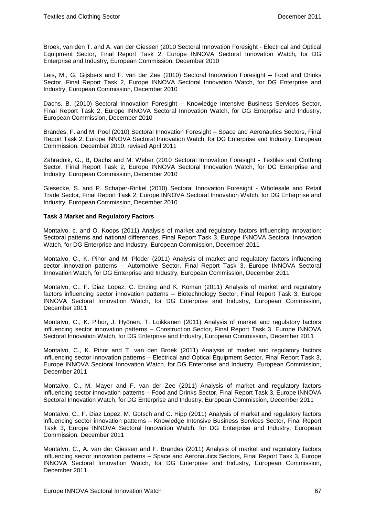Broek, van den T. and A. van der Giessen (2010 Sectoral Innovation Foresight - Electrical and Optical Equipment Sector, Final Report Task 2, Europe INNOVA Sectoral Innovation Watch, for DG Enterprise and Industry, European Commission, December 2010

Leis, M., G. Gijsbers and F. van der Zee (2010) Sectoral Innovation Foresight – Food and Drinks Sector, Final Report Task 2, Europe INNOVA Sectoral Innovation Watch, for DG Enterprise and Industry, European Commission, December 2010

Dachs, B. (2010) Sectoral Innovation Foresight – Knowledge Intensive Business Services Sector, Final Report Task 2, Europe INNOVA Sectoral Innovation Watch, for DG Enterprise and Industry, European Commission, December 2010

Brandes, F. and M. Poel (2010) Sectoral Innovation Foresight – Space and Aeronautics Sectors, Final Report Task 2, Europe INNOVA Sectoral Innovation Watch, for DG Enterprise and Industry, European Commission, December 2010, revised April 2011

Zahradnik, G., B, Dachs and M. Weber (2010 Sectoral Innovation Foresight - Textiles and Clothing Sector, Final Report Task 2, Europe INNOVA Sectoral Innovation Watch, for DG Enterprise and Industry, European Commission, December 2010

Giesecke, S. and P. Schaper-Rinkel (2010) Sectoral Innovation Foresight - Wholesale and Retail Trade Sector, Final Report Task 2, Europe INNOVA Sectoral Innovation Watch, for DG Enterprise and Industry, European Commission, December 2010

### **Task 3 Market and Regulatory Factors**

Montalvo, c. and O. Koops (2011) Analysis of market and regulatory factors influencing innovation: Sectoral patterns and national differences, Final Report Task 3, Europe INNOVA Sectoral Innovation Watch, for DG Enterprise and Industry, European Commission, December 2011

Montalvo, C., K. Pihor and M. Ploder (2011) Analysis of market and regulatory factors influencing sector innovation patterns – Automotive Sector, Final Report Task 3, Europe INNOVA Sectoral Innovation Watch, for DG Enterprise and Industry, European Commission, December 2011

Montalvo, C., F. Diaz Lopez, C. Enzing and K. Koman (2011) Analysis of market and regulatory factors influencing sector innovation patterns – Biotechnology Sector, Final Report Task 3, Europe INNOVA Sectoral Innovation Watch, for DG Enterprise and Industry, European Commission, December 2011

Montalvo, C., K. Pihor, J. Hyönen, T. Loikkanen (2011) Analysis of market and regulatory factors influencing sector innovation patterns – Construction Sector, Final Report Task 3, Europe INNOVA Sectoral Innovation Watch, for DG Enterprise and Industry, European Commission, December 2011

Montalvo, C., K. Pihor and T. van den Broek (2011) Analysis of market and regulatory factors influencing sector innovation patterns – Electrical and Optical Equipment Sector, Final Report Task 3, Europe INNOVA Sectoral Innovation Watch, for DG Enterprise and Industry, European Commission, December 2011

Montalvo, C., M. Mayer and F. van der Zee (2011) Analysis of market and regulatory factors influencing sector innovation patterns – Food and Drinks Sector, Final Report Task 3, Europe INNOVA Sectoral Innovation Watch, for DG Enterprise and Industry, European Commission, December 2011

Montalvo, C., F. Diaz Lopez, M. Gotsch and C. Hipp (2011) Analysis of market and regulatory factors influencing sector innovation patterns – Knowledge Intensive Business Services Sector, Final Report Task 3, Europe INNOVA Sectoral Innovation Watch, for DG Enterprise and Industry, European Commission, December 2011

Montalvo, C., A. van der Giessen and F. Brandes (2011) Analysis of market and regulatory factors influencing sector innovation patterns – Space and Aeronautics Sectors, Final Report Task 3, Europe INNOVA Sectoral Innovation Watch, for DG Enterprise and Industry, European Commission, December 2011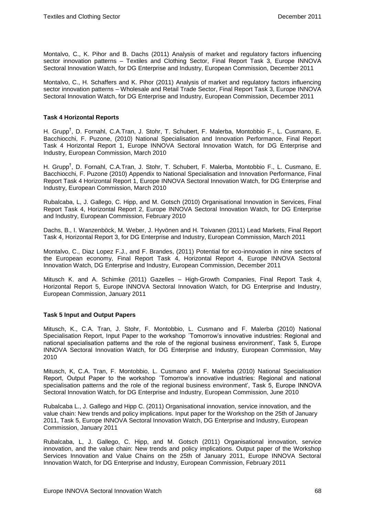Montalvo, C., K. Pihor and B. Dachs (2011) Analysis of market and regulatory factors influencing sector innovation patterns – Textiles and Clothing Sector, Final Report Task 3, Europe INNOVA Sectoral Innovation Watch, for DG Enterprise and Industry, European Commission, December 2011

Montalvo, C., H. Schaffers and K. Pihor (2011) Analysis of market and regulatory factors influencing sector innovation patterns – Wholesale and Retail Trade Sector, Final Report Task 3, Europe INNOVA Sectoral Innovation Watch, for DG Enterprise and Industry, European Commission, December 2011

### **Task 4 Horizontal Reports**

H. Grupp<sup>†</sup>, D. Fornahl, C.A.Tran, J. Stohr, T. Schubert, F. Malerba, Montobbio F., L. Cusmano, E. Bacchiocchi, F. Puzone, (2010) National Specialisation and Innovation Performance, Final Report Task 4 Horizontal Report 1, Europe INNOVA Sectoral Innovation Watch, for DG Enterprise and Industry, European Commission, March 2010

H. Grupp<sup>†</sup>, D. Fornahl, C.A.Tran, J. Stohr, T. Schubert, F. Malerba, Montobbio F., L. Cusmano, E. Bacchiocchi, F. Puzone (2010) Appendix to National Specialisation and Innovation Performance, Final Report Task 4 Horizontal Report 1, Europe INNOVA Sectoral Innovation Watch, for DG Enterprise and Industry, European Commission, March 2010

Rubalcaba, L, J. Gallego, C. Hipp, and M. Gotsch (2010) Organisational Innovation in Services, Final Report Task 4, Horizontal Report 2, Europe INNOVA Sectoral Innovation Watch, for DG Enterprise and Industry, European Commission, February 2010

Dachs, B., I. Wanzenböck, M. Weber, J. Hyvönen and H. Toivanen (2011) Lead Markets, Final Report Task 4, Horizontal Report 3, for DG Enterprise and Industry, European Commission, March 2011

Montalvo, C., Diaz Lopez F.J., and F. Brandes, (2011) Potential for eco-innovation in nine sectors of the European economy, Final Report Task 4, Horizontal Report 4, Europe INNOVA Sectoral Innovation Watch, DG Enterprise and Industry, European Commission, December 2011

Mitusch K. and A. Schimke (2011) Gazelles – High-Growth Companies, Final Report Task 4, Horizontal Report 5, Europe INNOVA Sectoral Innovation Watch, for DG Enterprise and Industry, European Commission, January 2011

### **Task 5 Input and Output Papers**

Mitusch, K., C.A. Tran, J. Stohr, F. Montobbio, L. Cusmano and F. Malerba (2010) National Specialisation Report, Input Paper to the workshop ´Tomorrow's innovative industries: Regional and national specialisation patterns and the role of the regional business environment', Task 5, Europe INNOVA Sectoral Innovation Watch, for DG Enterprise and Industry, European Commission, May 2010

Mitusch, K, C.A. Tran, F. Montobbio, L. Cusmano and F. Malerba (2010) National Specialisation Report, Output Paper to the workshop ´Tomorrow's innovative industries: Regional and national specialisation patterns and the role of the regional business environment', Task 5, Europe INNOVA Sectoral Innovation Watch, for DG Enterprise and Industry, European Commission, June 2010

Rubalcaba L., J. Gallego and Hipp C. (2011) Organisational innovation, service innovation, and the value chain: New trends and policy implications. Input paper for the Workshop on the 25th of January 2011, Task 5, Europe INNOVA Sectoral Innovation Watch, DG Enterprise and Industry, European Commission, January 2011

Rubalcaba, L, J. Gallego, C. Hipp, and M. Gotsch (2011) Organisational innovation, service innovation, and the value chain: New trends and policy implications. Output paper of the Workshop Services Innovation and Value Chains on the 25th of January 2011, Europe INNOVA Sectoral Innovation Watch, for DG Enterprise and Industry, European Commission, February 2011